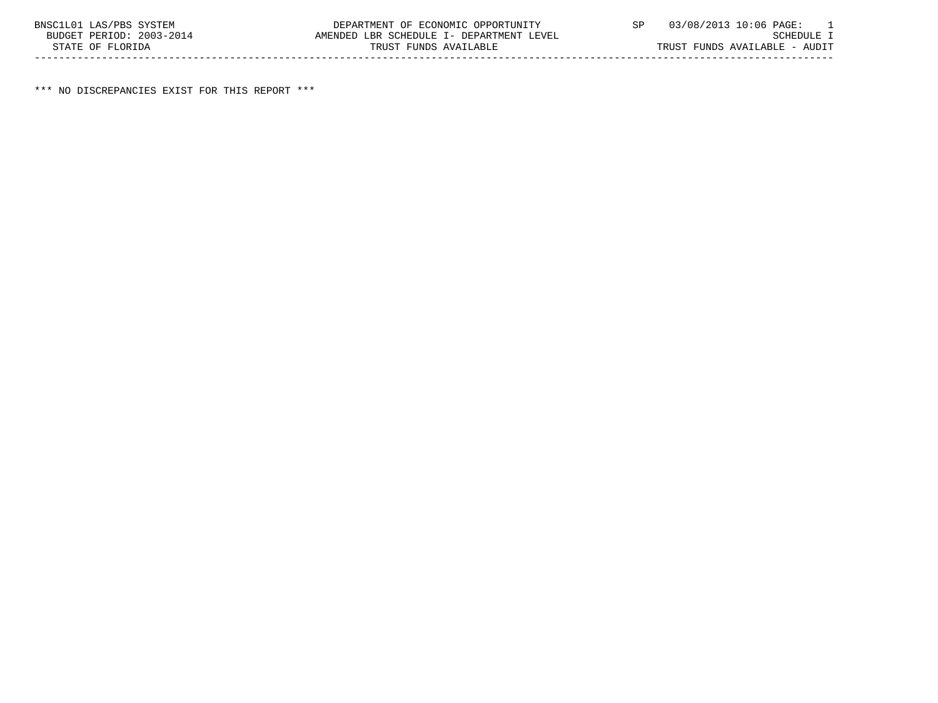\*\*\* NO DISCREPANCIES EXIST FOR THIS REPORT \*\*\*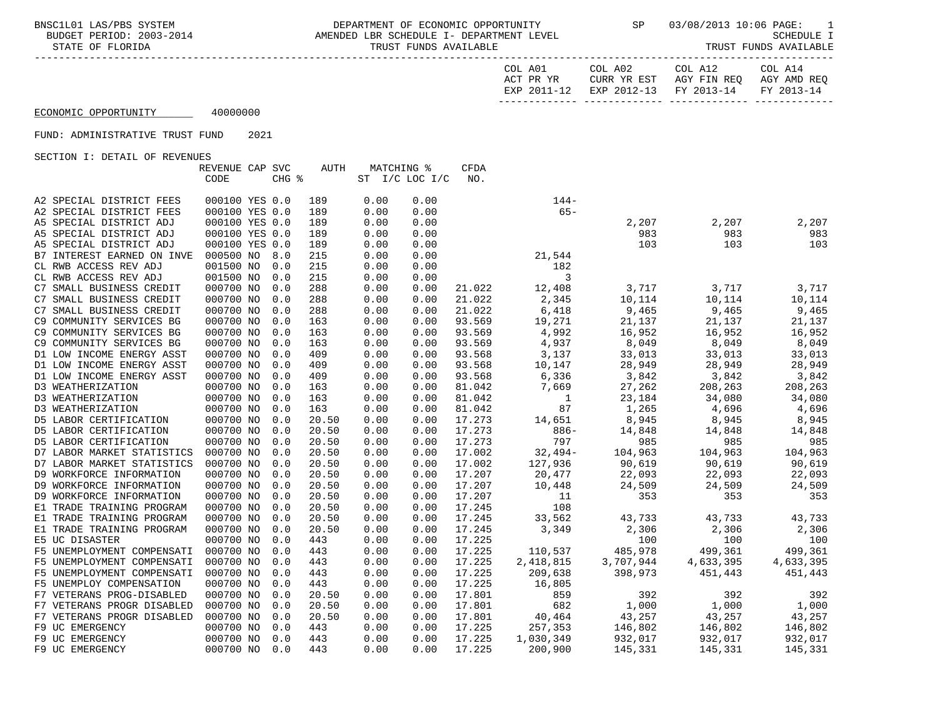BNSC1L01 LAS/PBS SYSTEM DEPARTMENT OF ECONOMIC OPPORTUNITY SP 03/08/2013 10:06 PAGE: 1<br>BUDGET PERIOD: 2003-2014 AMENDED LBR SCHEDULE I- DEPARTMEN AMENDED LBR SCHEDULE I- DEPARTMENT LEVEL STATE OF FLORIDA TRUST FUNDS AVAILABLE TRUST FUNDS AVAILABLE

| COL A01   |             | COL A02                | COL A12     | COL A14     |
|-----------|-------------|------------------------|-------------|-------------|
| ACT PR YR |             | CURR YR EST            | AGY FIN REO | AGY AMD REO |
|           | EXP 2011-12 | EXP 2012-13 FY 2013-14 |             | FY 2013-14  |
|           |             |                        |             |             |

## ECONOMIC OPPORTUNITY 40000000

### FUND: ADMINISTRATIVE TRUST FUND 2021

|                                                      | REVENUE CAP SVC                  |       | AUTH       | MATCHING %   |                | <b>CFDA</b> |                  |           |           |           |
|------------------------------------------------------|----------------------------------|-------|------------|--------------|----------------|-------------|------------------|-----------|-----------|-----------|
|                                                      | CODE                             | CHG % |            |              | ST I/C LOC I/C | NO.         |                  |           |           |           |
|                                                      |                                  |       |            |              |                |             |                  |           |           |           |
| A2 SPECIAL DISTRICT FEES<br>A2 SPECIAL DISTRICT FEES | 000100 YES 0.0<br>000100 YES 0.0 |       | 189<br>189 | 0.00<br>0.00 | 0.00<br>0.00   |             | $144-$<br>$65 -$ |           |           |           |
| A5 SPECIAL DISTRICT ADJ                              | 000100 YES 0.0                   |       | 189        | 0.00         | 0.00           |             |                  | 2,207     | 2,207     | 2,207     |
| A5 SPECIAL DISTRICT ADJ                              | 000100 YES 0.0                   |       | 189        | 0.00         | 0.00           |             |                  | 983       | 983       | 983       |
| A5 SPECIAL DISTRICT ADJ                              | 000100 YES 0.0                   |       | 189        | 0.00         | 0.00           |             |                  | 103       | 103       | 103       |
| B7 INTEREST EARNED ON INVE                           | 000500 NO                        | 8.0   | 215        | 0.00         | 0.00           |             | 21,544           |           |           |           |
| CL RWB ACCESS REV ADJ                                | 001500 NO                        | 0.0   | 215        | 0.00         | 0.00           |             | 182              |           |           |           |
| CL RWB ACCESS REV ADJ                                | 001500 NO                        | 0.0   | 215        | 0.00         | 0.00           |             | 3                |           |           |           |
| C7 SMALL BUSINESS CREDIT                             | 000700 NO                        | 0.0   | 288        | 0.00         | 0.00           | 21.022      | 12,408           | 3,717     | 3,717     | 3,717     |
| C7 SMALL BUSINESS CREDIT                             | 000700 NO                        | 0.0   | 288        | 0.00         | 0.00           | 21.022      | 2,345            | 10,114    | 10,114    | 10,114    |
| C7 SMALL BUSINESS CREDIT                             | 000700 NO                        | 0.0   | 288        | 0.00         | 0.00           | 21.022      | 6,418            | 9,465     | 9,465     | 9,465     |
| C9 COMMUNITY SERVICES BG                             | 000700 NO                        | 0.0   | 163        | 0.00         | 0.00           | 93.569      | 19,271           | 21,137    | 21,137    | 21,137    |
| C9 COMMUNITY SERVICES BG                             | 000700 NO                        | 0.0   | 163        | 0.00         | 0.00           | 93.569      | 4,992            | 16,952    | 16,952    | 16,952    |
| C9 COMMUNITY SERVICES BG                             | 000700 NO                        | 0.0   | 163        | 0.00         | 0.00           | 93.569      | 4,937            | 8,049     | 8,049     | 8,049     |
| D1 LOW INCOME ENERGY ASST                            | 000700 NO                        | 0.0   | 409        | 0.00         | 0.00           | 93.568      | 3,137            | 33,013    | 33,013    | 33,013    |
| D1 LOW INCOME ENERGY ASST                            | 000700 NO                        | 0.0   | 409        | 0.00         | 0.00           | 93.568      | 10,147           | 28,949    | 28,949    | 28,949    |
| D1 LOW INCOME ENERGY ASST                            | 000700 NO                        | 0.0   | 409        | 0.00         | 0.00           | 93.568      | 6,336            | 3,842     | 3,842     | 3,842     |
| D3 WEATHERIZATION                                    | 000700 NO                        | 0.0   | 163        | 0.00         | 0.00           | 81.042      | 7,669            | 27,262    | 208,263   | 208,263   |
| D3 WEATHERIZATION                                    | 000700 NO                        | 0.0   | 163        | 0.00         | 0.00           | 81.042      | 1                | 23,184    | 34,080    | 34,080    |
| D3 WEATHERIZATION                                    | 000700 NO                        | 0.0   | 163        | 0.00         | 0.00           | 81.042      | 87               | 1,265     | 4,696     | 4,696     |
| D5 LABOR CERTIFICATION                               | 000700 NO                        | 0.0   | 20.50      | 0.00         | 0.00           | 17.273      | 14,651           | 8,945     | 8,945     | 8,945     |
| D5 LABOR CERTIFICATION                               | 000700 NO                        | 0.0   | 20.50      | 0.00         | 0.00           | 17.273      | $886-$           | 14,848    | 14,848    | 14,848    |
| D5 LABOR CERTIFICATION                               | 000700 NO                        | 0.0   | 20.50      | 0.00         | 0.00           | 17.273      | 797              | 985       | 985       | 985       |
| D7 LABOR MARKET STATISTICS                           | 000700 NO                        | 0.0   | 20.50      | 0.00         | 0.00           | 17.002      | $32,494-$        | 104,963   | 104,963   | 104,963   |
| D7 LABOR MARKET STATISTICS                           | 000700 NO                        | 0.0   | 20.50      | 0.00         | 0.00           | 17.002      | 127,936          | 90,619    | 90,619    | 90,619    |
| D9 WORKFORCE INFORMATION                             | 000700 NO                        | 0.0   | 20.50      | 0.00         | 0.00           | 17.207      | 20,477           | 22,093    | 22,093    | 22,093    |
| D9 WORKFORCE INFORMATION                             | 000700 NO                        | 0.0   | 20.50      | 0.00         | 0.00           | 17.207      | 10,448           | 24,509    | 24,509    | 24,509    |
| D9 WORKFORCE INFORMATION                             | 000700 NO                        | 0.0   | 20.50      | 0.00         | 0.00           | 17.207      | 11               | 353       | 353       | 353       |
| E1 TRADE TRAINING PROGRAM                            | 000700 NO                        | 0.0   | 20.50      | 0.00         | 0.00           | 17.245      | 108              |           |           |           |
| E1 TRADE TRAINING PROGRAM                            | 000700 NO                        | 0.0   | 20.50      | 0.00         | 0.00           | 17.245      | 33,562           | 43,733    | 43,733    | 43,733    |
| E1 TRADE TRAINING PROGRAM                            | 000700 NO                        | 0.0   | 20.50      | 0.00         | 0.00           | 17.245      | 3,349            | 2,306     | 2,306     | 2,306     |
| E5 UC DISASTER                                       | 000700 NO                        | 0.0   | 443        | 0.00         | 0.00           | 17.225      |                  | 100       | 100       | 100       |
| F5 UNEMPLOYMENT COMPENSATI                           | 000700 NO                        | 0.0   | 443        | 0.00         | 0.00           | 17.225      | 110,537          | 485,978   | 499,361   | 499,361   |
| F5 UNEMPLOYMENT COMPENSATI                           | 000700 NO                        | 0.0   | 443        | 0.00         | 0.00           | 17.225      | 2,418,815        | 3,707,944 | 4,633,395 | 4,633,395 |
| F5 UNEMPLOYMENT COMPENSATI                           | 000700 NO                        | 0.0   | 443        | 0.00         | 0.00           | 17.225      | 209,638          | 398,973   | 451,443   | 451,443   |
| F5 UNEMPLOY COMPENSATION                             | 000700 NO                        | 0.0   | 443        | 0.00         | 0.00           | 17.225      | 16,805           |           |           |           |
| F7 VETERANS PROG-DISABLED                            | 000700 NO                        | 0.0   | 20.50      | 0.00         | 0.00           | 17.801      | 859              | 392       | 392       | 392       |
| F7 VETERANS PROGR DISABLED                           | 000700 NO                        | 0.0   | 20.50      | 0.00         | 0.00           | 17.801      | 682              | 1,000     | 1,000     | 1,000     |
| F7 VETERANS PROGR DISABLED                           | 000700 NO                        | 0.0   | 20.50      | 0.00         | 0.00           | 17.801      | 40,464           | 43,257    | 43,257    | 43,257    |
| F9 UC EMERGENCY                                      | 000700 NO                        | 0.0   | 443        | 0.00         | 0.00           | 17.225      | 257,353          | 146,802   | 146,802   | 146,802   |
| F9 UC EMERGENCY                                      | 000700 NO                        | 0.0   | 443        | 0.00         | 0.00           | 17.225      | 1,030,349        | 932,017   | 932,017   | 932,017   |
| F9 UC EMERGENCY                                      | 000700 NO                        | 0.0   | 443        | 0.00         | 0.00           | 17.225      | 200,900          | 145,331   | 145,331   | 145,331   |
|                                                      |                                  |       |            |              |                |             |                  |           |           |           |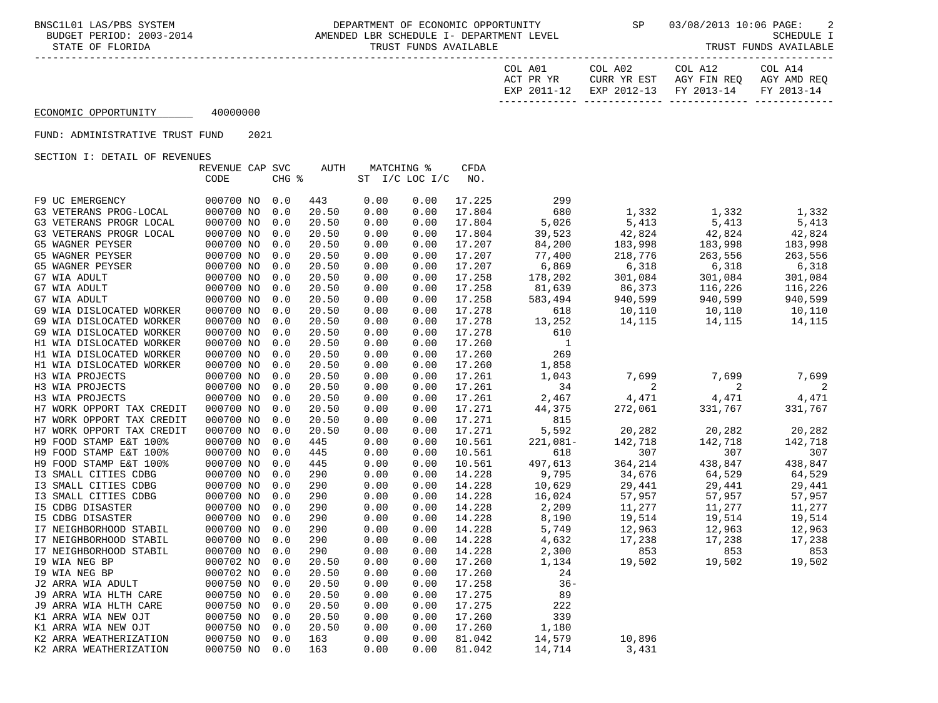BNSC1L01 LAS/PBS SYSTEM DEPARTMENT OF ECONOMIC OPPORTUNITY SP 03/08/2013 10:06 PAGE: 2 AMENDED LBR SCHEDULE I- DEPARTMENT LEVEL STATE OF FLORIDA TRUST FUNDS AVAILABLE TRUST FUNDS AVAILABLE

| COL A14                                       | COL A12 | COL A02 | COL A01   |
|-----------------------------------------------|---------|---------|-----------|
| CURR YR EST AGY FIN REO AGY AMD REO           |         |         | ACT PR YR |
| EXP 2011-12 EXP 2012-13 FY 2013-14 FY 2013-14 |         |         |           |
|                                               |         |         |           |

## ECONOMIC OPPORTUNITY 40000000

FUND: ADMINISTRATIVE TRUST FUND 2021

|                           | REVENUE CAP SVC |       | AUTH  |      | MATCHING %         | CFDA   |             |         |         |         |
|---------------------------|-----------------|-------|-------|------|--------------------|--------|-------------|---------|---------|---------|
|                           | CODE            | CHG % |       |      | ST $I/C$ LOC $I/C$ | NO.    |             |         |         |         |
|                           |                 |       |       |      |                    |        |             |         |         |         |
| F9 UC EMERGENCY           | 000700 NO       | 0.0   | 443   | 0.00 | 0.00               | 17.225 | 299         |         |         |         |
| G3 VETERANS PROG-LOCAL    | 000700 NO       | 0.0   | 20.50 | 0.00 | 0.00               | 17.804 | 680         | 1,332   | 1,332   | 1,332   |
| G3 VETERANS PROGR LOCAL   | 000700 NO       | 0.0   | 20.50 | 0.00 | 0.00               | 17.804 | 5,026       | 5,413   | 5,413   | 5,413   |
| G3 VETERANS PROGR LOCAL   | 000700 NO       | 0.0   | 20.50 | 0.00 | 0.00               | 17.804 | 39,523      | 42,824  | 42,824  | 42,824  |
| G5 WAGNER PEYSER          | 000700 NO       | 0.0   | 20.50 | 0.00 | 0.00               | 17.207 | 84,200      | 183,998 | 183,998 | 183,998 |
| G5 WAGNER PEYSER          | 000700 NO       | 0.0   | 20.50 | 0.00 | 0.00               | 17.207 | 77,400      | 218,776 | 263,556 | 263,556 |
| G5 WAGNER PEYSER          | 000700 NO       | 0.0   | 20.50 | 0.00 | 0.00               | 17.207 | 6,869       | 6,318   | 6,318   | 6,318   |
| G7 WIA ADULT              | 000700 NO       | 0.0   | 20.50 | 0.00 | 0.00               | 17.258 | 178,202     | 301,084 | 301,084 | 301,084 |
| G7 WIA ADULT              | 000700 NO       | 0.0   | 20.50 | 0.00 | 0.00               | 17.258 | 81,639      | 86,373  | 116,226 | 116,226 |
| G7 WIA ADULT              | 000700 NO       | 0.0   | 20.50 | 0.00 | 0.00               | 17.258 | 583,494     | 940,599 | 940,599 | 940,599 |
| G9 WIA DISLOCATED WORKER  | 000700 NO       | 0.0   | 20.50 | 0.00 | 0.00               | 17.278 | 618         | 10,110  | 10,110  | 10,110  |
| G9 WIA DISLOCATED WORKER  | 000700 NO       | 0.0   | 20.50 | 0.00 | 0.00               | 17.278 | 13,252      | 14,115  | 14,115  | 14,115  |
| G9 WIA DISLOCATED WORKER  | 000700 NO       | 0.0   | 20.50 | 0.00 | 0.00               | 17.278 | 610         |         |         |         |
| H1 WIA DISLOCATED WORKER  | 000700 NO       | 0.0   | 20.50 | 0.00 | 0.00               | 17.260 | $\mathbf 1$ |         |         |         |
| H1 WIA DISLOCATED WORKER  | 000700 NO       | 0.0   | 20.50 | 0.00 | 0.00               | 17.260 | 269         |         |         |         |
| H1 WIA DISLOCATED WORKER  | 000700 NO       | 0.0   | 20.50 | 0.00 | 0.00               | 17.260 | 1,858       |         |         |         |
| H3 WIA PROJECTS           | 000700 NO       | 0.0   | 20.50 | 0.00 | 0.00               | 17.261 | 1,043       | 7,699   | 7,699   | 7,699   |
| H3 WIA PROJECTS           | 000700 NO       | 0.0   | 20.50 | 0.00 | 0.00               | 17.261 | 34          | 2       | 2       | 2       |
| H3 WIA PROJECTS           | 000700 NO       | 0.0   | 20.50 | 0.00 | 0.00               | 17.261 | 2,467       | 4,471   | 4,471   | 4,471   |
| H7 WORK OPPORT TAX CREDIT | 000700 NO       | 0.0   | 20.50 | 0.00 | 0.00               | 17.271 | 44,375      | 272,061 | 331,767 | 331,767 |
| H7 WORK OPPORT TAX CREDIT | 000700 NO       | 0.0   | 20.50 | 0.00 | 0.00               | 17.271 | 815         |         |         |         |
| H7 WORK OPPORT TAX CREDIT | 000700 NO       | 0.0   | 20.50 | 0.00 | 0.00               | 17.271 | 5,592       | 20,282  | 20,282  | 20,282  |
| H9 FOOD STAMP E&T 100%    | 000700 NO       | 0.0   | 445   | 0.00 | 0.00               | 10.561 | $221,081-$  | 142,718 | 142,718 | 142,718 |
| H9 FOOD STAMP E&T 100%    | 000700 NO       | 0.0   | 445   | 0.00 | 0.00               | 10.561 | 618         | 307     | 307     | 307     |
| H9 FOOD STAMP E&T 100%    | 000700 NO       | 0.0   | 445   | 0.00 | 0.00               | 10.561 | 497,613     | 364,214 | 438,847 | 438,847 |
| I3 SMALL CITIES CDBG      | 000700 NO       | 0.0   | 290   | 0.00 | 0.00               | 14.228 | 9,795       | 34,676  | 64,529  | 64,529  |
| I3 SMALL CITIES CDBG      | 000700 NO       | 0.0   | 290   | 0.00 | 0.00               | 14.228 | 10,629      | 29,441  | 29,441  | 29,441  |
| I3 SMALL CITIES CDBG      | 000700 NO       | 0.0   | 290   | 0.00 | 0.00               | 14.228 | 16,024      | 57,957  | 57,957  | 57,957  |
| <b>I5 CDBG DISASTER</b>   | 000700 NO       | 0.0   | 290   | 0.00 | 0.00               | 14.228 | 2,209       | 11,277  | 11,277  | 11,277  |
| <b>I5 CDBG DISASTER</b>   | 000700 NO       | 0.0   | 290   | 0.00 | 0.00               | 14.228 | 8,190       | 19,514  | 19,514  | 19,514  |
| I7 NEIGHBORHOOD STABIL    | 000700 NO       | 0.0   | 290   | 0.00 | 0.00               | 14.228 | 5,749       | 12,963  | 12,963  | 12,963  |
| I7 NEIGHBORHOOD STABIL    | 000700 NO       | 0.0   | 290   | 0.00 | 0.00               | 14.228 | 4,632       | 17,238  | 17,238  | 17,238  |
| I7 NEIGHBORHOOD STABIL    | 000700 NO       | 0.0   | 290   | 0.00 | 0.00               | 14.228 | 2,300       | 853     | 853     | 853     |
| 19 WIA NEG BP             | 000702 NO       | 0.0   | 20.50 | 0.00 | 0.00               | 17.260 | 1,134       | 19,502  | 19,502  | 19,502  |
| 19 WIA NEG BP             | 000702 NO       | 0.0   | 20.50 | 0.00 | 0.00               | 17.260 | 24          |         |         |         |
| J2 ARRA WIA ADULT         | 000750 NO       | 0.0   | 20.50 | 0.00 | 0.00               | 17.258 | $36 -$      |         |         |         |
| J9 ARRA WIA HLTH CARE     | 000750 NO       | 0.0   | 20.50 | 0.00 | 0.00               | 17.275 | 89          |         |         |         |
| J9 ARRA WIA HLTH CARE     | 000750 NO       | 0.0   | 20.50 | 0.00 | 0.00               | 17.275 | 222         |         |         |         |
| K1 ARRA WIA NEW OJT       | 000750 NO       | 0.0   | 20.50 | 0.00 | 0.00               | 17.260 | 339         |         |         |         |
| K1 ARRA WIA NEW OJT       | 000750 NO       | 0.0   | 20.50 | 0.00 | 0.00               | 17.260 | 1,180       |         |         |         |
| K2 ARRA WEATHERIZATION    | 000750 NO       | 0.0   | 163   | 0.00 | 0.00               | 81.042 | 14,579      | 10,896  |         |         |
| K2 ARRA WEATHERIZATION    | 000750 NO       | 0.0   | 163   | 0.00 | 0.00               | 81.042 | 14,714      | 3,431   |         |         |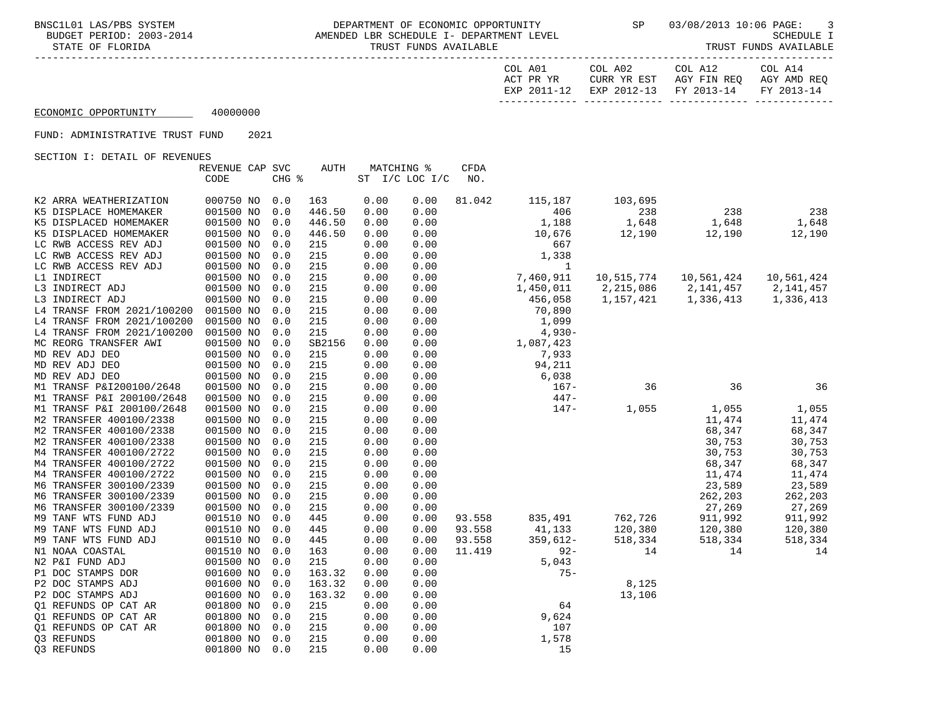| COL A01     | COL A02     | COL A12                | COL A14     |
|-------------|-------------|------------------------|-------------|
| ACT PR YR   | CURR YR EST | AGY FIN REQ            | AGY AMD REO |
| EXP 2011-12 |             | EXP 2012-13 FY 2013-14 | FY 2013-14  |
|             |             |                        |             |

## ECONOMIC OPPORTUNITY 40000000

### FUND: ADMINISTRATIVE TRUST FUND 2021

|                            | REVENUE CAP SVC |       | <b>AUTH</b> | MATCHING % |                | CFDA   |            |            |            |            |
|----------------------------|-----------------|-------|-------------|------------|----------------|--------|------------|------------|------------|------------|
|                            | CODE            | CHG % |             |            | ST I/C LOC I/C | NO.    |            |            |            |            |
|                            |                 |       |             |            |                |        |            |            |            |            |
| K2 ARRA WEATHERIZATION     | 000750 NO       | 0.0   | 163         | 0.00       | 0.00           | 81.042 | 115,187    | 103,695    |            |            |
| K5 DISPLACE HOMEMAKER      | 001500 NO       | 0.0   | 446.50      | 0.00       | 0.00           |        | 406        | 238        | 238        | 238        |
| K5 DISPLACED HOMEMAKER     | 001500 NO       | 0.0   | 446.50      | 0.00       | 0.00           |        | 1,188      | 1,648      | 1,648      | 1,648      |
| K5 DISPLACED HOMEMAKER     | 001500 NO       | 0.0   | 446.50      | 0.00       | 0.00           |        | 10,676     | 12,190     | 12,190     | 12,190     |
| LC RWB ACCESS REV ADJ      | 001500 NO       | 0.0   | 215         | 0.00       | 0.00           |        | 667        |            |            |            |
| LC RWB ACCESS REV ADJ      | 001500 NO       | 0.0   | 215         | 0.00       | 0.00           |        | 1,338      |            |            |            |
| LC RWB ACCESS REV ADJ      | 001500 NO       | 0.0   | 215         | 0.00       | 0.00           |        | 1          |            |            |            |
| L1 INDIRECT                | 001500 NO       | 0.0   | 215         | 0.00       | 0.00           |        | 7,460,911  | 10,515,774 | 10,561,424 | 10,561,424 |
| L3 INDIRECT ADJ            | 001500 NO       | 0.0   | 215         | 0.00       | 0.00           |        | 1,450,011  | 2,215,086  | 2,141,457  | 2,141,457  |
| L3 INDIRECT ADJ            | 001500 NO       | 0.0   | 215         | 0.00       | 0.00           |        | 456,058    | 1,157,421  | 1,336,413  | 1,336,413  |
| L4 TRANSF FROM 2021/100200 | 001500 NO       | 0.0   | 215         | 0.00       | 0.00           |        | 70,890     |            |            |            |
| L4 TRANSF FROM 2021/100200 | 001500 NO       | 0.0   | 215         | 0.00       | 0.00           |        | 1,099      |            |            |            |
| L4 TRANSF FROM 2021/100200 | 001500 NO       | 0.0   | 215         | 0.00       | 0.00           |        | $4,930-$   |            |            |            |
| MC REORG TRANSFER AWI      | 001500 NO       | 0.0   | SB2156      | 0.00       | 0.00           |        | 1,087,423  |            |            |            |
| MD REV ADJ DEO             | 001500 NO       | 0.0   | 215         | 0.00       | 0.00           |        | 7,933      |            |            |            |
| MD REV ADJ DEO             | 001500 NO       | 0.0   | 215         | 0.00       | 0.00           |        | 94,211     |            |            |            |
| MD REV ADJ DEO             | 001500 NO       | 0.0   | 215         | 0.00       | 0.00           |        | 6,038      |            |            |            |
| M1 TRANSF P&I200100/2648   | 001500 NO       | 0.0   | 215         | 0.00       | 0.00           |        | $167 -$    | 36         | 36         | 36         |
| M1 TRANSF P&I 200100/2648  | 001500 NO       | 0.0   | 215         | 0.00       | 0.00           |        | $447 -$    |            |            |            |
| M1 TRANSF P&I 200100/2648  | 001500 NO       | 0.0   | 215         | 0.00       | 0.00           |        | $147 -$    | 1,055      | 1,055      | 1,055      |
| M2 TRANSFER 400100/2338    | 001500 NO       | 0.0   | 215         | 0.00       | 0.00           |        |            |            | 11,474     | 11,474     |
| M2 TRANSFER 400100/2338    | 001500 NO       | 0.0   | 215         | 0.00       | 0.00           |        |            |            | 68,347     | 68,347     |
| M2 TRANSFER 400100/2338    | 001500 NO       | 0.0   | 215         | 0.00       | 0.00           |        |            |            | 30,753     | 30,753     |
| M4 TRANSFER 400100/2722    | 001500 NO       | 0.0   | 215         | 0.00       | 0.00           |        |            |            | 30,753     | 30,753     |
| M4 TRANSFER 400100/2722    | 001500 NO       | 0.0   | 215         | 0.00       | 0.00           |        |            |            | 68,347     | 68,347     |
| M4 TRANSFER 400100/2722    | 001500 NO       | 0.0   | 215         | 0.00       | 0.00           |        |            |            | 11,474     | 11,474     |
| M6 TRANSFER 300100/2339    | 001500 NO       | 0.0   | 215         | 0.00       | 0.00           |        |            |            | 23,589     | 23,589     |
| M6 TRANSFER 300100/2339    | 001500 NO       | 0.0   | 215         | 0.00       | 0.00           |        |            |            | 262,203    | 262,203    |
| M6 TRANSFER 300100/2339    | 001500 NO       | 0.0   | 215         | 0.00       | 0.00           |        |            |            | 27,269     | 27,269     |
| M9 TANF WTS FUND ADJ       | 001510 NO       | 0.0   | 445         | 0.00       | 0.00           | 93.558 | 835,491    | 762,726    | 911,992    | 911,992    |
| M9 TANF WTS FUND ADJ       | 001510 NO       | 0.0   | 445         | 0.00       | 0.00           | 93.558 | 41,133     | 120,380    | 120,380    | 120,380    |
| M9 TANF WTS FUND ADJ       | 001510 NO       | 0.0   | 445         | 0.00       | 0.00           | 93.558 | $359,612-$ | 518,334    | 518,334    | 518,334    |
| N1 NOAA COASTAL            | 001510 NO       | 0.0   | 163         | 0.00       | 0.00           | 11.419 | $92 -$     | 14         | 14         | 14         |
| N2 P&I FUND ADJ            | 001500 NO       | 0.0   | 215         | 0.00       | 0.00           |        | 5,043      |            |            |            |
| P1 DOC STAMPS DOR          | 001600 NO       | 0.0   | 163.32      | 0.00       | 0.00           |        | $75 -$     |            |            |            |
| P2 DOC STAMPS ADJ          | 001600 NO       | 0.0   | 163.32      | 0.00       | 0.00           |        |            | 8,125      |            |            |
| P2 DOC STAMPS ADJ          | 001600 NO       | 0.0   | 163.32      | 0.00       | 0.00           |        |            | 13,106     |            |            |
| Q1 REFUNDS OP CAT AR       | 001800 NO       | 0.0   | 215         | 0.00       | 0.00           |        | 64         |            |            |            |
| Q1 REFUNDS OP CAT AR       | 001800 NO       | 0.0   | 215         | 0.00       | 0.00           |        | 9,624      |            |            |            |
| 01 REFUNDS OP CAT AR       | 001800 NO       | 0.0   | 215         | 0.00       | 0.00           |        | 107        |            |            |            |
| 03 REFUNDS                 | 001800 NO       | 0.0   | 215         | 0.00       | 0.00           |        | 1,578      |            |            |            |
| Q3 REFUNDS                 | 001800 NO       | 0.0   | 215         | 0.00       | 0.00           |        | 15         |            |            |            |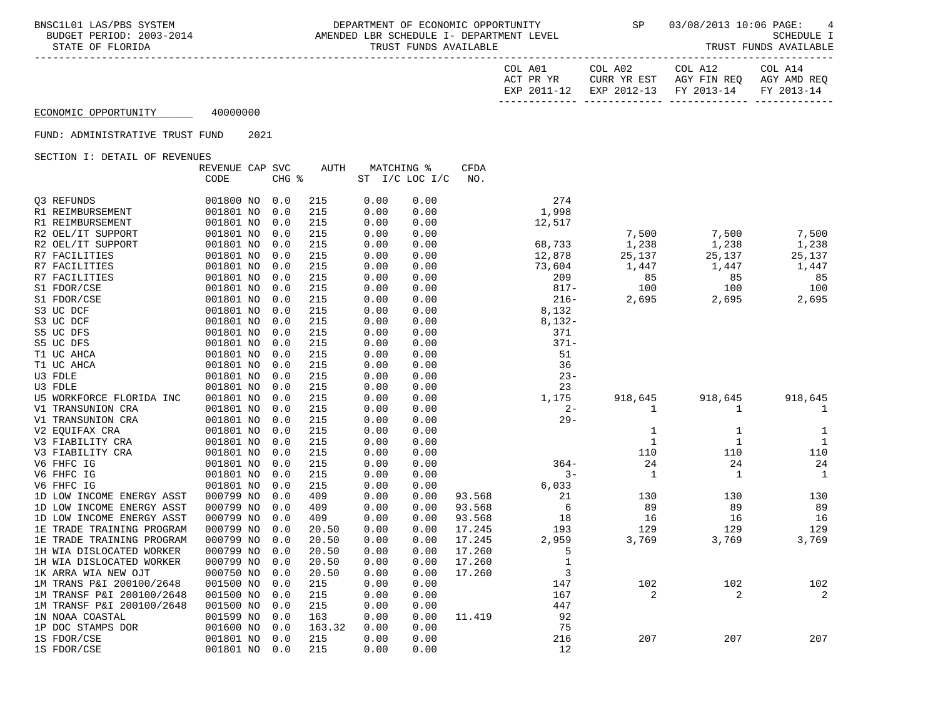## BNSC1L01 LAS/PBS SYSTEM DEPARTMENT OF ECONOMIC OPPORTUNITY SP 03/08/2013 10:06 PAGE: 4<br>BUDGET PERIOD: 2003-2014 AMENDED LBR SCHEDULE I- DEPARTMEN AMENDED LBR SCHEDULE I- DEPARTMENT LEVEL SAMENDED SCHEDULE I<br>TRUST FUNDS AVAILABLE SCHEDULE I STATE OF FLORIDA TRUST FUNDS AVAILABLE

| COL A01   |             | COL A02                | COL A12     | COL A14     |
|-----------|-------------|------------------------|-------------|-------------|
| ACT PR YR |             | CURR YR EST            | AGY FIN REO | AGY AMD REO |
|           | EXP 2011-12 | EXP 2012-13 FY 2013-14 |             | FY 2013-14  |
|           |             |                        |             |             |

# ECONOMIC OPPORTUNITY 40000000

### FUND: ADMINISTRATIVE TRUST FUND 2021

|                           | REVENUE CAP SVC |       | AUTH   | MATCHING % |                | CFDA   |              |              |             |              |
|---------------------------|-----------------|-------|--------|------------|----------------|--------|--------------|--------------|-------------|--------------|
|                           | CODE            | CHG % |        |            | ST I/C LOC I/C | NO.    |              |              |             |              |
|                           |                 |       |        |            |                |        |              |              |             |              |
| Q3 REFUNDS                | 001800 NO       | 0.0   | 215    | 0.00       | 0.00           |        | 274          |              |             |              |
| R1 REIMBURSEMENT          | 001801 NO       | 0.0   | 215    | 0.00       | 0.00           |        | 1,998        |              |             |              |
| R1 REIMBURSEMENT          | 001801 NO       | 0.0   | 215    | 0.00       | 0.00           |        | 12,517       |              |             |              |
| R2 OEL/IT SUPPORT         | 001801 NO       | 0.0   | 215    | 0.00       | 0.00           |        |              | 7,500        | 7,500       | 7,500        |
| R2 OEL/IT SUPPORT         | 001801 NO       | 0.0   | 215    | 0.00       | 0.00           |        | 68,733       | 1,238        | 1,238       | 1,238        |
| R7 FACILITIES             | 001801 NO       | 0.0   | 215    | 0.00       | 0.00           |        | 12,878       | 25,137       | 25,137      | 25,137       |
| R7 FACILITIES             | 001801 NO       | 0.0   | 215    | 0.00       | 0.00           |        | 73,604       | 1,447        | 1,447       | 1,447        |
| R7 FACILITIES             | 001801 NO       | 0.0   | 215    | 0.00       | 0.00           |        | 209          | 85           | 85          | 85           |
| S1 FDOR/CSE               | 001801 NO       | 0.0   | 215    | 0.00       | 0.00           |        | $817 -$      | 100          | 100         | 100          |
| S1 FDOR/CSE               | 001801 NO       | 0.0   | 215    | 0.00       | 0.00           |        | $216 -$      | 2,695        | 2,695       | 2,695        |
| S3 UC DCF                 | 001801 NO       | 0.0   | 215    | 0.00       | 0.00           |        | 8,132        |              |             |              |
| S3 UC DCF                 | 001801 NO       | 0.0   | 215    | 0.00       | 0.00           |        | $8,132-$     |              |             |              |
| S5 UC DFS                 | 001801 NO       | 0.0   | 215    | 0.00       | 0.00           |        | 371          |              |             |              |
| S5 UC DFS                 | 001801 NO       | 0.0   | 215    | 0.00       | 0.00           |        | $371 -$      |              |             |              |
| T1 UC AHCA                | 001801 NO       | 0.0   | 215    | 0.00       | 0.00           |        | 51           |              |             |              |
| T1 UC AHCA                | 001801 NO       | 0.0   | 215    | 0.00       | 0.00           |        | 36           |              |             |              |
| U3 FDLE                   | 001801 NO       | 0.0   | 215    | 0.00       | 0.00           |        | $23 -$       |              |             |              |
| U3 FDLE                   | 001801 NO       | 0.0   | 215    | 0.00       | 0.00           |        | 23           |              |             |              |
| U5 WORKFORCE FLORIDA INC  | 001801 NO       | 0.0   | 215    | 0.00       | 0.00           |        | 1,175        | 918,645      | 918,645     | 918,645      |
| V1 TRANSUNION CRA         | 001801 NO       | 0.0   | 215    | 0.00       | 0.00           |        | $2 -$        | 1            | 1           | $\mathbf{1}$ |
| V1 TRANSUNION CRA         | 001801 NO       | 0.0   | 215    | 0.00       | 0.00           |        | $29 -$       |              |             |              |
| V2 EQUIFAX CRA            | 001801 NO       | 0.0   | 215    | 0.00       | 0.00           |        |              | 1            | 1           | 1            |
| V3 FIABILITY CRA          | 001801 NO       | 0.0   | 215    | 0.00       | 0.00           |        |              | $\mathbf{1}$ | $1\,$       | $\mathbf{1}$ |
| V3 FIABILITY CRA          | 001801 NO       | 0.0   | 215    | 0.00       | 0.00           |        |              | 110          | 110         | 110          |
| V6 FHFC IG                | 001801 NO       | 0.0   | 215    | 0.00       | 0.00           |        | $364-$       | 24           | 24          | 24           |
| V6 FHFC IG                | 001801 NO       | 0.0   | 215    | 0.00       | 0.00           |        | $3 -$        | $\mathbf 1$  | $\mathbf 1$ | 1            |
| V6 FHFC IG                | 001801 NO       | 0.0   | 215    | 0.00       | 0.00           |        | 6,033        |              |             |              |
| 1D LOW INCOME ENERGY ASST | 000799 NO       | 0.0   | 409    | 0.00       | 0.00           | 93.568 | 21           | 130          | 130         | 130          |
| 1D LOW INCOME ENERGY ASST | 000799 NO       | 0.0   | 409    | 0.00       | 0.00           | 93.568 | 6            | 89           | 89          | 89           |
| 1D LOW INCOME ENERGY ASST | 000799 NO       | 0.0   | 409    | 0.00       | 0.00           | 93.568 | 18           | 16           | 16          | 16           |
| 1E TRADE TRAINING PROGRAM | 000799 NO       | 0.0   | 20.50  | 0.00       | 0.00           | 17.245 | 193          | 129          | 129         | 129          |
| 1E TRADE TRAINING PROGRAM | 000799 NO       | 0.0   | 20.50  | 0.00       | 0.00           | 17.245 | 2,959        | 3,769        | 3,769       | 3,769        |
| 1H WIA DISLOCATED WORKER  | 000799 NO       | 0.0   | 20.50  | 0.00       | 0.00           | 17.260 | 5            |              |             |              |
| 1H WIA DISLOCATED WORKER  | 000799 NO       | 0.0   | 20.50  | 0.00       | 0.00           | 17.260 | $\mathbf{1}$ |              |             |              |
| 1K ARRA WIA NEW OJT       | 000750 NO       | 0.0   | 20.50  | 0.00       | 0.00           | 17.260 | $\mathbf{3}$ |              |             |              |
| 1M TRANS P&I 200100/2648  | 001500 NO       | 0.0   | 215    | 0.00       | 0.00           |        | 147          | 102          | 102         | 102          |
| 1M TRANSF P&I 200100/2648 | 001500 NO       | 0.0   | 215    | 0.00       | 0.00           |        | 167          | 2            | 2           | 2            |
| 1M TRANSF P&I 200100/2648 | 001500 NO       | 0.0   | 215    | 0.00       | 0.00           |        | 447          |              |             |              |
| 1N NOAA COASTAL           | 001599 NO       | 0.0   | 163    | 0.00       | 0.00           | 11.419 | 92           |              |             |              |
| 1P DOC STAMPS DOR         | 001600 NO       | 0.0   | 163.32 | 0.00       | 0.00           |        | 75           |              |             |              |
| 1S FDOR/CSE               | 001801 NO       | 0.0   | 215    | 0.00       | 0.00           |        | 216          | 207          | 207         | 207          |
| 1S FDOR/CSE               | 001801 NO       | 0.0   | 215    | 0.00       | 0.00           |        | 12           |              |             |              |
|                           |                 |       |        |            |                |        |              |              |             |              |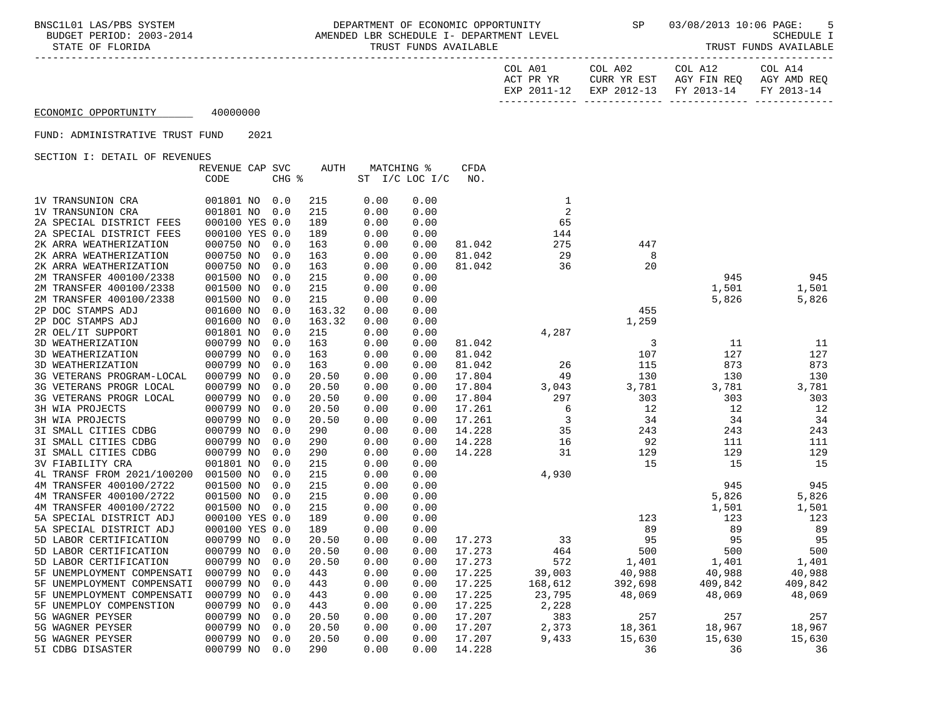-----------------------------------------------------------------------------------------------------------------------------------

| COL A01     | COL A02     | COL A12                           | COL A14 |
|-------------|-------------|-----------------------------------|---------|
| ACT PR YR   | CURR YR EST | AGY FIN REO AGY AMD REO           |         |
| EXP 2011-12 |             | EXP 2012-13 FY 2013-14 FY 2013-14 |         |
|             |             |                                   |         |

## ECONOMIC OPPORTUNITY 40000000

### FUND: ADMINISTRATIVE TRUST FUND 2021

|                            | REVENUE CAP SVC |       | AUTH   |      | MATCHING %     | CFDA   |                |         |         |         |
|----------------------------|-----------------|-------|--------|------|----------------|--------|----------------|---------|---------|---------|
|                            | CODE            | CHG % |        |      | ST I/C LOC I/C | NO.    |                |         |         |         |
|                            |                 |       |        |      |                |        |                |         |         |         |
| 1V TRANSUNION CRA          | 001801 NO       | 0.0   | 215    | 0.00 | 0.00           |        | 1              |         |         |         |
| 1V TRANSUNION CRA          | 001801 NO       | 0.0   | 215    | 0.00 | 0.00           |        | $\overline{a}$ |         |         |         |
| 2A SPECIAL DISTRICT FEES   | 000100 YES 0.0  |       | 189    | 0.00 | 0.00           |        | 65             |         |         |         |
| 2A SPECIAL DISTRICT FEES   | 000100 YES 0.0  |       | 189    | 0.00 | 0.00           |        | 144            |         |         |         |
| 2K ARRA WEATHERIZATION     | 000750 NO       | 0.0   | 163    | 0.00 | 0.00           | 81.042 | 275            | 447     |         |         |
| 2K ARRA WEATHERIZATION     | 000750 NO       | 0.0   | 163    | 0.00 | 0.00           | 81.042 | 29             | 8       |         |         |
| 2K ARRA WEATHERIZATION     | 000750 NO       | 0.0   | 163    | 0.00 | 0.00           | 81.042 | 36             | 20      |         |         |
| 2M TRANSFER 400100/2338    | 001500 NO       | 0.0   | 215    | 0.00 | 0.00           |        |                |         | 945     | 945     |
| 2M TRANSFER 400100/2338    | 001500 NO       | 0.0   | 215    | 0.00 | 0.00           |        |                |         | 1,501   | 1,501   |
| 2M TRANSFER 400100/2338    | 001500 NO       | 0.0   | 215    | 0.00 | 0.00           |        |                |         | 5,826   | 5,826   |
| 2P DOC STAMPS ADJ          | 001600 NO       | 0.0   | 163.32 | 0.00 | 0.00           |        |                | 455     |         |         |
| 2P DOC STAMPS ADJ          | 001600 NO       | 0.0   | 163.32 | 0.00 | 0.00           |        |                | 1,259   |         |         |
| 2R OEL/IT SUPPORT          | 001801 NO       | 0.0   | 215    | 0.00 | 0.00           |        | 4,287          |         |         |         |
| 3D WEATHERIZATION          | 000799 NO       | 0.0   | 163    | 0.00 | 0.00           | 81.042 |                | 3       | 11      | 11      |
| 3D WEATHERIZATION          | 000799 NO       | 0.0   | 163    | 0.00 | 0.00           | 81.042 |                | 107     | 127     | 127     |
| 3D WEATHERIZATION          | 000799 NO       | 0.0   | 163    | 0.00 | 0.00           | 81.042 | 26             | 115     | 873     | 873     |
| 3G VETERANS PROGRAM-LOCAL  | 000799 NO       | 0.0   | 20.50  | 0.00 | 0.00           | 17.804 | 49             | 130     | 130     | 130     |
| 3G VETERANS PROGR LOCAL    | 000799 NO       | 0.0   | 20.50  | 0.00 | 0.00           | 17.804 | 3,043          | 3,781   | 3,781   | 3,781   |
| 3G VETERANS PROGR LOCAL    | 000799 NO       | 0.0   | 20.50  | 0.00 | 0.00           | 17.804 | 297            | 303     | 303     | 303     |
| 3H WIA PROJECTS            | 000799 NO       | 0.0   | 20.50  | 0.00 | 0.00           | 17.261 | 6              | 12      | 12      | 12      |
| 3H WIA PROJECTS            | 000799 NO       | 0.0   | 20.50  | 0.00 | 0.00           | 17.261 | 3              | 34      | 34      | 34      |
| 3I SMALL CITIES CDBG       | 000799 NO       | 0.0   | 290    | 0.00 | 0.00           | 14.228 | 35             | 243     | 243     | 243     |
| 3I SMALL CITIES CDBG       | 000799 NO       | 0.0   | 290    | 0.00 | 0.00           | 14.228 | 16             | 92      | 111     | 111     |
| 3I SMALL CITIES CDBG       | 000799 NO       | 0.0   | 290    | 0.00 | 0.00           | 14.228 | 31             | 129     | 129     | 129     |
| <b>3V FIABILITY CRA</b>    | 001801 NO       | 0.0   | 215    | 0.00 | 0.00           |        |                | 15      | 15      | 15      |
| 4L TRANSF FROM 2021/100200 | 001500 NO       | 0.0   | 215    | 0.00 | 0.00           |        | 4,930          |         |         |         |
| 4M TRANSFER 400100/2722    | 001500 NO       | 0.0   | 215    | 0.00 | 0.00           |        |                |         | 945     | 945     |
| 4M TRANSFER 400100/2722    | 001500 NO       | 0.0   | 215    | 0.00 | 0.00           |        |                |         | 5,826   | 5,826   |
| 4M TRANSFER 400100/2722    | 001500 NO       | 0.0   | 215    | 0.00 | 0.00           |        |                |         | 1,501   | 1,501   |
| 5A SPECIAL DISTRICT ADJ    | 000100 YES 0.0  |       | 189    | 0.00 | 0.00           |        |                | 123     | 123     | 123     |
| 5A SPECIAL DISTRICT ADJ    | 000100 YES 0.0  |       | 189    | 0.00 | 0.00           |        |                | 89      | 89      | 89      |
| 5D LABOR CERTIFICATION     | 000799 NO       | 0.0   | 20.50  | 0.00 | 0.00           | 17.273 | 33             | 95      | 95      | 95      |
| 5D LABOR CERTIFICATION     | 000799 NO       | 0.0   | 20.50  | 0.00 | 0.00           | 17.273 | 464            | 500     | 500     | 500     |
| 5D LABOR CERTIFICATION     | 000799 NO       | 0.0   | 20.50  | 0.00 | 0.00           | 17.273 | 572            | 1,401   | 1,401   | 1,401   |
| 5F UNEMPLOYMENT COMPENSATI | 000799 NO       | 0.0   | 443    | 0.00 | 0.00           | 17.225 | 39,003         | 40,988  | 40,988  | 40,988  |
| 5F UNEMPLOYMENT COMPENSATI | 000799 NO       | 0.0   | 443    | 0.00 | 0.00           | 17.225 | 168,612        | 392,698 | 409,842 | 409,842 |
| 5F UNEMPLOYMENT COMPENSATI | 000799 NO       | 0.0   | 443    | 0.00 | 0.00           | 17.225 | 23,795         | 48,069  | 48,069  | 48,069  |
| 5F UNEMPLOY COMPENSTION    | 000799 NO       | 0.0   | 443    | 0.00 | 0.00           | 17.225 | 2,228          |         |         |         |
| 5G WAGNER PEYSER           | 000799 NO       | 0.0   | 20.50  | 0.00 | 0.00           | 17.207 | 383            | 257     | 257     | 257     |
| 5G WAGNER PEYSER           | 000799 NO       | 0.0   | 20.50  | 0.00 | 0.00           | 17.207 | 2,373          | 18,361  | 18,967  | 18,967  |
| 5G WAGNER PEYSER           | 000799 NO       | 0.0   | 20.50  | 0.00 | 0.00           | 17.207 | 9,433          | 15,630  | 15,630  | 15,630  |
| 5I CDBG DISASTER           | 000799 NO       | 0.0   | 290    | 0.00 | 0.00           | 14.228 |                | 36      | 36      | 36      |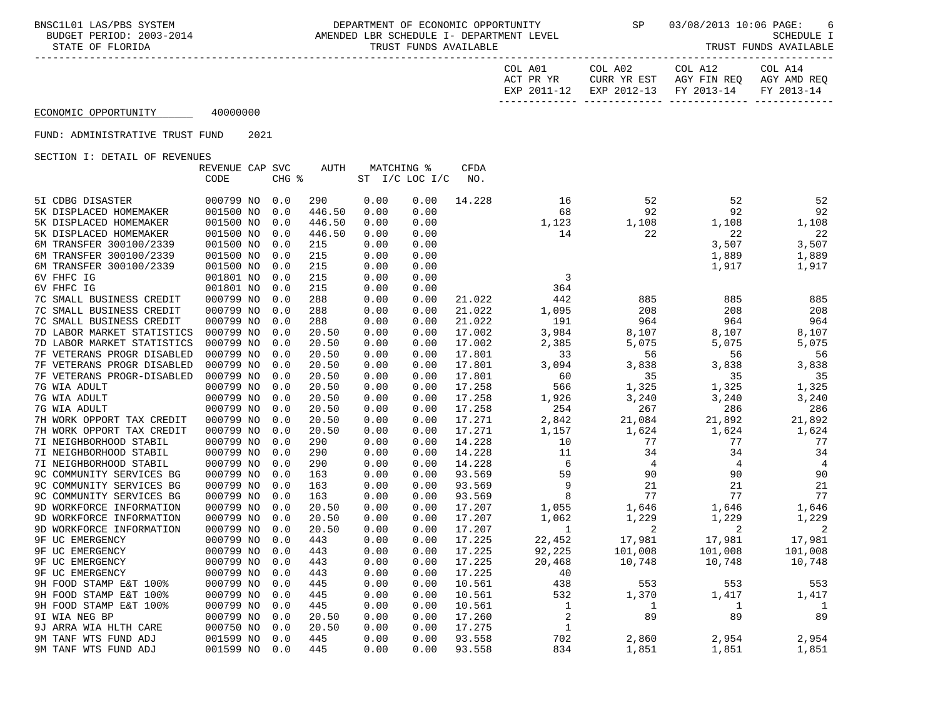BNSC1L01 LAS/PBS SYSTEM DEPARTMENT OF ECONOMIC OPPORTUNITY SP 03/08/2013 10:06 PAGE: 6 8-2014 AMENDED LBR SCHEDULE I- DEPARTMENT LEVEL (2004)<br>TRUST SUATLARLE STATE OF FLORIDA STATE OF FUNDS AVAILABLE STATE OF FUNDS AVAILABLE STATE OF FUNDS AVAILABLE STATE OF TRUST FUNDS AVAILABLE

| --------------------- |  |  |  |  |  |  |  |  |  |  |
|-----------------------|--|--|--|--|--|--|--|--|--|--|

| COL A01        | COL A02     | COL A12     | COL A14     |
|----------------|-------------|-------------|-------------|
| ACT PR YR      | CURR YR EST | AGY FIN REO | AGY AMD REO |
| 2011-12<br>EXP | EXP 2012-13 | FY 2013-14  | FY 2013-14  |
|                |             |             |             |

## ECONOMIC OPPORTUNITY 40000000

### FUND: ADMINISTRATIVE TRUST FUND 2021

|                            | REVENUE CAP SVC |                     | <b>AUTH</b> |      | MATCHING %         | CFDA   |                |         |         |                |
|----------------------------|-----------------|---------------------|-------------|------|--------------------|--------|----------------|---------|---------|----------------|
|                            | CODE            | $CHG$ $\frac{1}{6}$ |             |      | ST $I/C$ LOC $I/C$ | NO.    |                |         |         |                |
|                            |                 |                     |             |      |                    |        |                |         |         |                |
| 5I CDBG DISASTER           | 000799 NO       | 0.0                 | 290         | 0.00 | 0.00               | 14.228 | 16             | 52      | 52      | 52             |
| 5K DISPLACED HOMEMAKER     | 001500 NO       | 0.0                 | 446.50      | 0.00 | 0.00               |        | 68             | 92      | 92      | 92             |
| 5K DISPLACED HOMEMAKER     | 001500 NO       | 0.0                 | 446.50      | 0.00 | 0.00               |        | 1,123          | 1,108   | 1,108   | 1,108          |
| 5K DISPLACED HOMEMAKER     | 001500 NO       | 0.0                 | 446.50      | 0.00 | 0.00               |        | 14             | 22      | 22      | 22             |
| 6M TRANSFER 300100/2339    | 001500 NO       | 0.0                 | 215         | 0.00 | 0.00               |        |                |         | 3,507   | 3,507          |
| 6M TRANSFER 300100/2339    | 001500 NO       | 0.0                 | 215         | 0.00 | 0.00               |        |                |         | 1,889   | 1,889          |
| 6M TRANSFER 300100/2339    | 001500 NO       | 0.0                 | 215         | 0.00 | 0.00               |        |                |         | 1,917   | 1,917          |
| 6V FHFC IG                 | 001801 NO       | 0.0                 | 215         | 0.00 | 0.00               |        | 3              |         |         |                |
| 6V FHFC IG                 | 001801 NO       | 0.0                 | 215         | 0.00 | 0.00               |        | 364            |         |         |                |
| 7C SMALL BUSINESS CREDIT   | 000799 NO       | 0.0                 | 288         | 0.00 | 0.00               | 21.022 | 442            | 885     | 885     | 885            |
| 7C SMALL BUSINESS CREDIT   | 000799 NO       | 0.0                 | 288         | 0.00 | 0.00               | 21.022 | 1,095          | 208     | 208     | 208            |
| 7C SMALL BUSINESS CREDIT   | 000799 NO       | 0.0                 | 288         | 0.00 | 0.00               | 21.022 | 191            | 964     | 964     | 964            |
| 7D LABOR MARKET STATISTICS | 000799 NO       | 0.0                 | 20.50       | 0.00 | 0.00               | 17.002 | 3,984          | 8,107   | 8,107   | 8,107          |
| 7D LABOR MARKET STATISTICS | 000799 NO       | 0.0                 | 20.50       | 0.00 | 0.00               | 17.002 | 2,385          | 5,075   | 5,075   | 5,075          |
| 7F VETERANS PROGR DISABLED | 000799 NO       | 0.0                 | 20.50       | 0.00 | 0.00               | 17.801 | 33             | 56      | 56      | 56             |
| 7F VETERANS PROGR DISABLED | 000799 NO       | 0.0                 | 20.50       | 0.00 | 0.00               | 17.801 | 3,094          | 3,838   | 3,838   | 3,838          |
| 7F VETERANS PROGR-DISABLED | 000799 NO       | 0.0                 | 20.50       | 0.00 | 0.00               | 17.801 | 60             | 35      | 35      | 35             |
| 7G WIA ADULT               | 000799 NO       | 0.0                 | 20.50       | 0.00 | 0.00               | 17.258 | 566            | 1,325   | 1,325   | 1,325          |
| 7G WIA ADULT               | 000799 NO       | 0.0                 | 20.50       | 0.00 | 0.00               | 17.258 | 1,926          | 3,240   | 3,240   | 3,240          |
| 7G WIA ADULT               | 000799 NO       | 0.0                 | 20.50       | 0.00 | 0.00               | 17.258 | 254            | 267     | 286     | 286            |
| 7H WORK OPPORT TAX CREDIT  | 000799 NO       | 0.0                 | 20.50       | 0.00 | 0.00               | 17.271 | 2,842          | 21,084  | 21,892  | 21,892         |
| 7H WORK OPPORT TAX CREDIT  | 000799 NO       | 0.0                 | 20.50       | 0.00 | 0.00               | 17.271 | 1,157          | 1,624   | 1,624   | 1,624          |
| 7I NEIGHBORHOOD STABIL     | 000799 NO       | 0.0                 | 290         | 0.00 | 0.00               | 14.228 | 10             | 77      | 77      | 77             |
| 7I NEIGHBORHOOD STABIL     | 000799 NO       | 0.0                 | 290         | 0.00 | 0.00               | 14.228 | 11             | 34      | 34      | 34             |
| 7I NEIGHBORHOOD STABIL     | 000799 NO       | 0.0                 | 290         | 0.00 | 0.00               | 14.228 | 6              | 4       | 4       | $\overline{4}$ |
| 9C COMMUNITY SERVICES BG   | 000799 NO       | 0.0                 | 163         | 0.00 | 0.00               | 93.569 | 59             | 90      | 90      | 90             |
| 9C COMMUNITY SERVICES BG   | 000799 NO       | 0.0                 | 163         | 0.00 | 0.00               | 93.569 | 9              | 21      | 21      | 21             |
| 9C COMMUNITY SERVICES BG   | 000799 NO       | 0.0                 | 163         | 0.00 | 0.00               | 93.569 | 8              | 77      | 77      | 77             |
| 9D WORKFORCE INFORMATION   | 000799 NO       | 0.0                 | 20.50       | 0.00 | 0.00               | 17.207 | 1,055          | 1,646   | 1,646   | 1,646          |
| 9D WORKFORCE INFORMATION   | 000799 NO       | 0.0                 | 20.50       | 0.00 | 0.00               | 17.207 | 1,062          | 1,229   | 1,229   | 1,229          |
| 9D WORKFORCE INFORMATION   | 000799 NO       | 0.0                 | 20.50       | 0.00 | 0.00               | 17.207 | 1              | 2       | 2       | 2              |
| 9F UC EMERGENCY            | 000799 NO       | 0.0                 | 443         | 0.00 | 0.00               | 17.225 | 22,452         | 17,981  | 17,981  | 17,981         |
| 9F UC EMERGENCY            | 000799 NO       | 0.0                 | 443         | 0.00 | 0.00               | 17.225 | 92,225         | 101,008 | 101,008 | 101,008        |
| <b>9F UC EMERGENCY</b>     | 000799 NO       | 0.0                 | 443         | 0.00 | 0.00               | 17.225 | 20,468         | 10,748  | 10,748  | 10,748         |
| <b>9F UC EMERGENCY</b>     | 000799 NO       | 0.0                 | 443         | 0.00 | 0.00               | 17.225 | 40             |         |         |                |
| 9H FOOD STAMP E&T 100%     | 000799 NO       | 0.0                 | 445         | 0.00 | 0.00               | 10.561 | 438            | 553     | 553     | 553            |
| 9H FOOD STAMP E&T 100%     | 000799 NO       | 0.0                 | 445         | 0.00 | 0.00               | 10.561 | 532            | 1,370   | 1,417   | 1,417          |
| 9H FOOD STAMP E&T 100%     | 000799 NO       | 0.0                 | 445         | 0.00 | 0.00               | 10.561 | 1              | 1       | 1       | 1              |
| 9I WIA NEG BP              | 000799 NO       | 0.0                 | 20.50       | 0.00 | 0.00               | 17.260 | $\overline{2}$ | 89      | 89      | 89             |
| 9J ARRA WIA HLTH CARE      | 000750 NO       | 0.0                 | 20.50       | 0.00 | 0.00               | 17.275 | $\mathbf{1}$   |         |         |                |
| 9M TANF WTS FUND ADJ       | 001599 NO       | 0.0                 | 445         | 0.00 | 0.00               | 93.558 | 702            | 2,860   | 2,954   | 2,954          |
| 9M TANF WTS FUND ADJ       | 001599 NO       | 0.0                 | 445         | 0.00 | 0.00               | 93.558 | 834            | 1,851   | 1,851   | 1,851          |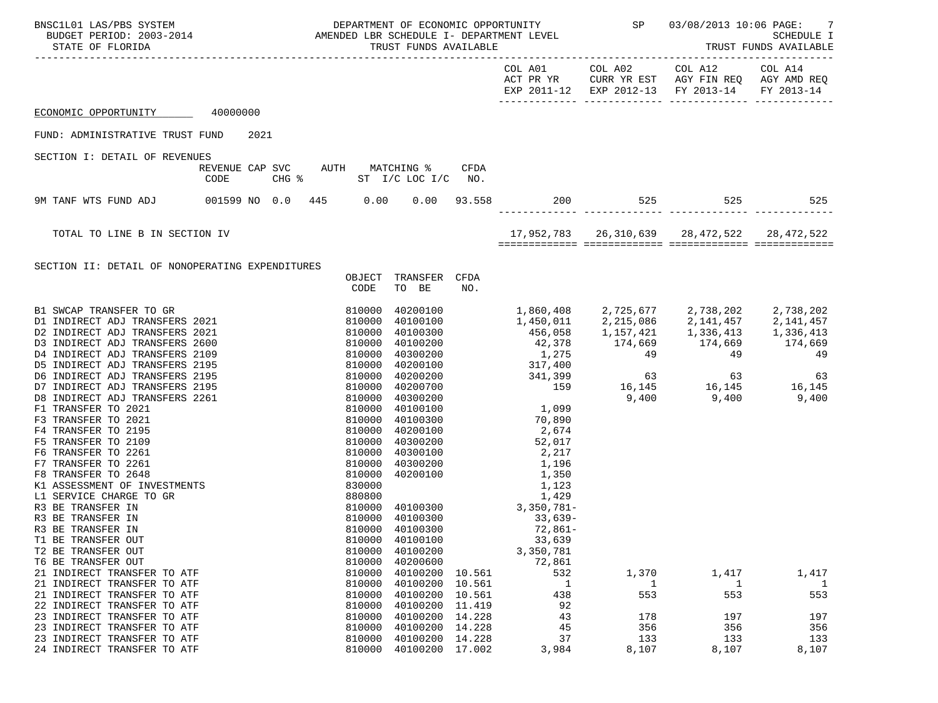| BNSC1L01 LAS/PBS SYSTEM<br>SCILOI LAS/PBS SYSTEM <b>AMENOS</b> DEPARTMENT OF ECONOMIC OFFORIOUSLY<br>BUDGET PERIOD: 2003-2014 AMENDED LBR SCHEDULE I- DEPARTMENT LEVEL<br>TRUST FUNDS AVAILABLE THE SCHEDULE TRUST FUNDS AVAILABLE                                                                                                                                                                                                                                      |                                         |  |                                                                                        |                                                                                                                                                                                                                                                                 |                                      | DEPARTMENT OF ECONOMIC OPPORTUNITY SP                                                                                                               |                                                 |                                                                                                                                                       |                                                            |
|-------------------------------------------------------------------------------------------------------------------------------------------------------------------------------------------------------------------------------------------------------------------------------------------------------------------------------------------------------------------------------------------------------------------------------------------------------------------------|-----------------------------------------|--|----------------------------------------------------------------------------------------|-----------------------------------------------------------------------------------------------------------------------------------------------------------------------------------------------------------------------------------------------------------------|--------------------------------------|-----------------------------------------------------------------------------------------------------------------------------------------------------|-------------------------------------------------|-------------------------------------------------------------------------------------------------------------------------------------------------------|------------------------------------------------------------|
|                                                                                                                                                                                                                                                                                                                                                                                                                                                                         |                                         |  |                                                                                        |                                                                                                                                                                                                                                                                 |                                      |                                                                                                                                                     |                                                 | COL A01 COL A02 COL A12 COL A14<br>ACT PR YR CURR YR EST AGY FIN REQ AGY AMD REQ<br>EXP 2011-12 EXP 2012-13 FY 2013-14 FY 2013-14<br>------------ --- |                                                            |
| ECONOMIC OPPORTUNITY 40000000                                                                                                                                                                                                                                                                                                                                                                                                                                           |                                         |  |                                                                                        |                                                                                                                                                                                                                                                                 |                                      |                                                                                                                                                     |                                                 |                                                                                                                                                       |                                                            |
| FUND: ADMINISTRATIVE TRUST FUND                                                                                                                                                                                                                                                                                                                                                                                                                                         | 2021                                    |  |                                                                                        |                                                                                                                                                                                                                                                                 |                                      |                                                                                                                                                     |                                                 |                                                                                                                                                       |                                                            |
| SECTION I: DETAIL OF REVENUES                                                                                                                                                                                                                                                                                                                                                                                                                                           |                                         |  |                                                                                        |                                                                                                                                                                                                                                                                 |                                      |                                                                                                                                                     |                                                 |                                                                                                                                                       |                                                            |
|                                                                                                                                                                                                                                                                                                                                                                                                                                                                         | REVENUE CAP SVC AUTH MATCHING %<br>CODE |  |                                                                                        | CHG % ST I/C LOC I/C NO.                                                                                                                                                                                                                                        | CFDA                                 |                                                                                                                                                     |                                                 |                                                                                                                                                       |                                                            |
| 9M TANF WTS FUND ADJ 001599 NO 0.0 445 0.00 0.00 93.558                                                                                                                                                                                                                                                                                                                                                                                                                 |                                         |  |                                                                                        |                                                                                                                                                                                                                                                                 |                                      |                                                                                                                                                     |                                                 | 200 525 525                                                                                                                                           | 525                                                        |
| TOTAL TO LINE B IN SECTION IV                                                                                                                                                                                                                                                                                                                                                                                                                                           |                                         |  |                                                                                        |                                                                                                                                                                                                                                                                 |                                      |                                                                                                                                                     |                                                 | 17,952,783   26,310,639   28,472,522   28,472,522                                                                                                     |                                                            |
|                                                                                                                                                                                                                                                                                                                                                                                                                                                                         |                                         |  |                                                                                        |                                                                                                                                                                                                                                                                 |                                      |                                                                                                                                                     |                                                 |                                                                                                                                                       |                                                            |
| SECTION II: DETAIL OF NONOPERATING EXPENDITURES                                                                                                                                                                                                                                                                                                                                                                                                                         |                                         |  | OBJECT<br>CODE                                                                         | TRANSFER CFDA<br>TO BE                                                                                                                                                                                                                                          | NO.                                  |                                                                                                                                                     |                                                 |                                                                                                                                                       |                                                            |
| $[{\small \begin{tabular}{c} \bf 5M}\bf 1& \bf 5WCAP \text{ TRANSFER TO GR} & 0.000 \\ \bf 01 & \bf 1NDIRECT ADJ \text{ TRANSFERS } 2021 & 810000 \\ \bf 02 & \bf 1NDIRECT ADJ \text{ TRANSFERS } 2021 & 810000 \\ \bf 03 & \bf 1NDIRECT ADJ \text{ TRANSFERS } 2000 & 810000 \\ \bf 04 & \bf 1NDIRECT ADJ \text{ TRANSFERS } 2195 & 810000 \\ \bf 05 & \bf 1NDIRECT ADJ \text{ TRANSFERS } 2195 & 81$<br>R3 BE TRANSFER IN<br>T1 BE TRANSFER OUT<br>T2 BE TRANSFER OUT |                                         |  | 810000<br>810000<br>810000                                                             | 40200100<br>40100100<br>40100300<br>40100200<br>40300200<br>40200100<br>40200200<br>40200700<br>40300200<br>40100100<br>40100300<br>40200100<br>40300200<br>40300100<br>40300200<br>40200100<br>40100300<br>810000 40100300<br>40100300<br>40100100<br>40100200 |                                      | 70,890<br>2,674<br>52,017<br>2,217<br>1,196<br>1,350<br>1, 123<br>1, 429<br>3, 350, 781–<br>1,123<br>$33.639 -$<br>$72,861-$<br>33,639<br>3,350,781 |                                                 | 1,450,011  2,215,086  2,141,457  2,141,457<br>456,058  1,157,421  1,336,413  1,336,413                                                                |                                                            |
| T6 BE TRANSFER OUT<br>21 INDIRECT TRANSFER TO ATF<br>21 INDIRECT TRANSFER TO ATF<br>21 INDIRECT TRANSFER TO ATF<br>22 INDIRECT TRANSFER TO ATF<br>23 INDIRECT TRANSFER TO ATF<br>23 INDIRECT TRANSFER TO ATF<br>23 INDIRECT TRANSFER TO ATF<br>24 INDIRECT TRANSFER TO ATF                                                                                                                                                                                              |                                         |  | 810000<br>810000<br>810000<br>810000<br>810000<br>810000<br>810000<br>810000<br>810000 | 40200600<br>40100200 10.561<br>40100200<br>40100200<br>40100200 11.419<br>40100200<br>40100200 14.228<br>40100200<br>40100200 17.002                                                                                                                            | 10.561<br>10.561<br>14.228<br>14.228 | 72,861<br>532<br>1<br>438<br>92<br>43<br>45<br>37<br>3,984                                                                                          | 1,370<br>1<br>553<br>178<br>356<br>133<br>8,107 | 1,417<br>1<br>553<br>197<br>356<br>133<br>8,107                                                                                                       | 1,417<br>$\mathbf{1}$<br>553<br>197<br>356<br>133<br>8,107 |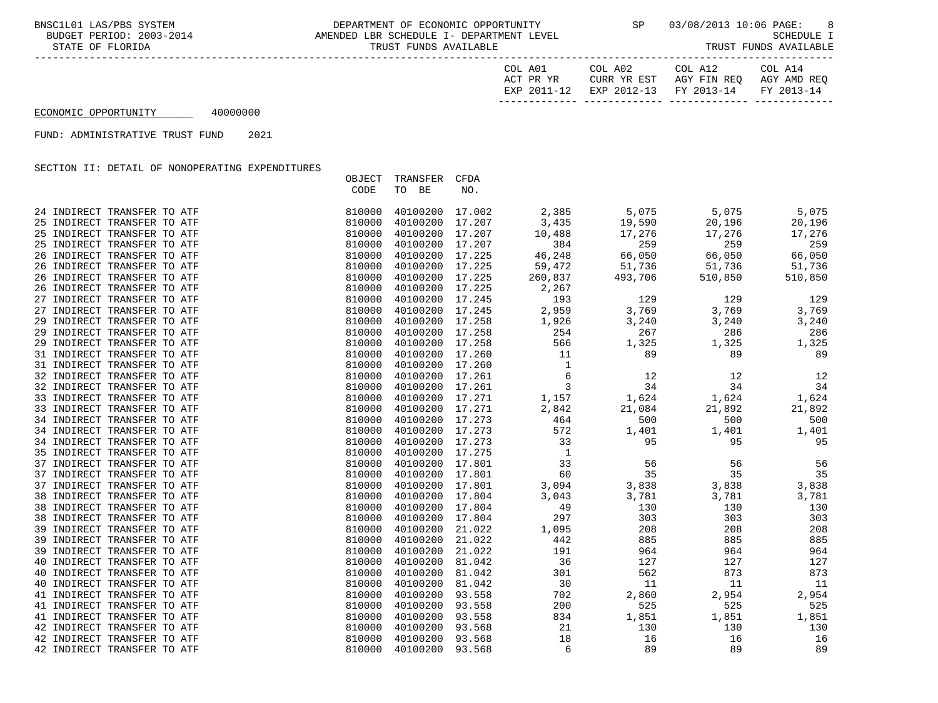BNSC1L01 LAS/PBS SYSTEM DEPARTMENT OF ECONOMIC OPPORTUNITY SP 03/08/2013 10:06 PAGE: 8<br>BUDGET PERIOD: 2003-2014 AMENDED LBR SCHEDULE I- DEPARTMENT AMENDED LBR SCHEDULE I- DEPARTMENT LEVEL SAMENDED SCHEDULE I<br>TRUST FUNDS AVAILABLE SCHEDULE I STATE OF FLORIDA TRUST FUNDS AVAILABLE

| COL A01     | COL A02                | COL A12     | COL A14     |
|-------------|------------------------|-------------|-------------|
| ACT PR YR   | CURR YR EST            | AGY FIN REO | AGY AMD REO |
| EXP 2011-12 | EXP 2012-13 FY 2013-14 |             | FY 2013-14  |
|             |                        |             |             |

ECONOMIC OPPORTUNITY 40000000

FUND: ADMINISTRATIVE TRUST FUND 2021

SECTION II: DETAIL OF NONOPERATING EXPENDITURES

|                             | OBJECT | TRANSFER        | CFDA   |                |         |         |         |
|-----------------------------|--------|-----------------|--------|----------------|---------|---------|---------|
|                             | CODE   | TO BE           | NO.    |                |         |         |         |
|                             |        |                 |        |                |         |         |         |
| 24 INDIRECT TRANSFER TO ATF | 810000 | 40100200 17.002 |        | 2,385          | 5,075   | 5,075   | 5,075   |
| 25 INDIRECT TRANSFER TO ATF | 810000 | 40100200        | 17.207 | 3,435          | 19,590  | 20,196  | 20,196  |
| 25 INDIRECT TRANSFER TO ATF | 810000 | 40100200        | 17.207 | 10,488         | 17,276  | 17,276  | 17,276  |
| 25 INDIRECT TRANSFER TO ATF | 810000 | 40100200 17.207 |        | 384            | 259     | 259     | 259     |
| 26 INDIRECT TRANSFER TO ATF | 810000 | 40100200        | 17.225 | 46,248         | 66,050  | 66,050  | 66,050  |
| 26 INDIRECT TRANSFER TO ATF | 810000 | 40100200 17.225 |        | 59,472         | 51,736  | 51,736  | 51,736  |
| 26 INDIRECT TRANSFER TO ATF | 810000 | 40100200 17.225 |        | 260,837        | 493,706 | 510,850 | 510,850 |
| 26 INDIRECT TRANSFER TO ATF | 810000 | 40100200 17.225 |        | 2,267          |         |         |         |
| 27 INDIRECT TRANSFER TO ATF | 810000 | 40100200        | 17.245 | 193            | 129     | 129     | 129     |
| 27 INDIRECT TRANSFER TO ATF | 810000 | 40100200 17.245 |        | 2,959          | 3,769   | 3,769   | 3,769   |
| 29 INDIRECT TRANSFER TO ATF | 810000 | 40100200 17.258 |        | 1,926          | 3,240   | 3,240   | 3,240   |
| 29 INDIRECT TRANSFER TO ATF | 810000 | 40100200        | 17.258 | 254            | 267     | 286     | 286     |
| 29 INDIRECT TRANSFER TO ATF | 810000 | 40100200 17.258 |        | 566            | 1,325   | 1,325   | 1,325   |
| 31 INDIRECT TRANSFER TO ATF | 810000 | 40100200 17.260 |        | 11             | 89      | 89      | 89      |
| 31 INDIRECT TRANSFER TO ATF | 810000 | 40100200        | 17.260 | $\mathbf{1}$   |         |         |         |
| 32 INDIRECT TRANSFER TO ATF | 810000 | 40100200        | 17.261 | 6              | 12      | 12      | 12      |
| 32 INDIRECT TRANSFER TO ATF | 810000 | 40100200 17.261 |        | 3              | 34      | 34      | 34      |
| 33 INDIRECT TRANSFER TO ATF | 810000 | 40100200 17.271 |        | 1,157          | 1,624   | 1,624   | 1,624   |
| 33 INDIRECT TRANSFER TO ATF | 810000 | 40100200 17.271 |        |                | 21,084  | 21,892  | 21,892  |
|                             |        |                 |        | 2,842          |         |         |         |
| 34 INDIRECT TRANSFER TO ATF | 810000 | 40100200 17.273 |        | 464            | 500     | 500     | 500     |
| 34 INDIRECT TRANSFER TO ATF | 810000 | 40100200 17.273 |        | 572            | 1,401   | 1,401   | 1,401   |
| 34 INDIRECT TRANSFER TO ATF | 810000 | 40100200        | 17.273 | 33             | 95      | 95      | 95      |
| 35 INDIRECT TRANSFER TO ATF | 810000 | 40100200 17.275 |        | $\overline{1}$ |         |         |         |
| 37 INDIRECT TRANSFER TO ATF | 810000 | 40100200 17.801 |        | 33             | 56      | 56      | 56      |
| 37 INDIRECT TRANSFER TO ATF | 810000 | 40100200        | 17.801 | 60             | 35      | 35      | 35      |
| 37 INDIRECT TRANSFER TO ATF | 810000 | 40100200 17.801 |        | 3,094          | 3,838   | 3,838   | 3,838   |
| 38 INDIRECT TRANSFER TO ATF | 810000 | 40100200 17.804 |        | 3,043          | 3,781   | 3,781   | 3,781   |
| 38 INDIRECT TRANSFER TO ATF | 810000 | 40100200        | 17.804 | 49             | 130     | 130     | 130     |
| 38 INDIRECT TRANSFER TO ATF | 810000 | 40100200        | 17.804 | 297            | 303     | 303     | 303     |
| 39 INDIRECT TRANSFER TO ATF | 810000 | 40100200        | 21.022 | 1,095          | 208     | 208     | 208     |
| 39 INDIRECT TRANSFER TO ATF | 810000 | 40100200        | 21.022 | 442            | 885     | 885     | 885     |
| 39 INDIRECT TRANSFER TO ATF | 810000 | 40100200        | 21.022 | 191            | 964     | 964     | 964     |
| 40 INDIRECT TRANSFER TO ATF | 810000 | 40100200        | 81.042 | 36             | 127     | 127     | 127     |
| 40 INDIRECT TRANSFER TO ATF | 810000 | 40100200        | 81.042 | 301            | 562     | 873     | 873     |
| 40 INDIRECT TRANSFER TO ATF | 810000 | 40100200        | 81.042 | 30             | 11      | 11      | 11      |
| 41 INDIRECT TRANSFER TO ATF | 810000 | 40100200        | 93.558 | 702            | 2,860   | 2,954   | 2,954   |
| 41 INDIRECT TRANSFER TO ATF | 810000 | 40100200        | 93.558 | 200            | 525     | 525     | 525     |
| 41 INDIRECT TRANSFER TO ATF | 810000 | 40100200        | 93.558 | 834            | 1,851   | 1,851   | 1,851   |
| 42 INDIRECT TRANSFER TO ATF | 810000 | 40100200        | 93.568 | 21             | 130     | 130     | 130     |
| 42 INDIRECT TRANSFER TO ATF | 810000 | 40100200        | 93.568 | 18             | 16      | 16      | 16      |
| 42 INDIRECT TRANSFER TO ATF | 810000 | 40100200        | 93.568 | 6              | 89      | 89      | 89      |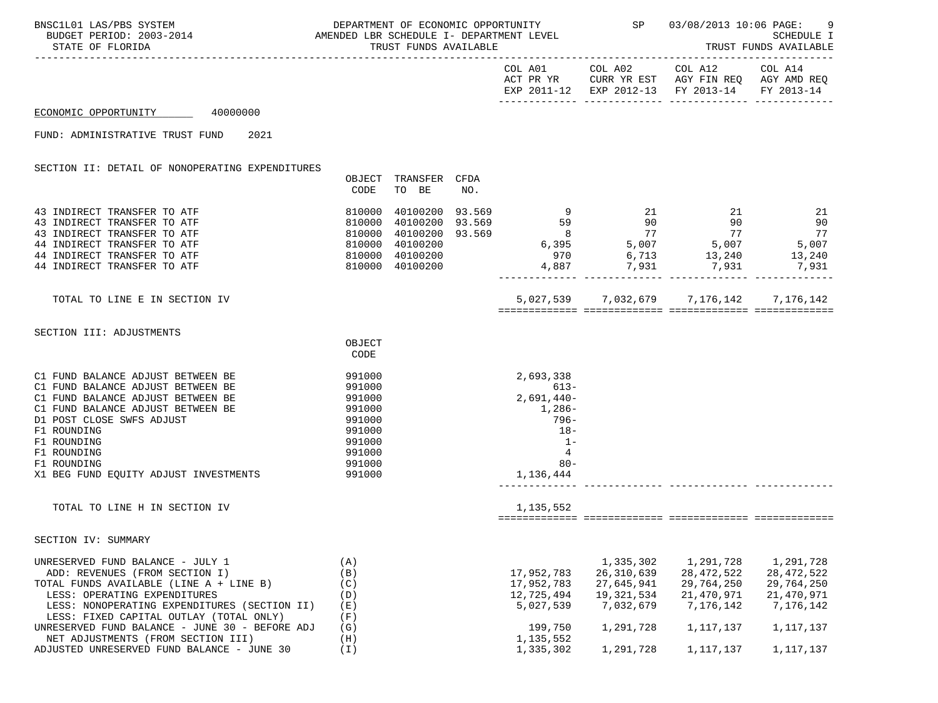| VERTMENT OF ECONOMIC OPPORTUNITY STANDED AND DEPARTMENT OF ECONOMIC OPPORTUNITY STANDER SPARE OS/08/2013 10:06 PAGE:<br>BUDGET PERIOD: 2003-2014 AMENDED LBR SCHEDULE I- DEPARTMENT LEVEL<br>BNSC1L01 LAS/PBS SYSTEM<br>STATE OF FLORIDA                                                                                                                                        |                                                                                                  | TRUST FUNDS AVAILABLE         |     |                                                                                                                      |                                                                                              | SCHEDULE I<br>TRUST FUNDS AVAILABLE                                                                                                                                                                                                                                                                                                                               | 9                                                                                            |
|---------------------------------------------------------------------------------------------------------------------------------------------------------------------------------------------------------------------------------------------------------------------------------------------------------------------------------------------------------------------------------|--------------------------------------------------------------------------------------------------|-------------------------------|-----|----------------------------------------------------------------------------------------------------------------------|----------------------------------------------------------------------------------------------|-------------------------------------------------------------------------------------------------------------------------------------------------------------------------------------------------------------------------------------------------------------------------------------------------------------------------------------------------------------------|----------------------------------------------------------------------------------------------|
|                                                                                                                                                                                                                                                                                                                                                                                 |                                                                                                  |                               |     |                                                                                                                      |                                                                                              | $\begin{tabular}{lllllllll} \multicolumn{2}{l}{{\text{COL A01}}} & \multicolumn{2}{c}{\text{COL A12}} & \multicolumn{2}{c}{\text{COL A14}}\\ \multicolumn{2}{c}{\text{COL A01}} & \multicolumn{2}{c}{\text{COL A12}} & \multicolumn{2}{c}{\text{COL A14}}\\ \end{tabular}$<br>ACT PR YR CURR YR EST AGY FIN REQ AGY AMD REQ<br>EXP 2011-12 EXP 2012-13 FY 2013-14 | FY 2013-14                                                                                   |
| ECONOMIC OPPORTUNITY 40000000                                                                                                                                                                                                                                                                                                                                                   |                                                                                                  |                               |     |                                                                                                                      |                                                                                              |                                                                                                                                                                                                                                                                                                                                                                   |                                                                                              |
| FUND: ADMINISTRATIVE TRUST FUND 2021                                                                                                                                                                                                                                                                                                                                            |                                                                                                  |                               |     |                                                                                                                      |                                                                                              |                                                                                                                                                                                                                                                                                                                                                                   |                                                                                              |
| SECTION II: DETAIL OF NONOPERATING EXPENDITURES                                                                                                                                                                                                                                                                                                                                 | CODE                                                                                             | OBJECT TRANSFER CFDA<br>TO BE | NO. |                                                                                                                      |                                                                                              |                                                                                                                                                                                                                                                                                                                                                                   |                                                                                              |
| 810000<br>43 INDIRECT TRANSFER TO ATF<br>$\begin{array}{rrrr} 810000 & 40100200 \ 810000 & 40100200 \ 810000 & 40100200 \ 810000 & 40100200 \ 810000 & 40100200 \ 810000 & 40100200 \ 810000 & 40100200 \end{array}$<br>43 INDIRECT TRANSFER TO ATF<br>43 INDIRECT TRANSFER TO ATF<br>44 INDIRECT TRANSFER TO ATF<br>44 INDIRECT TRANSFER TO ATF<br>44 INDIRECT TRANSFER TO ATF |                                                                                                  |                               |     |                                                                                                                      |                                                                                              | $\begin{array}{cccccccc} 40100200 & 93.569 & & 9 & 21 & 21 & 21 \\ 40100200 & 93.569 & & 59 & 90 & 90 & 90 \\ 40100200 & 93.569 & & 8 & 77 & 77 & 77 \\ 40100200 & & & 8 & 77 & 77 & 77 \\ 40100200 & & & 970 & 6,713 & 13,240 & 13,240 \\ 40100200 & & & 4,887 & 7,931 & 7,931 & 7,931 \\ 4$                                                                     |                                                                                              |
| TOTAL TO LINE E IN SECTION IV                                                                                                                                                                                                                                                                                                                                                   |                                                                                                  |                               |     |                                                                                                                      |                                                                                              | 5,027,539 7,032,679 7,176,142 7,176,142                                                                                                                                                                                                                                                                                                                           |                                                                                              |
| SECTION III: ADJUSTMENTS                                                                                                                                                                                                                                                                                                                                                        | OBJECT<br>CODE                                                                                   |                               |     |                                                                                                                      |                                                                                              |                                                                                                                                                                                                                                                                                                                                                                   |                                                                                              |
| C1 FUND BALANCE ADJUST BETWEEN BE<br>C1 FUND BALANCE ADJUST BETWEEN BE<br>C1 FUND BALANCE ADJUST BETWEEN BE<br>C1 FUND BALANCE ADJUST BETWEEN BE<br>D1 POST CLOSE SWFS ADJUST<br>F1 ROUNDING<br>F1 ROUNDING<br>F1 ROUNDING<br>F1 ROUNDING<br>X1 BEG FUND EQUITY ADJUST INVESTMENTS                                                                                              | 991000<br>991000<br>991000<br>991000<br>991000<br>991000<br>991000<br>991000<br>991000<br>991000 |                               |     | 2,693,338<br>$613 -$<br>$2,691,440-$<br>1,286-<br>$796 -$<br>$18-$<br>$1 -$<br>$\overline{4}$<br>$80 -$<br>1,136,444 |                                                                                              |                                                                                                                                                                                                                                                                                                                                                                   |                                                                                              |
| TOTAL TO LINE H IN SECTION IV                                                                                                                                                                                                                                                                                                                                                   |                                                                                                  |                               |     | 1,135,552                                                                                                            |                                                                                              |                                                                                                                                                                                                                                                                                                                                                                   |                                                                                              |
| SECTION IV: SUMMARY                                                                                                                                                                                                                                                                                                                                                             |                                                                                                  |                               |     |                                                                                                                      |                                                                                              |                                                                                                                                                                                                                                                                                                                                                                   |                                                                                              |
| UNRESERVED FUND BALANCE - JULY 1<br>ADD: REVENUES (FROM SECTION I)<br>TOTAL FUNDS AVAILABLE (LINE A + LINE B)<br>LESS: OPERATING EXPENDITURES<br>LESS: NONOPERATING EXPENDITURES (SECTION II)<br>LESS: FIXED CAPITAL OUTLAY (TOTAL ONLY)<br>UNRESERVED FUND BALANCE - JUNE 30 - BEFORE ADJ<br>NET ADJUSTMENTS (FROM SECTION III)<br>ADJUSTED UNRESERVED FUND BALANCE - JUNE 30  | (A)<br>(B)<br>(C)<br>(D)<br>(E)<br>(F)<br>(G)<br>(H)<br>(I)                                      |                               |     | 17,952,783<br>17,952,783<br>12,725,494<br>5,027,539<br>199,750<br>1,135,552<br>1,335,302                             | 1,335,302<br>26, 310, 639<br>27,645,941<br>19,321,534<br>7,032,679<br>1,291,728<br>1,291,728 | 1,291,728<br>28, 472, 522<br>29,764,250<br>21,470,971<br>7,176,142<br>1,117,137<br>1,117,137                                                                                                                                                                                                                                                                      | 1,291,728<br>28, 472, 522<br>29,764,250<br>21,470,971<br>7,176,142<br>1,117,137<br>1,117,137 |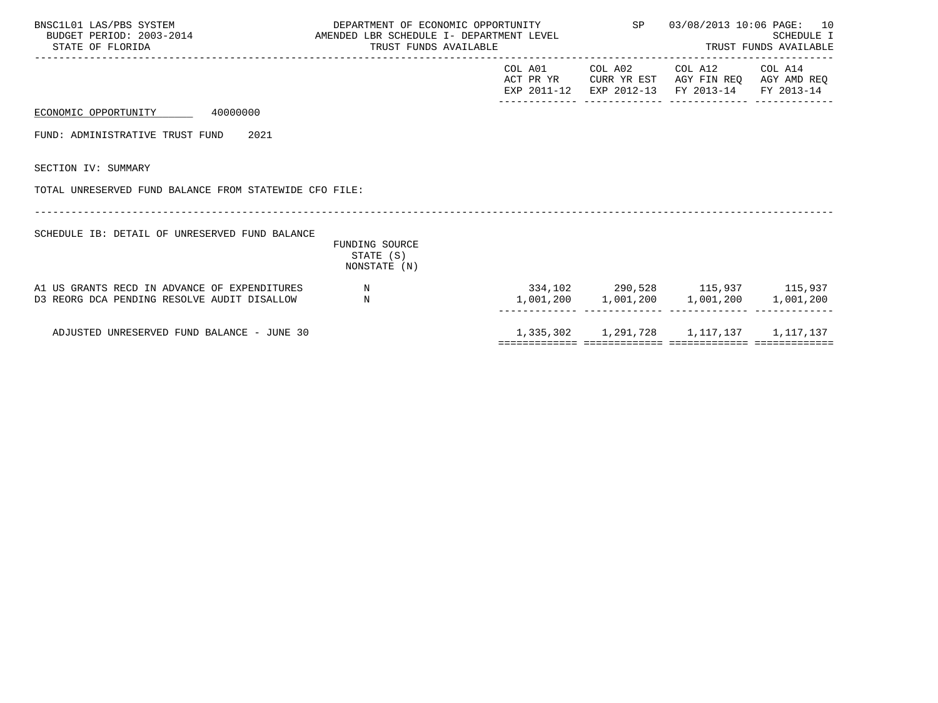| BNSC1L01 LAS/PBS SYSTEM<br>BUDGET PERIOD: 2003-2014 AMENDED LBR SCHEDULE I- DEPARTMENT LEVEL<br>STATE OF FLORIDA | DEPARTMENT OF ECONOMIC OPPORTUNITY<br>TRUST FUNDS AVAILABLE |  | SP 03/08/2013 10:06 PAGE: 10<br>SCHEDULE I<br>TRUST FUNDS AVAILABLE                                                               | <b>SCHEDULE I</b> |
|------------------------------------------------------------------------------------------------------------------|-------------------------------------------------------------|--|-----------------------------------------------------------------------------------------------------------------------------------|-------------------|
|                                                                                                                  |                                                             |  | COL A01 COL A02 COL A12 COL A14<br>ACT PR YR CURR YR EST AGY FIN REO AGY AMD REO<br>EXP 2011-12 EXP 2012-13 FY 2013-14 FY 2013-14 |                   |
| ECONOMIC OPPORTUNITY 40000000                                                                                    |                                                             |  |                                                                                                                                   |                   |
| FUND: ADMINISTRATIVE TRUST FUND 2021                                                                             |                                                             |  |                                                                                                                                   |                   |
| SECTION IV: SUMMARY                                                                                              |                                                             |  |                                                                                                                                   |                   |
| TOTAL UNRESERVED FUND BALANCE FROM STATEWIDE CFO FILE:                                                           |                                                             |  |                                                                                                                                   |                   |
| SCHEDULE IB: DETAIL OF UNRESERVED FUND BALANCE                                                                   | <b>FUNDING SOURCE</b><br>STATE (S)<br>NONSTATE (N)          |  |                                                                                                                                   |                   |
| A1 US GRANTS RECD IN ADVANCE OF EXPENDITURES<br>D3 REORG DCA PENDING RESOLVE AUDIT DISALLOW                      | $\mathbf N$<br>N                                            |  | 334,102 290,528 115,937 115,937<br>1,001,200 1,001,200 1,001,200 1,001,200                                                        |                   |
| ADJUSTED UNRESERVED FUND BALANCE - JUNE 30                                                                       |                                                             |  | 1, 335, 302 1, 291, 728 1, 117, 137 1, 117, 137                                                                                   |                   |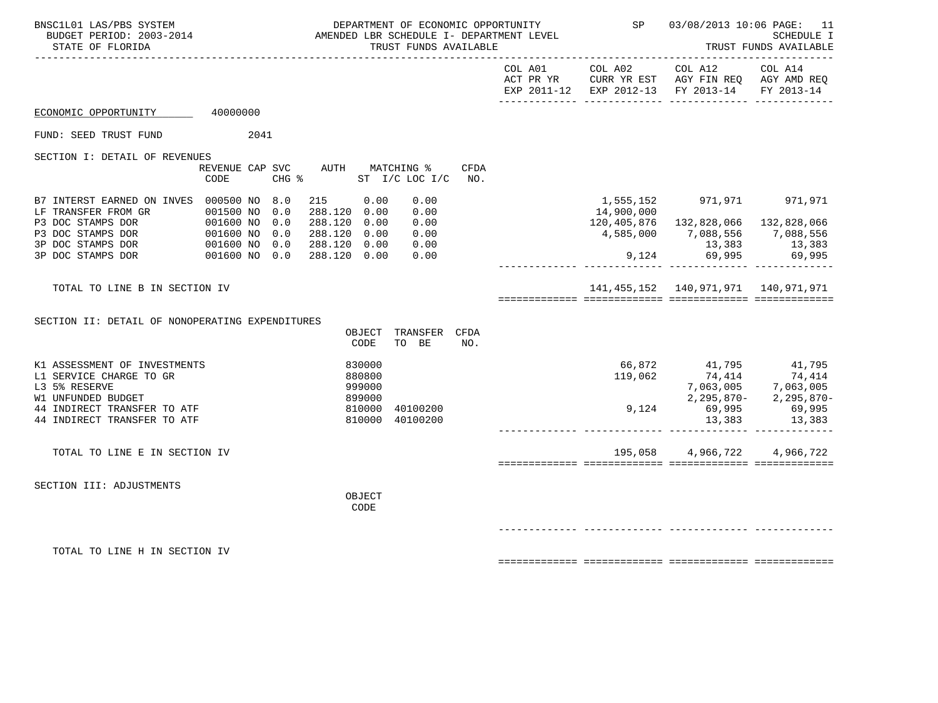| BNSC1L01 LAS/PBS SYSTEM<br>BUDGET PERIOD: 2003-2014 AMENDED LBR SCHEDULE I- DEPARTMENT LEVEL<br>STATE OF FLORIDA                                                                                               |                                           |                                                                                          | TRUST FUNDS AVAILABLE                        | DEPARTMENT OF ECONOMIC OPPORTUNITY 5P 03/08/2013 10:06 PAGE: 11 |            |                                                                                                                                                                                     | SCHEDULE I<br>TRUST FUNDS AVAILABLE |
|----------------------------------------------------------------------------------------------------------------------------------------------------------------------------------------------------------------|-------------------------------------------|------------------------------------------------------------------------------------------|----------------------------------------------|-----------------------------------------------------------------|------------|-------------------------------------------------------------------------------------------------------------------------------------------------------------------------------------|-------------------------------------|
|                                                                                                                                                                                                                |                                           |                                                                                          |                                              | COL A01                                                         |            | COL A02 COL A12 COL A14<br>ACT PR YR CURR YR EST AGY FIN REQ AGY AMD REQ<br>EXP 2011-12 EXP 2012-13 FY 2013-14 FY 2013-14                                                           |                                     |
| ECONOMIC OPPORTUNITY 40000000                                                                                                                                                                                  |                                           |                                                                                          |                                              |                                                                 |            |                                                                                                                                                                                     |                                     |
| FUND: SEED TRUST FUND                                                                                                                                                                                          | 2041                                      |                                                                                          |                                              |                                                                 |            |                                                                                                                                                                                     |                                     |
| SECTION I: DETAIL OF REVENUES                                                                                                                                                                                  | REVENUE CAP SVC AUTH MATCHING %<br>CODE   | CHG % ST I/C LOC I/C                                                                     | CFDA<br>NO.                                  |                                                                 |            |                                                                                                                                                                                     |                                     |
| B7 INTERST EARNED ON INVES 000500 NO 8.0<br>LF TRANSFER FROM GR DO 1500 NO<br>P3 DOC STAMPS DOR P3 DOC STAMPS DOR<br>P3 DOC STAMPS DOR 001600 NO<br>P3 DOC STAMPS DOR 001600 NO 001600 NO<br>3P DOC STAMPS DOR | 0.0<br>0.0<br>0.0<br>0.0<br>001600 NO 0.0 | 215 0.00<br>288.120 0.00<br>288.120 0.00<br>288.120 0.00<br>288.120 0.00<br>288.120 0.00 | 0.00<br>0.00<br>0.00<br>0.00<br>0.00<br>0.00 |                                                                 | 14,900,000 | 1,555,152 971,971 971,971<br>120,405,876  132,828,066  132,828,066<br>4,585,000 7,088,556 7,088,556<br>$13,383$<br>9,124 69,995 69,995                                              |                                     |
| TOTAL TO LINE B IN SECTION IV                                                                                                                                                                                  |                                           |                                                                                          |                                              |                                                                 |            | 141, 455, 152 140, 971, 971 140, 971, 971                                                                                                                                           |                                     |
| SECTION II: DETAIL OF NONOPERATING EXPENDITURES                                                                                                                                                                |                                           | CODE                                                                                     | OBJECT TRANSFER CFDA<br>TO BE<br>NO.         |                                                                 |            |                                                                                                                                                                                     |                                     |
| K1 ASSESSMENT OF INVESTMENTS<br>L1 SERVICE CHARGE TO GR<br>L3 5% RESERVE<br>W1 UNFUNDED BUDGET<br>44 INDIRECT TRANSFER TO ATF<br>44 INDIRECT TRANSFER TO ATF                                                   |                                           | 830000<br>880800<br>999000<br>899000<br>810000<br>810000 40100200                        | 40100200                                     |                                                                 |            | $\begin{array}{cccc} 66,872 & 41,795 & 41,795 \\ 119,062 & 74,414 & 74,414 \\ 7,063,005 & 7,063,005 \\ 2,295,870- & 2,295,870- \\ 9,124 & 69,995 & 69,995 \\ \end{array}$<br>13,383 | 13,383                              |
| TOTAL TO LINE E IN SECTION IV                                                                                                                                                                                  |                                           |                                                                                          |                                              |                                                                 |            | 195,058 4,966,722                                                                                                                                                                   | 4,966,722                           |
| SECTION III: ADJUSTMENTS                                                                                                                                                                                       |                                           | OBJECT<br>CODE                                                                           |                                              |                                                                 |            |                                                                                                                                                                                     |                                     |
|                                                                                                                                                                                                                |                                           |                                                                                          |                                              |                                                                 |            |                                                                                                                                                                                     |                                     |
| TOTAL TO LINE H IN SECTION IV                                                                                                                                                                                  |                                           |                                                                                          |                                              |                                                                 |            |                                                                                                                                                                                     |                                     |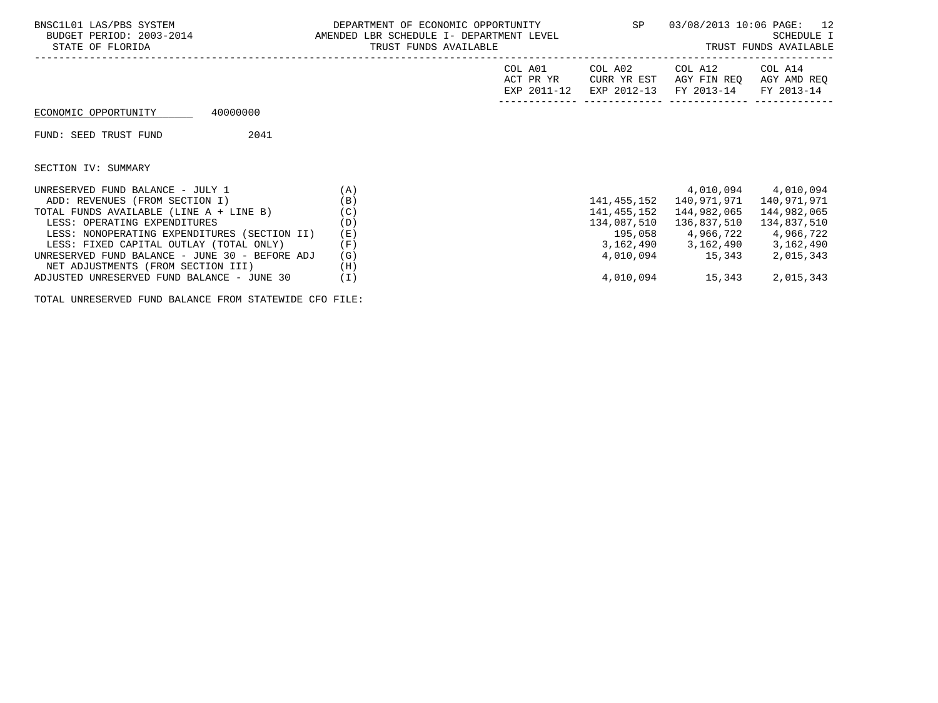| BNSC1L01 LAS/PBS SYSTEM<br>BUDGET PERIOD: 2003-2014 AMENDED LBR SCHEDULE I- DEPARTMENT LEVEL<br>STATE OF FLORIDA | DEPARTMENT OF ECONOMIC OPPORTUNITY<br>TRUST FUNDS AVAILABLE |                                     |             | SP 03/08/2013 10:06 PAGE: 12<br>TRUST FUNDS AVAILABLE        | SCHEDULE I                           |
|------------------------------------------------------------------------------------------------------------------|-------------------------------------------------------------|-------------------------------------|-------------|--------------------------------------------------------------|--------------------------------------|
|                                                                                                                  |                                                             | COL A01<br>ACT PR YR<br>EXP 2011-12 | COL A02     | COL A12<br>CURR YR EST AGY FIN REO<br>EXP 2012-13 FY 2013-14 | COL A14<br>AGY AMD REO<br>FY 2013-14 |
| 40000000<br>ECONOMIC OPPORTUNITY                                                                                 |                                                             |                                     |             |                                                              |                                      |
| 2041<br>FUND: SEED TRUST FUND                                                                                    |                                                             |                                     |             |                                                              |                                      |
| SECTION IV: SUMMARY                                                                                              |                                                             |                                     |             |                                                              |                                      |
| UNRESERVED FUND BALANCE - JULY $1$ (A)                                                                           |                                                             |                                     |             |                                                              | 4,010,094 4,010,094                  |
| ADD: REVENUES (FROM SECTION I)                                                                                   | (B)                                                         |                                     |             | 141, 455, 152 140, 971, 971 140, 971, 971                    |                                      |
| TOTAL FUNDS AVAILABLE (LINE A + LINE B)                                                                          | (C)                                                         |                                     | 141,455,152 | 144,982,065 144,982,065                                      |                                      |
| LESS: OPERATING EXPENDITURES                                                                                     | (D)                                                         |                                     |             | 134,087,510 136,837,510 134,837,510                          |                                      |
| LESS: NONOPERATING EXPENDITURES (SECTION II)                                                                     | ( E )                                                       |                                     |             | 195,058 4,966,722 4,966,722                                  |                                      |
| LESS: FIXED CAPITAL OUTLAY (TOTAL ONLY)                                                                          | (F)                                                         |                                     |             | 3, 162, 490 3, 162, 490 3, 162, 490                          |                                      |
| UNRESERVED FUND BALANCE - JUNE 30 - BEFORE ADJ<br>NET ADJUSTMENTS (FROM SECTION III)                             | (G)<br>(H)                                                  |                                     |             | 4,010,094 15,343                                             | 2,015,343                            |
| ADJUSTED UNRESERVED FUND BALANCE - JUNE 30                                                                       | ( I )                                                       |                                     |             | 4,010,094 15,343                                             | 2,015,343                            |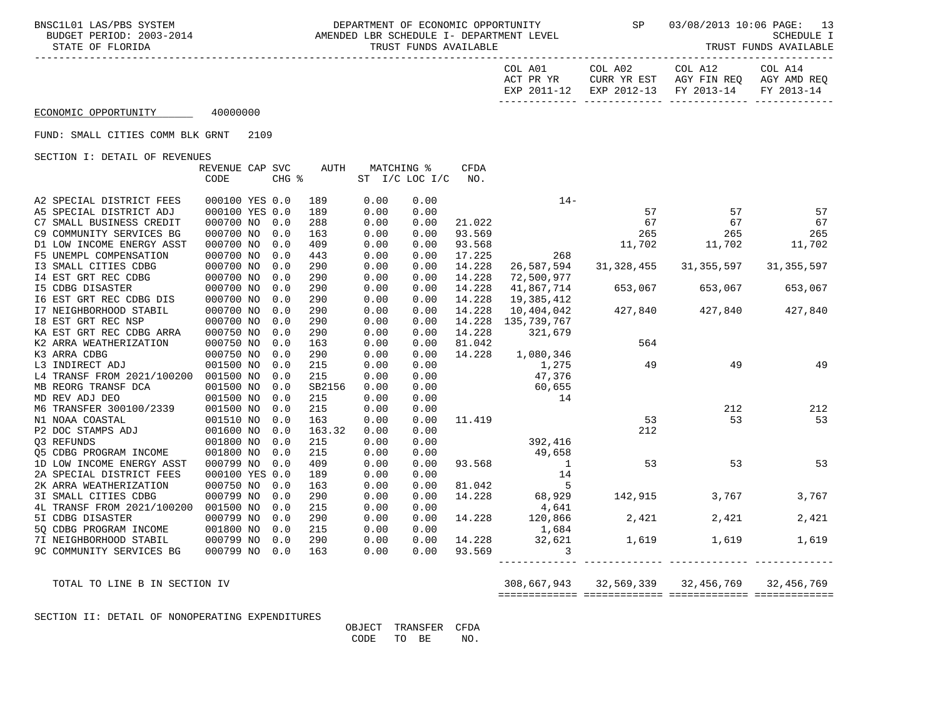BNSC1L01 LAS/PBS SYSTEM DEPARTMENT OF ECONOMIC OPPORTUNITY SP 03/08/2013 10:06 PAGE: 13 AMENDED LBR SCHEDULE I- DEPARTMENT LEVEL STATE OF FLORIDA STATE OF FUNDS AVAILABLE STATE OF FUNDS AVAILABLE STATE OF FUNDS AVAILABLE STATE OF TRUST FUNDS AVAILABLE

| COL A14     | COL A12                           | COL A02     | COL A01     |
|-------------|-----------------------------------|-------------|-------------|
| AGY AMD REO | AGY FIN REO                       | CURR YR EST | ACT PR YR   |
|             | EXP 2012-13 FY 2013-14 FY 2013-14 |             | EXP 2011-12 |
|             |                                   |             |             |

## ECONOMIC OPPORTUNITY 40000000

FUND: SMALL CITIES COMM BLK GRNT 2109

SECTION I: DETAIL OF REVENUES

|                               | REVENUE CAP SVC |       | AUTH   | MATCHING % |                | CFDA   |                        |         |                                   |            |
|-------------------------------|-----------------|-------|--------|------------|----------------|--------|------------------------|---------|-----------------------------------|------------|
|                               | CODE            | CHG % |        |            | ST I/C LOC I/C | NO.    |                        |         |                                   |            |
|                               |                 |       |        |            |                |        |                        |         |                                   |            |
| A2 SPECIAL DISTRICT FEES      | 000100 YES 0.0  |       | 189    | 0.00       | 0.00           |        | $14-$                  |         |                                   |            |
| A5 SPECIAL DISTRICT ADJ       | 000100 YES 0.0  |       | 189    | 0.00       | 0.00           |        |                        | 57      | 57                                | 57         |
| C7 SMALL BUSINESS CREDIT      | 000700 NO       | 0.0   | 288    | 0.00       | 0.00           | 21.022 |                        | 67      | 67                                | 67         |
| C9 COMMUNITY SERVICES BG      | 000700 NO       | 0.0   | 163    | 0.00       | 0.00           | 93.569 |                        | 265     | 265                               | 265        |
| D1 LOW INCOME ENERGY ASST     | 000700 NO       | 0.0   | 409    | 0.00       | 0.00           | 93.568 |                        | 11,702  | 11,702                            | 11,702     |
| F5 UNEMPL COMPENSATION        | 000700 NO       | 0.0   | 443    | 0.00       | 0.00           | 17.225 | 268                    |         |                                   |            |
| I3 SMALL CITIES CDBG          | 000700 NO       | 0.0   | 290    | 0.00       | 0.00           | 14.228 | 26,587,594             |         | 31, 328, 455 31, 355, 597         | 31,355,597 |
| 14 EST GRT REC CDBG           | 000700 NO       | 0.0   | 290    | 0.00       | 0.00           | 14.228 | 72,500,977             |         |                                   |            |
| <b>I5 CDBG DISASTER</b>       | 000700 NO       | 0.0   | 290    | 0.00       | 0.00           | 14.228 | 41,867,714             | 653,067 | 653,067                           | 653,067    |
| 16 EST GRT REC CDBG DIS       | 000700 NO       | 0.0   | 290    | 0.00       | 0.00           | 14.228 | 19,385,412             |         |                                   |            |
| I7 NEIGHBORHOOD STABIL        | 000700 NO       | 0.0   | 290    | 0.00       | 0.00           | 14.228 | 10,404,042             |         | 427,840 427,840                   | 427,840    |
| 18 EST GRT REC NSP            | 000700 NO       | 0.0   | 290    | 0.00       | 0.00           | 14.228 | 135,739,767            |         |                                   |            |
| KA EST GRT REC CDBG ARRA      | 000750 NO       | 0.0   | 290    | 0.00       | 0.00           | 14.228 | 321,679                |         |                                   |            |
| K2 ARRA WEATHERIZATION        | 000750 NO       | 0.0   | 163    | 0.00       | 0.00           | 81.042 |                        | 564     |                                   |            |
| K3 ARRA CDBG                  | 000750 NO       | 0.0   | 290    | 0.00       | 0.00           | 14.228 | 1,080,346              |         |                                   |            |
| L3 INDIRECT ADJ               | 001500 NO       | 0.0   | 215    | 0.00       | 0.00           |        |                        | 49      | 49                                | 49         |
| L4 TRANSF FROM 2021/100200    | 001500 NO       | 0.0   | 215    | 0.00       | 0.00           |        | 1,275<br>47,376        |         |                                   |            |
| MB REORG TRANSF DCA           | 001500 NO       | 0.0   | SB2156 | 0.00       | 0.00           |        | 60,655                 |         |                                   |            |
| MD REV ADJ DEO                | 001500 NO       | 0.0   | 215    | 0.00       | 0.00           |        | 14                     |         |                                   |            |
| M6 TRANSFER 300100/2339       | 001500 NO       | 0.0   | 215    | 0.00       | 0.00           |        |                        |         | 212                               | 212        |
| N1 NOAA COASTAL               | 001510 NO       | 0.0   | 163    | 0.00       | 0.00           | 11.419 |                        | 53      | 53                                | 53         |
| P2 DOC STAMPS ADJ             | 001600 NO       | 0.0   | 163.32 | 0.00       | 0.00           |        |                        | 212     |                                   |            |
| 03 REFUNDS                    | 001800 NO       | 0.0   | 215    | 0.00       | 0.00           |        | 392,416                |         |                                   |            |
| 05 CDBG PROGRAM INCOME        | 001800 NO       | 0.0   | 215    | 0.00       | 0.00           |        |                        |         |                                   |            |
| 1D LOW INCOME ENERGY ASST     | 000799 NO       | 0.0   | 409    | 0.00       | 0.00           |        | $49,658$<br>93.568 $1$ | 53      | 53                                | 53         |
| 2A SPECIAL DISTRICT FEES      | 000100 YES 0.0  |       | 189    | 0.00       | 0.00           |        | 14                     |         |                                   |            |
| 2K ARRA WEATHERIZATION        | 000750 NO       | 0.0   | 163    | 0.00       | 0.00           |        | 81.042 5               |         |                                   |            |
| 3I SMALL CITIES CDBG          | 000799 NO       | 0.0   | 290    | 0.00       | 0.00           | 14.228 | 68,929                 |         | 142,915 3,767                     | 3,767      |
| 4L TRANSF FROM 2021/100200    | 001500 NO       | 0.0   | 215    | 0.00       | 0.00           |        | 4,641                  |         |                                   |            |
| 51 CDBG DISASTER              | 000799 NO       | 0.0   | 290    | 0.00       | 0.00           | 14.228 | 120,866                |         | 2,421 2,421                       | 2,421      |
| 5Q CDBG PROGRAM INCOME        | 001800 NO       | 0.0   | 215    | 0.00       | 0.00           |        | 1,684                  |         |                                   |            |
| 7I NEIGHBORHOOD STABIL        | 000799 NO       | 0.0   | 290    | 0.00       | 0.00           | 14.228 | 32,621                 |         | 1,619 1,619                       | 1,619      |
| 9C COMMUNITY SERVICES BG      | 000799 NO       | 0.0   | 163    | 0.00       | 0.00           | 93.569 | 3                      |         |                                   |            |
|                               |                 |       |        |            |                |        |                        |         |                                   |            |
|                               |                 |       |        |            |                |        |                        |         |                                   |            |
| TOTAL TO LINE B IN SECTION IV |                 |       |        |            |                |        |                        |         | 308,667,943 32,569,339 32,456,769 | 32,456,769 |

SECTION II: DETAIL OF NONOPERATING EXPENDITURES

 OBJECT TRANSFER CFDA CODE TO BE NO.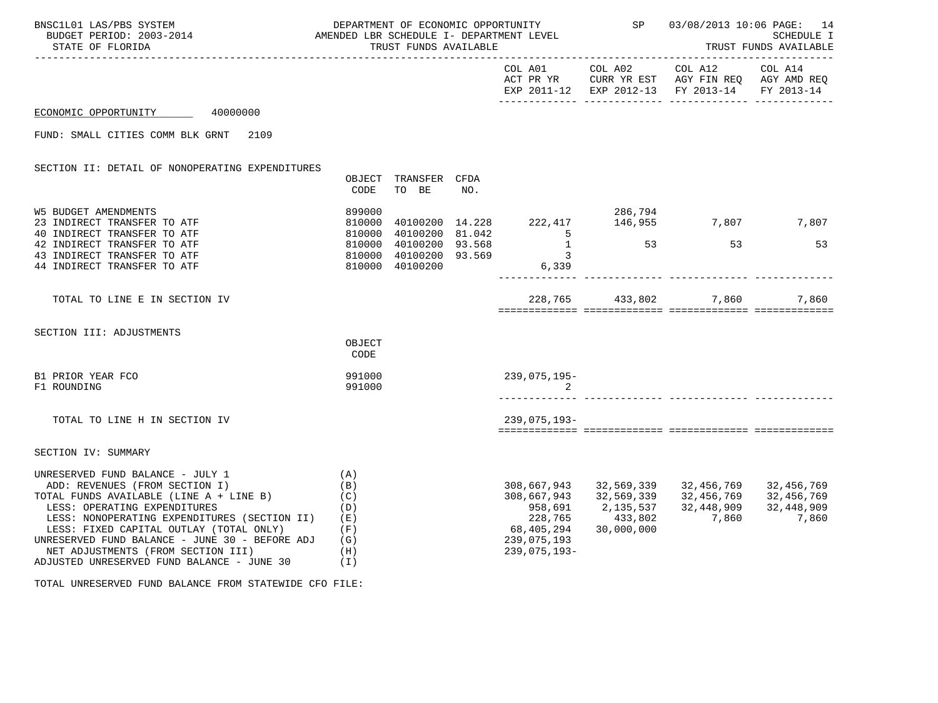| BNSC1L01 LAS/PBS SYSTEM<br>DEPARTMENT OF ECONOMIC OPPORTUNITY<br>AMENDED LBR SCHEDULE I- DEPARTMENT LEVEL<br>BUDGET PERIOD: 2003-2014<br>STATE OF FLORIDA                                                                                                                                                                                                                      |                                                             | TRUST FUNDS AVAILABLE         |     | DEPARTMENT OF ECONOMIC OPPORTUNITY SP        | 03/08/2013 10:06 PAGE: 14<br>TRUST FUND<br>SCHEDULE I<br>TRUST FUNDS AVAILABLE |                                                                                                                                   |  |
|--------------------------------------------------------------------------------------------------------------------------------------------------------------------------------------------------------------------------------------------------------------------------------------------------------------------------------------------------------------------------------|-------------------------------------------------------------|-------------------------------|-----|----------------------------------------------|--------------------------------------------------------------------------------|-----------------------------------------------------------------------------------------------------------------------------------|--|
|                                                                                                                                                                                                                                                                                                                                                                                |                                                             |                               |     |                                              |                                                                                | COL A01 COL A02 COL A12 COL A14<br>ACT PR YR CURR YR EST AGY FIN REQ AGY AMD REQ<br>EXP 2011-12 EXP 2012-13 FY 2013-14 FY 2013-14 |  |
| ECONOMIC OPPORTUNITY 40000000                                                                                                                                                                                                                                                                                                                                                  |                                                             |                               |     |                                              |                                                                                |                                                                                                                                   |  |
| FUND: SMALL CITIES COMM BLK GRNT<br>2109                                                                                                                                                                                                                                                                                                                                       |                                                             |                               |     |                                              |                                                                                |                                                                                                                                   |  |
| SECTION II: DETAIL OF NONOPERATING EXPENDITURES                                                                                                                                                                                                                                                                                                                                | CODE                                                        | OBJECT TRANSFER CFDA<br>TO BE | NO. |                                              |                                                                                |                                                                                                                                   |  |
| <b>W5 BUDGET AMENDMENTS</b><br>23 INDIRECT TRANSFER TO ATF<br>40 INDIRECT TRANSFER TO ATF                                                                                                                                                                                                                                                                                      |                                                             |                               |     |                                              |                                                                                |                                                                                                                                   |  |
| 8399000<br>810000 40100200 14.228 222,417 146,955 7,807 7,807<br>810000 40100200 81.042 5<br>810000 40100200 93.568 1 53 53 53<br>810000 40100200 93.569 3<br>810000 40100200 93.569 6,339<br>42 INDIRECT TRANSFER TO ATF<br>43 INDIRECT TRANSFER TO ATF<br>44 INDIRECT TRANSFER TO ATF                                                                                        |                                                             |                               |     |                                              |                                                                                |                                                                                                                                   |  |
| TOTAL TO LINE E IN SECTION IV                                                                                                                                                                                                                                                                                                                                                  |                                                             |                               |     |                                              |                                                                                | 228,765 433,802 7,860 7,860                                                                                                       |  |
| SECTION III: ADJUSTMENTS                                                                                                                                                                                                                                                                                                                                                       | OBJECT<br>CODE                                              |                               |     |                                              |                                                                                |                                                                                                                                   |  |
| B1 PRIOR YEAR FCO<br>F1 ROUNDING                                                                                                                                                                                                                                                                                                                                               | 991000<br>991000                                            |                               |     | 239,075,195-<br>$\sim$ 2                     |                                                                                |                                                                                                                                   |  |
| TOTAL TO LINE H IN SECTION IV                                                                                                                                                                                                                                                                                                                                                  |                                                             |                               |     | 239,075,193-                                 |                                                                                |                                                                                                                                   |  |
| SECTION IV: SUMMARY                                                                                                                                                                                                                                                                                                                                                            |                                                             |                               |     |                                              |                                                                                |                                                                                                                                   |  |
| UNRESERVED FUND BALANCE - JULY 1<br>ADD: REVENUES (FROM SECTION I)<br>TOTAL FUNDS AVAILABLE (LINE A + LINE B)<br>LESS: OPERATING EXPENDITURES<br>LESS: NONOPERATING EXPENDITURES (SECTION II)<br>LESS: FIXED CAPITAL OUTLAY (TOTAL ONLY)<br>UNRESERVED FUND BALANCE - JUNE 30 - BEFORE ADJ<br>NET ADJUSTMENTS (FROM SECTION III)<br>ADJUSTED UNRESERVED FUND BALANCE - JUNE 30 | (A)<br>(B)<br>(C)<br>(D)<br>(E)<br>(F)<br>(G)<br>(H)<br>(1) |                               |     | 68,405,294<br>239,075,193<br>$239,075,193 -$ | 30,000,000                                                                     | 308,667,943 32,569,339 32,456,769 32,456,769<br>308,667,943 32,569,339 32,456,769 32,456,769                                      |  |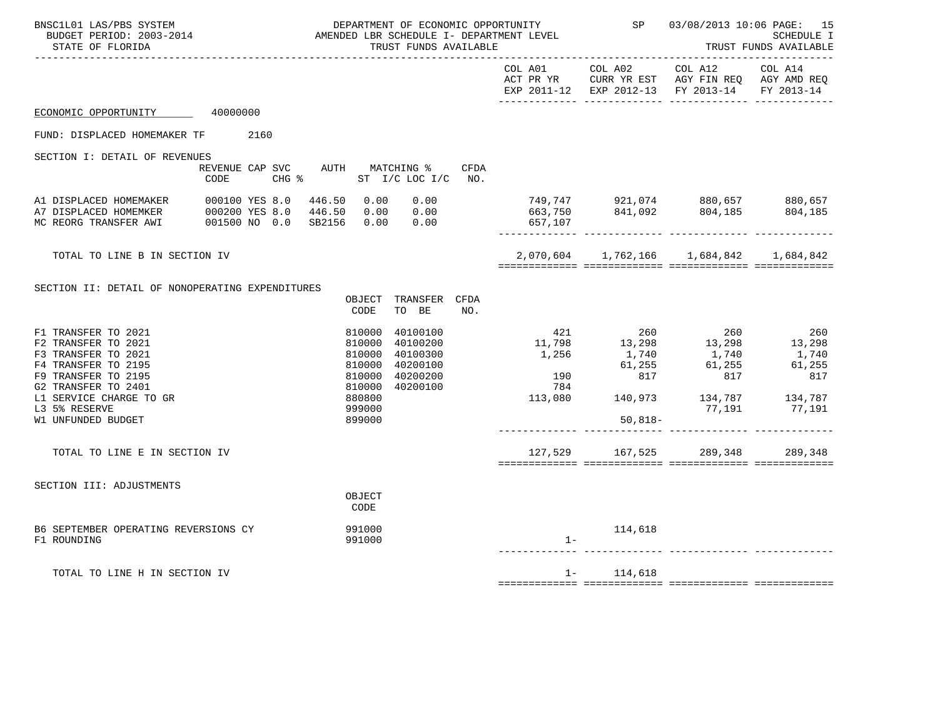| BNSC1L01 LAS/PBS SYSTEM<br>STATE OF FLORIDA                                                                                                                                                              | DEPARTMENT OF ECONOMIC OPPORTUNITY<br>AMENDED LBR SCHEDULE I- DEPARTMENT LEVEL<br>BUDGET PERIOD: 2003-2014<br>TRUST FUNDS AVAILABLE |  |  |  |                                                                                        |                                                                       |      | SP 03/08/2013 10:06 PAGE: 15<br><b>SCHEDULE I</b><br>TRUST FUNDS AVAILABLE |               |                                                                                                                                                                                                                                                                                 |               |
|----------------------------------------------------------------------------------------------------------------------------------------------------------------------------------------------------------|-------------------------------------------------------------------------------------------------------------------------------------|--|--|--|----------------------------------------------------------------------------------------|-----------------------------------------------------------------------|------|----------------------------------------------------------------------------|---------------|---------------------------------------------------------------------------------------------------------------------------------------------------------------------------------------------------------------------------------------------------------------------------------|---------------|
|                                                                                                                                                                                                          |                                                                                                                                     |  |  |  |                                                                                        |                                                                       |      |                                                                            |               | COL A01 COL A02 COL A12 COL A14<br>ACT PR YR CURR YR EST AGY FIN REQ AGY AMD REQ<br>EXP 2011-12 EXP 2012-13 FY 2013-14 FY 2013-14                                                                                                                                               |               |
| ECONOMIC OPPORTUNITY 40000000                                                                                                                                                                            |                                                                                                                                     |  |  |  |                                                                                        |                                                                       |      |                                                                            |               |                                                                                                                                                                                                                                                                                 |               |
| FUND: DISPLACED HOMEMAKER TF 2160                                                                                                                                                                        |                                                                                                                                     |  |  |  |                                                                                        |                                                                       |      |                                                                            |               |                                                                                                                                                                                                                                                                                 |               |
| SECTION I: DETAIL OF REVENUES                                                                                                                                                                            | CODE                                                                                                                                |  |  |  |                                                                                        | REVENUE CAP SVC AUTH MATCHING %<br>CHG $\text{\$}$ ST I/C LOC I/C NO. | CFDA |                                                                            |               |                                                                                                                                                                                                                                                                                 |               |
| A1 DISPLACED HOMEMAKER 000100 YES 8.0 446.50 0.00 0.00<br>A7 DISPLACED HOMEMKER 000200 YES 8.0 446.50 0.00 0.00<br>MC REORG TRANSFER AWI 001500 NO 0.0 SB2156 0.00 0.00                                  |                                                                                                                                     |  |  |  |                                                                                        | $0.00$<br>$0.00$                                                      |      | 657,107                                                                    |               |                                                                                                                                                                                                                                                                                 |               |
| TOTAL TO LINE B IN SECTION IV                                                                                                                                                                            |                                                                                                                                     |  |  |  |                                                                                        |                                                                       |      |                                                                            |               | $2,070,604$ 1,762,166 1,684,842 1,684,842<br>socococococo ococococococo coopococococo escapadosado                                                                                                                                                                              |               |
| SECTION II: DETAIL OF NONOPERATING EXPENDITURES                                                                                                                                                          |                                                                                                                                     |  |  |  | CODE                                                                                   | OBJECT TRANSFER CFDA<br>TO BE                                         | NO.  |                                                                            |               |                                                                                                                                                                                                                                                                                 |               |
| F1 TRANSFER TO 2021<br>F2 TRANSFER TO 2021<br>F3 TRANSFER TO 2021<br>F4 TRANSFER TO 2195<br>F9 TRANSFER TO 2195<br>G2 TRANSFER TO 2401<br>L1 SERVICE CHARGE TO GR<br>L3 5% RESERVE<br>W1 UNFUNDED BUDGET |                                                                                                                                     |  |  |  | 810000<br>810000<br>810000<br>810000<br>810000<br>810000<br>880800<br>999000<br>899000 | 40100100<br>40100200<br>40100300<br>40200100<br>40200200<br>40200100  |      | $\frac{190}{701}$<br>784                                                   | 50,818-       | $\begin{array}{cccccc} & 421 & & 260 & & 260 & & 260 \\ 11\,798 & & 13\,298 & & 13\,298 & & 13\,298 \\ 1\,256 & & 1\,740 & & 1\,740 & & 1\,740 \\ & & 61\,255 & & 61\,255 & & 61\,255 \\ 190 & & 817 & & 817 & & 817 \\ \end{array}$<br>$113,080$ $140,973$ $134,787$ $134,787$ | 77,191 77,191 |
| TOTAL TO LINE E IN SECTION IV                                                                                                                                                                            |                                                                                                                                     |  |  |  |                                                                                        |                                                                       |      |                                                                            |               | 127,529 167,525 289,348                                                                                                                                                                                                                                                         | 289,348       |
| SECTION III: ADJUSTMENTS                                                                                                                                                                                 |                                                                                                                                     |  |  |  | OBJECT<br>CODE                                                                         |                                                                       |      |                                                                            |               |                                                                                                                                                                                                                                                                                 |               |
| B6 SEPTEMBER OPERATING REVERSIONS CY<br>F1 ROUNDING                                                                                                                                                      |                                                                                                                                     |  |  |  | 991000<br>991000                                                                       |                                                                       |      | $1 -$                                                                      | 114,618       |                                                                                                                                                                                                                                                                                 |               |
| TOTAL TO LINE H IN SECTION IV                                                                                                                                                                            |                                                                                                                                     |  |  |  |                                                                                        |                                                                       |      |                                                                            | $1 - 114,618$ |                                                                                                                                                                                                                                                                                 |               |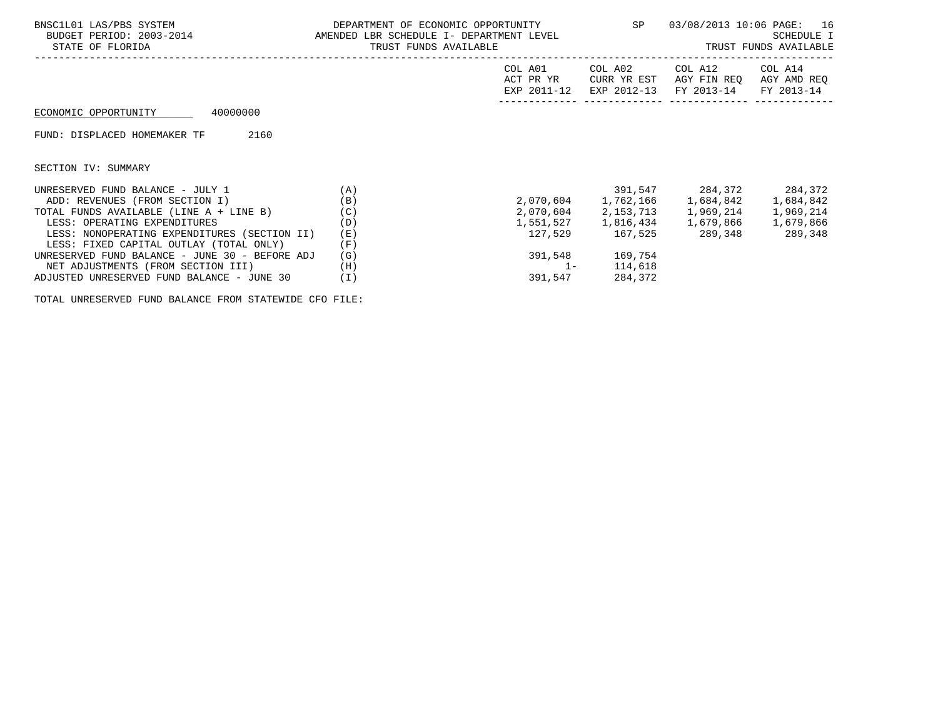| BNSC1L01 LAS/PBS SYSTEM<br>BUDGET PERIOD: 2003-2014 AMENDED LBR SCHEDULE I- DEPARTMENT LEVEL<br>STATE OF FLORIDA | DEPARTMENT OF ECONOMIC OPPORTUNITY<br>TRUST FUNDS AVAILABLE |                                     |                         | SP 03/08/2013 10:06 PAGE: 16<br>SCHEDULE I<br>TRUST FUNDS AVAILABLE |                                      |  |
|------------------------------------------------------------------------------------------------------------------|-------------------------------------------------------------|-------------------------------------|-------------------------|---------------------------------------------------------------------|--------------------------------------|--|
|                                                                                                                  |                                                             | COL A01<br>ACT PR YR<br>EXP 2011-12 | COL A02<br>CURR YR EST  | COL A12<br>AGY FIN REO<br>EXP 2012-13 FY 2013-14                    | COL A14<br>AGY AMD REQ<br>FY 2013-14 |  |
| 40000000<br>ECONOMIC OPPORTUNITY                                                                                 |                                                             |                                     |                         |                                                                     |                                      |  |
| FUND: DISPLACED HOMEMAKER TF<br>2160                                                                             |                                                             |                                     |                         |                                                                     |                                      |  |
| SECTION IV: SUMMARY                                                                                              |                                                             |                                     |                         |                                                                     |                                      |  |
| (A)<br>UNRESERVED FUND BALANCE - JULY 1                                                                          |                                                             |                                     |                         | 391,547 284,372 284,372                                             |                                      |  |
| ADD: REVENUES (FROM SECTION I)                                                                                   | (B)                                                         |                                     |                         |                                                                     |                                      |  |
| TOTAL FUNDS AVAILABLE (LINE A + LINE B)                                                                          | (C)                                                         |                                     |                         | 2,070,604 2,153,713 1,969,214                                       | 1,969,214                            |  |
| LESS: OPERATING EXPENDITURES                                                                                     | (D)                                                         |                                     |                         |                                                                     |                                      |  |
| LESS: NONOPERATING EXPENDITURES (SECTION II)                                                                     | (E)                                                         |                                     | 127,529 167,525 289,348 |                                                                     | 289,348                              |  |
| LESS: FIXED CAPITAL OUTLAY (TOTAL ONLY)                                                                          | (F)                                                         |                                     |                         |                                                                     |                                      |  |
| UNRESERVED FUND BALANCE - JUNE 30 - BEFORE ADJ                                                                   | (G)                                                         | 391,548                             | 169,754                 |                                                                     |                                      |  |
| NET ADJUSTMENTS (FROM SECTION III)                                                                               | (H)                                                         | $1 -$                               | 114,618                 |                                                                     |                                      |  |
| ADJUSTED UNRESERVED FUND BALANCE - JUNE 30                                                                       | ( I )                                                       | 391,547                             | 284,372                 |                                                                     |                                      |  |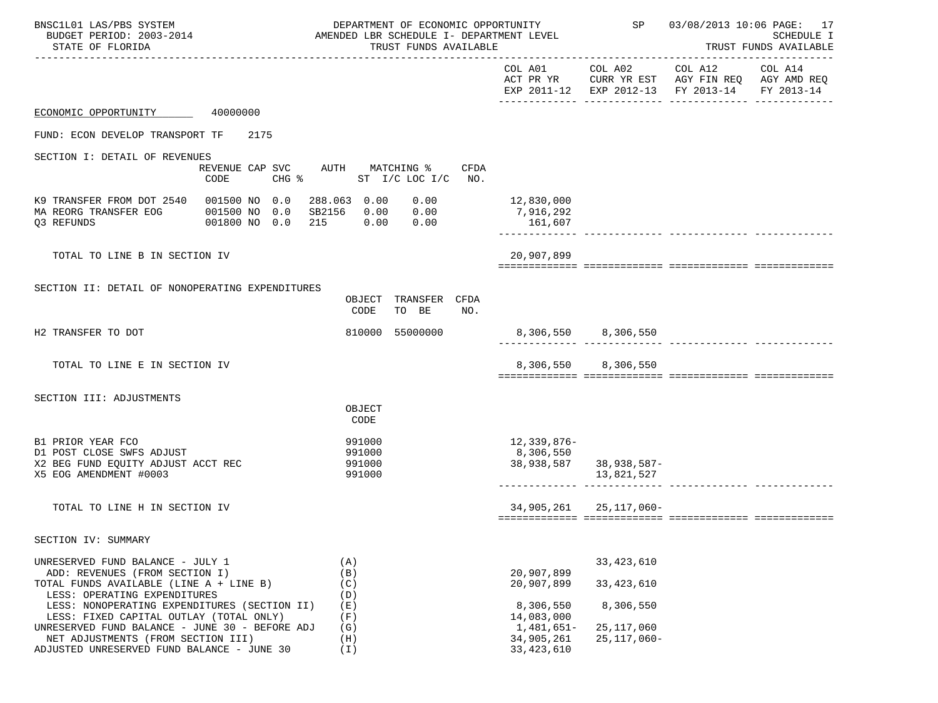| BNSC1L01 LAS/PBS SYSTEM<br>BUDGET PERIOD: 2003-2014<br>STATE OF FLORIDA                                                                                                   |                                                  | DEPARTMENT OF ECONOMIC OPPORTUNITY<br>AMENDED LBR SCHEDULE I- DEPARTMENT LEVEL<br>TRUST FUNDS AVAILABLE |                                        |                              | SP 03/08/2013 10:06 PAGE: 17<br>SCHEDULE I<br>TRUST FUNDS AVAILABLE                                    |                       |  |
|---------------------------------------------------------------------------------------------------------------------------------------------------------------------------|--------------------------------------------------|---------------------------------------------------------------------------------------------------------|----------------------------------------|------------------------------|--------------------------------------------------------------------------------------------------------|-----------------------|--|
|                                                                                                                                                                           |                                                  |                                                                                                         | COL A01                                |                              | COL A02 COL A12<br>ACT PR YR CURR YR EST AGY FIN REQ AGY AMD REQ<br>EXP 2011-12 EXP 2012-13 FY 2013-14 | COL A14<br>FY 2013-14 |  |
| ECONOMIC OPPORTUNITY 40000000                                                                                                                                             |                                                  |                                                                                                         |                                        |                              |                                                                                                        |                       |  |
| FUND: ECON DEVELOP TRANSPORT TF                                                                                                                                           | 2175                                             |                                                                                                         |                                        |                              |                                                                                                        |                       |  |
| SECTION I: DETAIL OF REVENUES                                                                                                                                             |                                                  |                                                                                                         |                                        |                              |                                                                                                        |                       |  |
|                                                                                                                                                                           | REVENUE CAP SVC AUTH MATCHING %<br>CHG %<br>CODE | CFDA<br>ST $I/C$ LOC $I/C$ NO.                                                                          |                                        |                              |                                                                                                        |                       |  |
| K9 TRANSFER FROM DOT 2540  001500 NO 0.0  288.063  0.00<br>MA REORG TRANSFER EOG<br>Q3 REFUNDS                                                                            | 001500 NO 0.0<br>001800 NO 0.0                   | 0.00<br>SB2156  0.00  0.00<br>215   0.00   0.00                                                         | 12,830,000<br>7,916,292<br>161,607     |                              |                                                                                                        |                       |  |
| TOTAL TO LINE B IN SECTION IV                                                                                                                                             |                                                  |                                                                                                         | 20,907,899                             |                              |                                                                                                        |                       |  |
| SECTION II: DETAIL OF NONOPERATING EXPENDITURES                                                                                                                           |                                                  |                                                                                                         |                                        |                              |                                                                                                        |                       |  |
|                                                                                                                                                                           |                                                  | OBJECT TRANSFER CFDA<br>TO BE<br>CODE<br>NO.                                                            |                                        |                              |                                                                                                        |                       |  |
| H2 TRANSFER TO DOT                                                                                                                                                        |                                                  | 810000 55000000                                                                                         |                                        | 8,306,550 8,306,550          |                                                                                                        |                       |  |
| TOTAL TO LINE E IN SECTION IV                                                                                                                                             |                                                  |                                                                                                         |                                        | 8,306,550 8,306,550          |                                                                                                        |                       |  |
| SECTION III: ADJUSTMENTS                                                                                                                                                  |                                                  |                                                                                                         |                                        |                              |                                                                                                        |                       |  |
|                                                                                                                                                                           |                                                  | OBJECT<br>CODE                                                                                          |                                        |                              |                                                                                                        |                       |  |
| B1 PRIOR YEAR FCO<br>D1 POST CLOSE SWFS ADJUST<br>X2 BEG FUND EQUITY ADJUST ACCT REC<br>X5 EOG AMENDMENT #0003                                                            |                                                  | 991000<br>991000<br>991000<br>991000                                                                    | 12,339,876-<br>8,306,550<br>38,938,587 | 38,938,587-<br>13,821,527    |                                                                                                        |                       |  |
|                                                                                                                                                                           |                                                  |                                                                                                         |                                        |                              |                                                                                                        |                       |  |
| TOTAL TO LINE H IN SECTION IV                                                                                                                                             |                                                  |                                                                                                         |                                        | 34,905,261 25,117,060-       |                                                                                                        |                       |  |
| SECTION IV: SUMMARY                                                                                                                                                       |                                                  |                                                                                                         |                                        |                              |                                                                                                        |                       |  |
| UNRESERVED FUND BALANCE - JULY 1<br>ADD: REVENUES (FROM SECTION I)<br>TOTAL FUNDS AVAILABLE (LINE A + LINE B)                                                             |                                                  | (A)<br>(B)<br>(C)                                                                                       | 20,907,899<br>20,907,899               | 33, 423, 610<br>33, 423, 610 |                                                                                                        |                       |  |
| LESS: OPERATING EXPENDITURES<br>LESS: NONOPERATING EXPENDITURES (SECTION II)<br>LESS: FIXED CAPITAL OUTLAY (TOTAL ONLY)<br>UNRESERVED FUND BALANCE - JUNE 30 - BEFORE ADJ |                                                  | (D)<br>(E)<br>(F)<br>(G)                                                                                | 8,306,550<br>14,083,000<br>1,481,651–  | 8,306,550<br>25, 117, 060    |                                                                                                        |                       |  |
| NET ADJUSTMENTS (FROM SECTION III)<br>ADJUSTED UNRESERVED FUND BALANCE - JUNE 30                                                                                          |                                                  | (H)<br>(I)                                                                                              | 34,905,261<br>33, 423, 610             | $25, 117, 060 -$             |                                                                                                        |                       |  |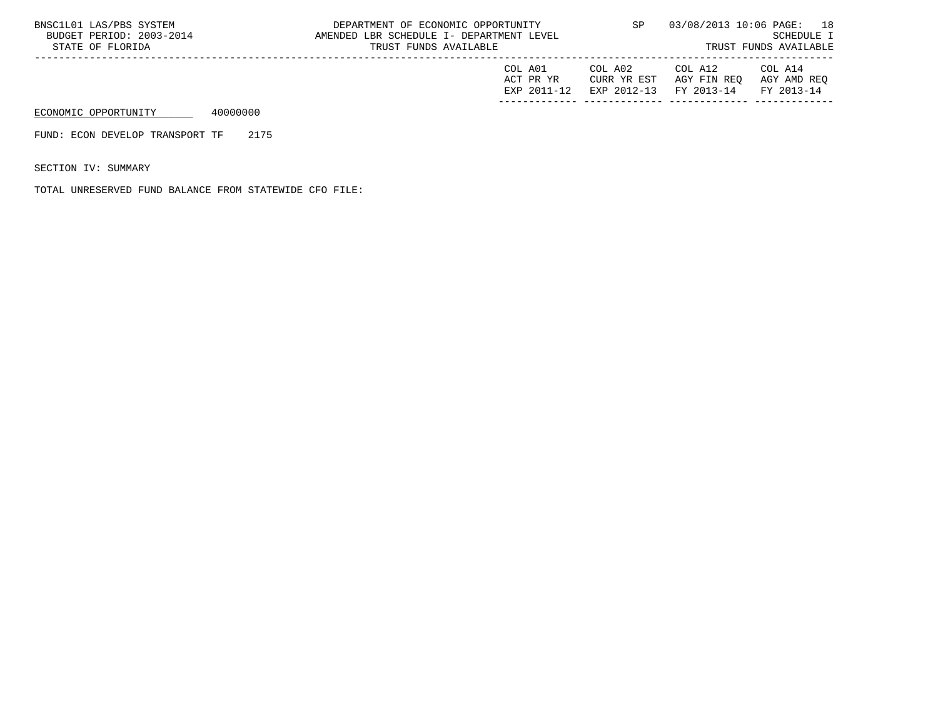| BNSC1L01 LAS/PBS SYSTEM<br>BUDGET PERIOD: 2003-2014<br>STATE OF FLORIDA |          | DEPARTMENT OF ECONOMIC OPPORTUNITY<br>AMENDED LBR SCHEDULE I- DEPARTMENT LEVEL<br>TRUST FUNDS AVAILABLE | SP                                  |                                       | 03/08/2013 10:06 PAGE: 18<br>SCHEDULE I<br>TRUST FUNDS AVAILABLE |                                      |
|-------------------------------------------------------------------------|----------|---------------------------------------------------------------------------------------------------------|-------------------------------------|---------------------------------------|------------------------------------------------------------------|--------------------------------------|
|                                                                         |          |                                                                                                         | COL A01<br>ACT PR YR<br>EXP 2011-12 | COL A02<br>CURR YR EST<br>EXP 2012-13 | COL A12<br>AGY FIN REO<br>FY 2013-14                             | COL A14<br>AGY AMD REO<br>FY 2013-14 |
| ECONOMIC OPPORTUNITY                                                    | 40000000 |                                                                                                         |                                     |                                       |                                                                  |                                      |

FUND: ECON DEVELOP TRANSPORT TF 2175

SECTION IV: SUMMARY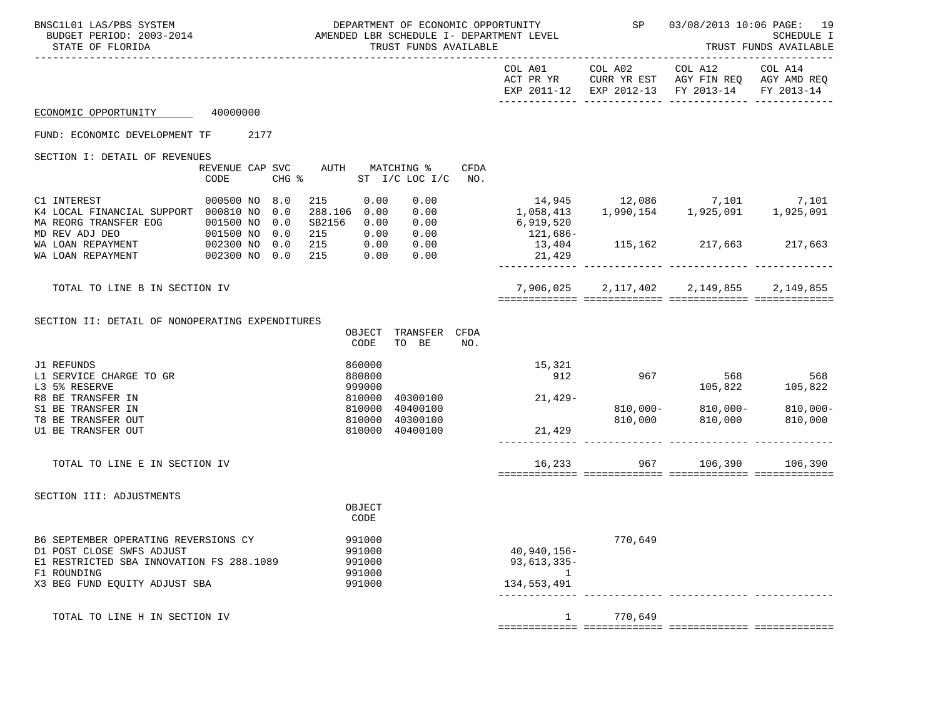| BNSC1L01 LAS/PBS SYSTEM<br>STATE OF FLORIDA                                                                                                                   | DEPARTMENT OF ECONOMIC OPPORTUNITY<br>BUDGET PERIOD: 2003-2014 AMENDED LBR SCHEDULE I- DEPARTMENT LEVEL<br>TRUST FUNDS AVAILABLE |  |                   |                                             | SP                                             | 03/08/2013 10:06 PAGE:<br>19<br>SCHEDULE I<br>TRUST FUNDS AVAILABLE |             |                                                     |         |                                                                                                |                                   |
|---------------------------------------------------------------------------------------------------------------------------------------------------------------|----------------------------------------------------------------------------------------------------------------------------------|--|-------------------|---------------------------------------------|------------------------------------------------|---------------------------------------------------------------------|-------------|-----------------------------------------------------|---------|------------------------------------------------------------------------------------------------|-----------------------------------|
|                                                                                                                                                               |                                                                                                                                  |  |                   |                                             |                                                |                                                                     |             | COL A01                                             | COL A02 | COL A12<br>ACT PR YR CURR YR EST AGY FIN REQ AGY AMD REQ<br>EXP 2011-12 EXP 2012-13 FY 2013-14 | COL A14<br>FY 2013-14             |
| ECONOMIC OPPORTUNITY                                                                                                                                          | 40000000                                                                                                                         |  |                   |                                             |                                                |                                                                     |             |                                                     |         |                                                                                                |                                   |
| FUND: ECONOMIC DEVELOPMENT TF                                                                                                                                 | 2177                                                                                                                             |  |                   |                                             |                                                |                                                                     |             |                                                     |         |                                                                                                |                                   |
| SECTION I: DETAIL OF REVENUES                                                                                                                                 | CODE                                                                                                                             |  |                   | REVENUE CAP SVC AUTH<br>$CHG$ $\frac{1}{6}$ |                                                | MATCHING %<br>ST I/C LOC I/C                                        | CFDA<br>NO. |                                                     |         |                                                                                                |                                   |
| C1 INTEREST<br>K4 LOCAL FINANCIAL SUPPORT 000810 NO<br>MA REORG TRANSFER EOG                                                                                  | 000500 NO<br>001500 NO                                                                                                           |  | 8.0<br>0.0<br>0.0 | 215<br>288.106 0.00<br>SB2156               | 0.00<br>0.00                                   | 0.00<br>0.00<br>0.00                                                |             | 6,919,520                                           |         | 14,945 12,086 7,101 7,101<br>1,058,413 1,990,154 1,925,091 1,925,091                           |                                   |
| 2002300 NO<br>MD REV ADJ DEO<br>WA LOAN REPAYMENT<br>WA LOAN REPAYMENT                                                                                        |                                                                                                                                  |  | 0.0<br>0.0<br>0.0 | 215<br>215<br>215                           | 0.00<br>0.00                                   | 0.00 0.00<br>0.00<br>0.00                                           |             | 121,686-<br>13,404<br>21,429                        |         | 115, 162 217, 663 217, 663                                                                     |                                   |
| TOTAL TO LINE B IN SECTION IV                                                                                                                                 |                                                                                                                                  |  |                   |                                             |                                                |                                                                     |             |                                                     |         | 7,906,025 2,117,402 2,149,855 2,149,855                                                        |                                   |
| SECTION II: DETAIL OF NONOPERATING EXPENDITURES                                                                                                               |                                                                                                                                  |  |                   |                                             | OBJECT<br>CODE                                 | TRANSFER CFDA<br>TO BE                                              | NO.         |                                                     |         |                                                                                                |                                   |
| J1 REFUNDS<br>L1 SERVICE CHARGE TO GR<br>L3 5% RESERVE                                                                                                        |                                                                                                                                  |  |                   |                                             | 860000<br>880800<br>999000                     |                                                                     |             | 15,321<br>912                                       | 967     | 568                                                                                            | 568<br>568 568<br>105,822 105,822 |
| R8 BE TRANSFER IN<br>S1 BE TRANSFER IN<br>T8 BE TRANSFER OUT<br>U1 BE TRANSFER OUT                                                                            |                                                                                                                                  |  |                   |                                             | 810000<br>810000<br>810000<br>810000           | 40300100<br>40400100<br>40300100<br>40400100                        |             | $21,429-$<br>21,429                                 | 810,000 | 810,000-810,000-<br>810,000                                                                    | $810,000 -$<br>810,000            |
| TOTAL TO LINE E IN SECTION IV                                                                                                                                 |                                                                                                                                  |  |                   |                                             |                                                |                                                                     |             |                                                     | 16,233  | 967 106,390 106,390                                                                            |                                   |
| SECTION III: ADJUSTMENTS                                                                                                                                      |                                                                                                                                  |  |                   |                                             | OBJECT<br>CODE                                 |                                                                     |             |                                                     |         |                                                                                                |                                   |
| B6 SEPTEMBER OPERATING REVERSIONS CY<br>D1 POST CLOSE SWFS ADJUST<br>E1 RESTRICTED SBA INNOVATION FS 288.1089<br>F1 ROUNDING<br>X3 BEG FUND EQUITY ADJUST SBA |                                                                                                                                  |  |                   |                                             | 991000<br>991000<br>991000<br>991000<br>991000 |                                                                     |             | $40,940,156 -$<br>$93,613,335-$<br>1<br>134,553,491 | 770,649 |                                                                                                |                                   |
| TOTAL TO LINE H IN SECTION IV                                                                                                                                 |                                                                                                                                  |  |                   |                                             |                                                |                                                                     |             | 1                                                   | 770,649 |                                                                                                |                                   |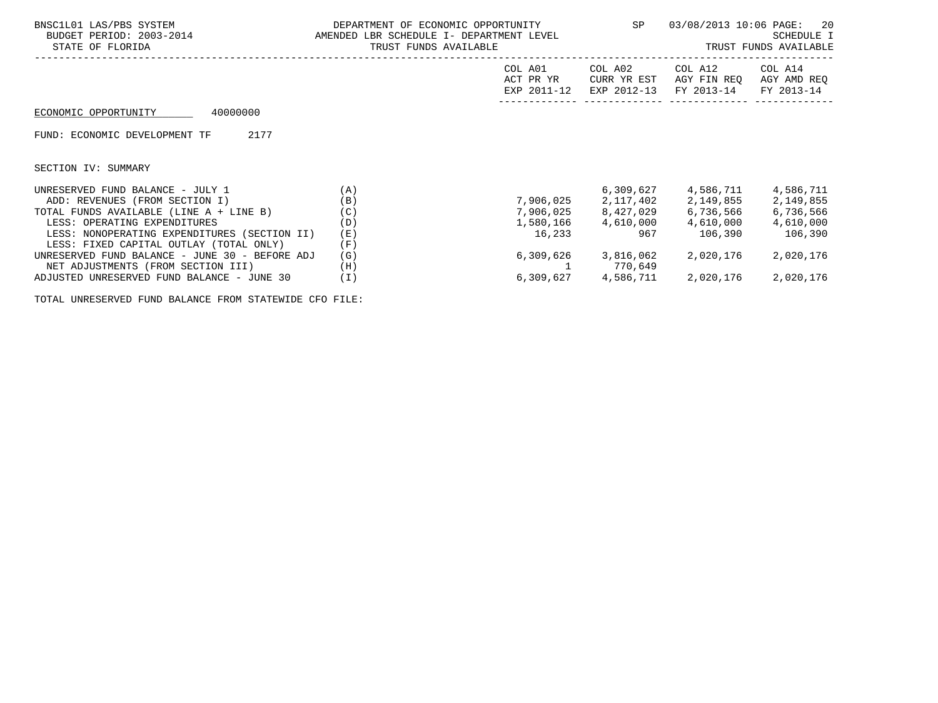| BNSC1L01 LAS/PBS SYSTEM<br>BUDGET PERIOD: 2003-2014<br>STATE OF FLORIDA                 | DEPARTMENT OF ECONOMIC OPPORTUNITY<br>AMENDED LBR SCHEDULE I- DEPARTMENT LEVEL<br>TRUST FUNDS AVAILABLE |                                     |                                       |                                      | 03/08/2013 10:06 PAGE:<br>20<br>SCHEDULE I<br>TRUST FUNDS AVAILABLE<br>------------------------------------- |
|-----------------------------------------------------------------------------------------|---------------------------------------------------------------------------------------------------------|-------------------------------------|---------------------------------------|--------------------------------------|--------------------------------------------------------------------------------------------------------------|
|                                                                                         |                                                                                                         | COL A01<br>ACT PR YR<br>EXP 2011-12 | COL A02<br>CURR YR EST<br>EXP 2012-13 | COL A12<br>AGY FIN REO<br>FY 2013-14 | COL A14<br>AGY AMD REQ<br>FY 2013-14                                                                         |
| 40000000<br>ECONOMIC OPPORTUNITY                                                        |                                                                                                         |                                     |                                       |                                      |                                                                                                              |
| 2177<br>FUND: ECONOMIC DEVELOPMENT TF                                                   |                                                                                                         |                                     |                                       |                                      |                                                                                                              |
| SECTION IV: SUMMARY                                                                     |                                                                                                         |                                     |                                       |                                      |                                                                                                              |
| UNRESERVED FUND BALANCE - JULY 1                                                        | (A)                                                                                                     |                                     |                                       | 6,309,627 4,586,711                  | 4,586,711                                                                                                    |
| ADD: REVENUES (FROM SECTION I)                                                          | (B)                                                                                                     |                                     | 7,906,025 2,117,402 2,149,855         |                                      | 2,149,855                                                                                                    |
| TOTAL FUNDS AVAILABLE (LINE A + LINE B)                                                 | (C)                                                                                                     | 7,906,025                           | 8,427,029                             | 6,736,566                            | 6,736,566                                                                                                    |
| LESS: OPERATING EXPENDITURES                                                            | (D)                                                                                                     |                                     | 1,580,166 4,610,000                   | 4,610,000                            | 4,610,000                                                                                                    |
| LESS: NONOPERATING EXPENDITURES (SECTION II)<br>LESS: FIXED CAPITAL OUTLAY (TOTAL ONLY) | (E)<br>(F)                                                                                              | 16,233                              | 967                                   | 106,390                              | 106,390                                                                                                      |
| UNRESERVED FUND BALANCE - JUNE 30 - BEFORE ADJ<br>NET ADJUSTMENTS (FROM SECTION III)    | (G)<br>(H)                                                                                              |                                     | 6,309,626 3,816,062<br>770,649        | 2,020,176                            | 2,020,176                                                                                                    |
| ADJUSTED UNRESERVED FUND BALANCE - JUNE 30                                              | (T)                                                                                                     |                                     | 6,309,627 4,586,711                   | 2,020,176                            | 2,020,176                                                                                                    |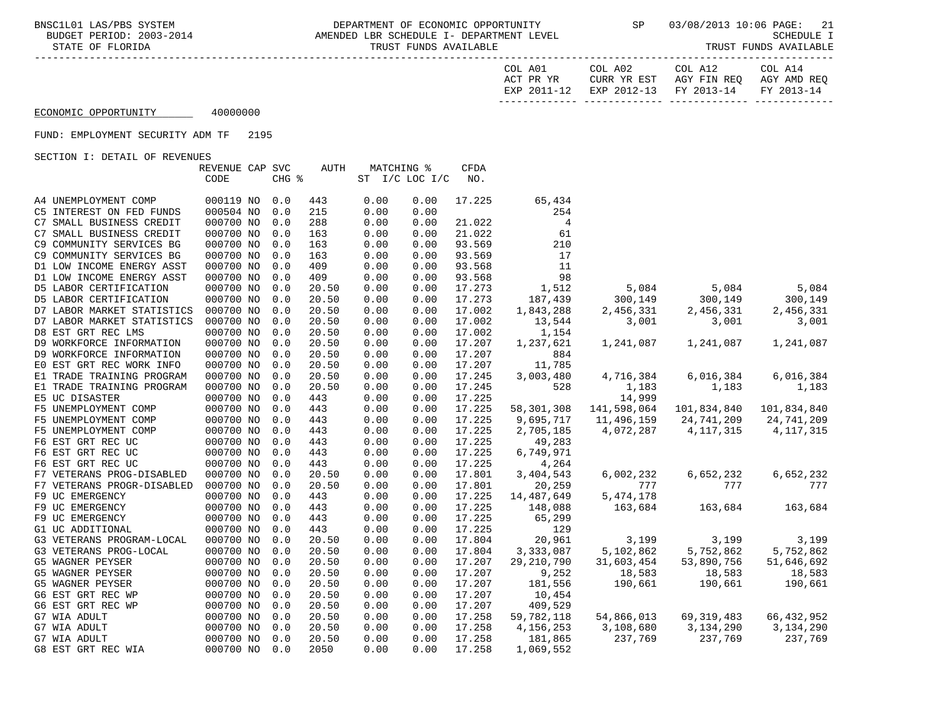BNSC1L01 LAS/PBS SYSTEM DEPARTMENT OF ECONOMIC OPPORTUNITY SP 03/08/2013 10:06 PAGE: 21 AMENDED LBR SCHEDULE I- DEPARTMENT LEVEL STATE OF FLORIDA TRUST FUNDS AVAILABLE TRUST FUNDS AVAILABLE

| COL A01     | COL A02     | COL A12                           | COL A14 |
|-------------|-------------|-----------------------------------|---------|
| ACT PR YR   | CURR YR EST | AGY FIN REO AGY AMD REO           |         |
| EXP 2011-12 |             | EXP 2012-13 FY 2013-14 FY 2013-14 |         |
|             |             |                                   |         |

## ECONOMIC OPPORTUNITY 40000000

FUND: EMPLOYMENT SECURITY ADM TF 2195

|                            | REVENUE CAP SVC |       | <b>AUTH</b> |      | MATCHING %     |      | CFDA   |                |             |              |              |
|----------------------------|-----------------|-------|-------------|------|----------------|------|--------|----------------|-------------|--------------|--------------|
|                            | CODE            | CHG % |             |      | ST I/C LOC I/C |      | NO.    |                |             |              |              |
|                            |                 |       |             |      |                |      |        |                |             |              |              |
| A4 UNEMPLOYMENT COMP       | 000119 NO       | 0.0   | 443         | 0.00 |                | 0.00 | 17.225 | 65,434         |             |              |              |
| C5 INTEREST ON FED FUNDS   | 000504 NO       | 0.0   | 215         | 0.00 |                | 0.00 |        | 254            |             |              |              |
| C7 SMALL BUSINESS CREDIT   | 000700 NO       | 0.0   | 288         | 0.00 |                | 0.00 | 21.022 | $\overline{4}$ |             |              |              |
| C7 SMALL BUSINESS CREDIT   | 000700 NO       | 0.0   | 163         | 0.00 |                | 0.00 | 21.022 | 61             |             |              |              |
| C9 COMMUNITY SERVICES BG   | 000700 NO       | 0.0   | 163         | 0.00 |                | 0.00 | 93.569 | 210            |             |              |              |
| C9 COMMUNITY SERVICES BG   | 000700 NO       | 0.0   | 163         | 0.00 |                | 0.00 | 93.569 | 17             |             |              |              |
| D1 LOW INCOME ENERGY ASST  | 000700 NO       | 0.0   | 409         | 0.00 |                | 0.00 | 93.568 | 11             |             |              |              |
| D1 LOW INCOME ENERGY ASST  | 000700 NO       | 0.0   | 409         | 0.00 |                | 0.00 | 93.568 | 98             |             |              |              |
| D5 LABOR CERTIFICATION     | 000700 NO       | 0.0   | 20.50       | 0.00 |                | 0.00 | 17.273 | 1,512          | 5,084       | 5,084        | 5,084        |
| D5 LABOR CERTIFICATION     | 000700 NO       | 0.0   | 20.50       | 0.00 |                | 0.00 | 17.273 | 187,439        | 300,149     | 300,149      | 300,149      |
| D7 LABOR MARKET STATISTICS | 000700 NO       | 0.0   | 20.50       | 0.00 |                | 0.00 | 17.002 | 1,843,288      | 2,456,331   | 2,456,331    | 2,456,331    |
| D7 LABOR MARKET STATISTICS | 000700 NO       | 0.0   | 20.50       | 0.00 |                | 0.00 | 17.002 | 13,544         | 3,001       | 3,001        | 3,001        |
| D8 EST GRT REC LMS         | 000700 NO       | 0.0   | 20.50       | 0.00 |                | 0.00 | 17.002 | 1,154          |             |              |              |
| D9 WORKFORCE INFORMATION   | 000700 NO       | 0.0   | 20.50       | 0.00 |                | 0.00 | 17.207 | 1,237,621      | 1,241,087   | 1,241,087    | 1,241,087    |
| D9 WORKFORCE INFORMATION   | 000700 NO       | 0.0   | 20.50       | 0.00 |                | 0.00 | 17.207 | 884            |             |              |              |
| EO EST GRT REC WORK INFO   | 000700 NO       | 0.0   | 20.50       | 0.00 |                | 0.00 | 17.207 | 11,785         |             |              |              |
| E1 TRADE TRAINING PROGRAM  | 000700 NO       | 0.0   | 20.50       | 0.00 |                | 0.00 | 17.245 | 3,003,480      | 4,716,384   | 6,016,384    | 6,016,384    |
| E1 TRADE TRAINING PROGRAM  | 000700 NO       | 0.0   | 20.50       | 0.00 |                | 0.00 | 17.245 | 528            | 1,183       | 1,183        | 1,183        |
| E5 UC DISASTER             | 000700 NO       | 0.0   | 443         | 0.00 |                | 0.00 | 17.225 |                | 14,999      |              |              |
| F5 UNEMPLOYMENT COMP       | 000700 NO       | 0.0   | 443         | 0.00 |                | 0.00 | 17.225 | 58,301,308     | 141,598,064 | 101,834,840  | 101,834,840  |
| F5 UNEMPLOYMENT COMP       | 000700 NO       | 0.0   | 443         | 0.00 |                | 0.00 | 17.225 | 9,695,717      | 11,496,159  | 24,741,209   | 24,741,209   |
| F5 UNEMPLOYMENT COMP       | 000700 NO       | 0.0   | 443         | 0.00 |                | 0.00 | 17.225 | 2,705,185      | 4,072,287   | 4, 117, 315  | 4, 117, 315  |
| F6 EST GRT REC UC          | 000700 NO       | 0.0   | 443         | 0.00 |                | 0.00 | 17.225 | 49,283         |             |              |              |
| F6 EST GRT REC UC          | 000700 NO       | 0.0   | 443         | 0.00 |                | 0.00 | 17.225 | 6,749,971      |             |              |              |
| F6 EST GRT REC UC          | 000700 NO       | 0.0   | 443         | 0.00 |                | 0.00 | 17.225 | 4,264          |             |              |              |
| F7 VETERANS PROG-DISABLED  | 000700 NO       | 0.0   | 20.50       | 0.00 |                | 0.00 | 17.801 | 3,404,543      | 6,002,232   | 6,652,232    | 6,652,232    |
| F7 VETERANS PROGR-DISABLED | 000700 NO       | 0.0   | 20.50       | 0.00 |                | 0.00 | 17.801 | 20,259         | 777         | 777          | 777          |
| F9 UC EMERGENCY            | 000700 NO       | 0.0   | 443         | 0.00 |                | 0.00 | 17.225 | 14,487,649     | 5, 474, 178 |              |              |
| F9 UC EMERGENCY            | 000700 NO       | 0.0   | 443         | 0.00 |                | 0.00 | 17.225 | 148,088        | 163,684     | 163,684      | 163,684      |
| F9 UC EMERGENCY            | 000700 NO       | 0.0   | 443         | 0.00 |                | 0.00 | 17.225 | 65,299         |             |              |              |
| G1 UC ADDITIONAL           | 000700 NO       | 0.0   | 443         | 0.00 |                | 0.00 | 17.225 | 129            |             |              |              |
| G3 VETERANS PROGRAM-LOCAL  | 000700 NO       | 0.0   | 20.50       | 0.00 |                | 0.00 | 17.804 | 20,961         | 3,199       | 3,199        | 3,199        |
| G3 VETERANS PROG-LOCAL     | 000700 NO       | 0.0   | 20.50       | 0.00 |                | 0.00 | 17.804 | 3,333,087      | 5,102,862   | 5,752,862    | 5,752,862    |
| G5 WAGNER PEYSER           | 000700 NO       | 0.0   | 20.50       | 0.00 |                | 0.00 | 17.207 | 29, 210, 790   | 31,603,454  | 53,890,756   | 51,646,692   |
| G5 WAGNER PEYSER           | 000700 NO       | 0.0   | 20.50       | 0.00 |                | 0.00 | 17.207 | 9,252          | 18,583      | 18,583       | 18,583       |
| G5 WAGNER PEYSER           | 000700 NO       | 0.0   | 20.50       | 0.00 |                | 0.00 | 17.207 | 181,556        | 190,661     | 190,661      | 190,661      |
| G6 EST GRT REC WP          | 000700 NO       | 0.0   | 20.50       | 0.00 |                | 0.00 | 17.207 | 10,454         |             |              |              |
| G6 EST GRT REC WP          | 000700 NO       | 0.0   | 20.50       | 0.00 |                | 0.00 | 17.207 | 409,529        |             |              |              |
| G7 WIA ADULT               | 000700 NO       | 0.0   | 20.50       | 0.00 |                | 0.00 | 17.258 | 59,782,118     | 54,866,013  | 69, 319, 483 | 66, 432, 952 |
| G7 WIA ADULT               | 000700 NO       | 0.0   | 20.50       | 0.00 |                | 0.00 | 17.258 | 4,156,253      | 3,108,680   | 3,134,290    | 3,134,290    |
| G7 WIA ADULT               | 000700 NO       | 0.0   | 20.50       | 0.00 |                | 0.00 | 17.258 | 181,865        | 237,769     | 237,769      | 237,769      |
| G8 EST GRT REC WIA         | 000700 NO       | 0.0   | 2050        | 0.00 |                | 0.00 | 17.258 | 1,069,552      |             |              |              |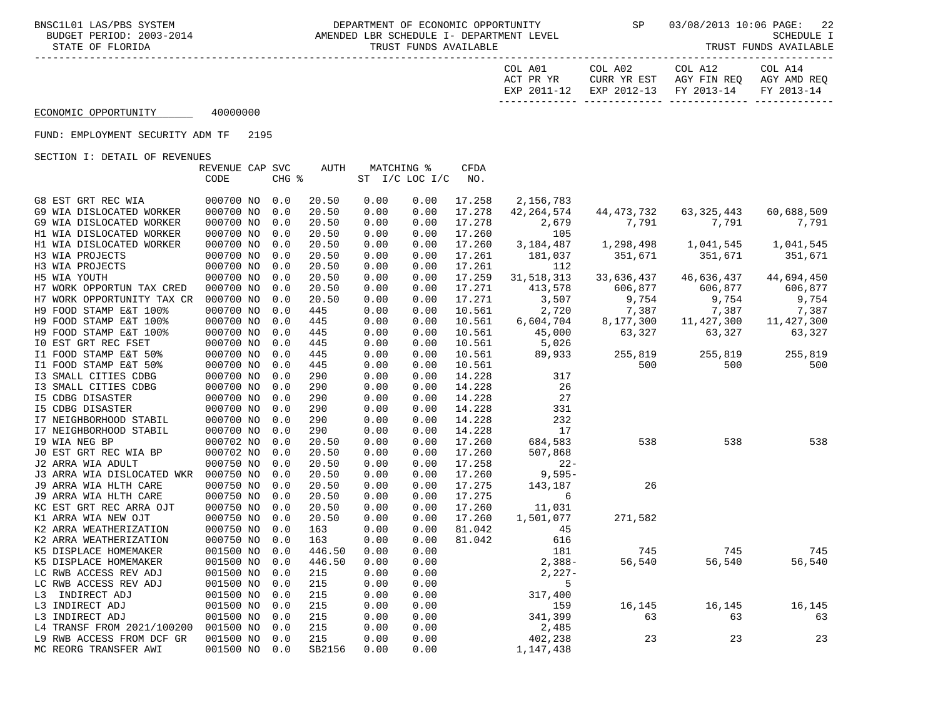-----------------------------------------------------------------------------------------------------------------------------------

| COL A01     | COL A02     | COL A12                           | COL A14 |
|-------------|-------------|-----------------------------------|---------|
| ACT PR YR   | CURR YR EST | AGY FIN REO AGY AMD REO           |         |
| EXP 2011-12 |             | EXP 2012-13 FY 2013-14 FY 2013-14 |         |
|             |             |                                   |         |

## ECONOMIC OPPORTUNITY 40000000

### FUND: EMPLOYMENT SECURITY ADM TF 2195

|                            | REVENUE CAP SVC |       | <b>AUTH</b> |      | MATCHING % |                | CFDA   |              |              |              |            |
|----------------------------|-----------------|-------|-------------|------|------------|----------------|--------|--------------|--------------|--------------|------------|
|                            | CODE            | CHG % |             |      |            | ST I/C LOC I/C | NO.    |              |              |              |            |
|                            |                 |       |             |      |            |                |        |              |              |              |            |
| G8 EST GRT REC WIA         | 000700 NO       | 0.0   | 20.50       | 0.00 |            | 0.00           | 17.258 | 2,156,783    |              |              |            |
| G9 WIA DISLOCATED WORKER   | 000700 NO       | 0.0   | 20.50       | 0.00 |            | 0.00           | 17.278 | 42, 264, 574 | 44, 473, 732 | 63, 325, 443 | 60,688,509 |
| G9 WIA DISLOCATED WORKER   | 000700 NO       | 0.0   | 20.50       | 0.00 |            | 0.00           | 17.278 | 2,679        | 7,791        | 7,791        | 7,791      |
| H1 WIA DISLOCATED WORKER   | 000700 NO       | 0.0   | 20.50       | 0.00 |            | 0.00           | 17.260 | 105          |              |              |            |
| H1 WIA DISLOCATED WORKER   | 000700 NO       | 0.0   | 20.50       | 0.00 |            | 0.00           | 17.260 | 3,184,487    | 1,298,498    | 1,041,545    | 1,041,545  |
| H3 WIA PROJECTS            | 000700 NO       | 0.0   | 20.50       | 0.00 |            | 0.00           | 17.261 | 181,037      | 351,671      | 351,671      | 351,671    |
| H3 WIA PROJECTS            | 000700 NO       | 0.0   | 20.50       | 0.00 |            | 0.00           | 17.261 | 112          |              |              |            |
| H5 WIA YOUTH               | 000700 NO       | 0.0   | 20.50       | 0.00 |            | 0.00           | 17.259 | 31, 518, 313 | 33,636,437   | 46,636,437   | 44,694,450 |
| H7 WORK OPPORTUN TAX CRED  | 000700 NO       | 0.0   | 20.50       | 0.00 |            | 0.00           | 17.271 | 413,578      | 606,877      | 606,877      | 606,877    |
| H7 WORK OPPORTUNITY TAX CR | 000700 NO       | 0.0   | 20.50       | 0.00 |            | 0.00           | 17.271 | 3,507        | 9,754        | 9,754        | 9,754      |
| H9 FOOD STAMP E&T 100%     | 000700 NO       | 0.0   | 445         | 0.00 |            | 0.00           | 10.561 | 2,720        | 7,387        | 7,387        | 7,387      |
| H9 FOOD STAMP E&T 100%     | 000700 NO       | 0.0   | 445         | 0.00 |            | 0.00           | 10.561 | 6,604,704    | 8,177,300    | 11, 427, 300 | 11,427,300 |
| H9 FOOD STAMP E&T 100%     | 000700 NO       | 0.0   | 445         | 0.00 |            | 0.00           | 10.561 | 45,000       | 63,327       | 63,327       | 63,327     |
| IO EST GRT REC FSET        | 000700 NO       | 0.0   | 445         | 0.00 |            | 0.00           | 10.561 | 5,026        |              |              |            |
| I1 FOOD STAMP E&T 50%      | 000700 NO       | 0.0   | 445         | 0.00 |            | 0.00           | 10.561 | 89,933       | 255,819      | 255,819      | 255,819    |
| I1 FOOD STAMP E&T 50%      | 000700 NO       | 0.0   | 445         | 0.00 |            | 0.00           | 10.561 |              | 500          | 500          | 500        |
| I3 SMALL CITIES CDBG       | 000700 NO       | 0.0   | 290         | 0.00 |            | 0.00           | 14.228 | 317          |              |              |            |
| I3 SMALL CITIES CDBG       | 000700 NO       | 0.0   | 290         | 0.00 |            | 0.00           | 14.228 | 26           |              |              |            |
| <b>I5 CDBG DISASTER</b>    | 000700 NO       | 0.0   | 290         | 0.00 |            | 0.00           | 14.228 | 27           |              |              |            |
| 15 CDBG DISASTER           | 000700 NO       | 0.0   | 290         | 0.00 |            | 0.00           | 14.228 | 331          |              |              |            |
| I7 NEIGHBORHOOD STABIL     | 000700 NO       | 0.0   | 290         | 0.00 |            | 0.00           | 14.228 | 232          |              |              |            |
| I7 NEIGHBORHOOD STABIL     | 000700 NO       | 0.0   | 290         | 0.00 |            | 0.00           | 14.228 | 17           |              |              |            |
| 19 WIA NEG BP              | 000702 NO       | 0.0   | 20.50       | 0.00 |            | 0.00           | 17.260 | 684,583      | 538          | 538          | 538        |
| JO EST GRT REC WIA BP      | 000702 NO       | 0.0   | 20.50       | 0.00 |            | 0.00           | 17.260 | 507,868      |              |              |            |
| J2 ARRA WIA ADULT          | 000750 NO       | 0.0   | 20.50       | 0.00 |            | 0.00           | 17.258 | $22 -$       |              |              |            |
| J3 ARRA WIA DISLOCATED WKR | 000750 NO       | 0.0   | 20.50       | 0.00 |            | 0.00           | 17.260 | $9,595-$     |              |              |            |
| J9 ARRA WIA HLTH CARE      | 000750 NO       | 0.0   | 20.50       | 0.00 |            | 0.00           | 17.275 | 143,187      | 26           |              |            |
| J9 ARRA WIA HLTH CARE      | 000750 NO       | 0.0   | 20.50       | 0.00 |            | 0.00           | 17.275 | 6            |              |              |            |
| KC EST GRT REC ARRA OJT    | 000750 NO       | 0.0   | 20.50       | 0.00 |            | 0.00           | 17.260 | 11,031       |              |              |            |
| K1 ARRA WIA NEW OJT        | 000750 NO       | 0.0   | 20.50       | 0.00 |            | 0.00           | 17.260 | 1,501,077    | 271,582      |              |            |
| K2 ARRA WEATHERIZATION     | 000750 NO       | 0.0   | 163         | 0.00 |            | 0.00           | 81.042 | 45           |              |              |            |
| K2 ARRA WEATHERIZATION     | 000750 NO       | 0.0   | 163         | 0.00 |            | 0.00           | 81.042 | 616          |              |              |            |
| K5 DISPLACE HOMEMAKER      | 001500 NO       | 0.0   | 446.50      | 0.00 |            | 0.00           |        | 181          | 745          | 745          | 745        |
| K5 DISPLACE HOMEMAKER      | 001500 NO       | 0.0   | 446.50      | 0.00 |            | 0.00           |        | $2,388-$     | 56,540       | 56,540       | 56,540     |
| LC RWB ACCESS REV ADJ      | 001500 NO       | 0.0   | 215         | 0.00 |            | 0.00           |        | $2,227-$     |              |              |            |
| LC RWB ACCESS REV ADJ      | 001500 NO       | 0.0   | 215         | 0.00 |            | 0.00           |        | 5            |              |              |            |
| L3 INDIRECT ADJ            | 001500 NO       | 0.0   | 215         | 0.00 |            | 0.00           |        | 317,400      |              |              |            |
| L3 INDIRECT ADJ            | 001500 NO       | 0.0   | 215         | 0.00 |            | 0.00           |        | 159          | 16,145       | 16,145       | 16,145     |
| L3 INDIRECT ADJ            | 001500 NO       | 0.0   | 215         | 0.00 |            | 0.00           |        | 341,399      | 63           | 63           | 63         |
| L4 TRANSF FROM 2021/100200 | 001500 NO       | 0.0   | 215         | 0.00 |            | 0.00           |        | 2,485        |              |              |            |
| L9 RWB ACCESS FROM DCF GR  | 001500 NO       | 0.0   | 215         | 0.00 |            | 0.00           |        | 402,238      | 23           | 23           | 23         |
| MC REORG TRANSFER AWI      | 001500 NO       | 0.0   | SB2156      | 0.00 |            | 0.00           |        | 1,147,438    |              |              |            |
|                            |                 |       |             |      |            |                |        |              |              |              |            |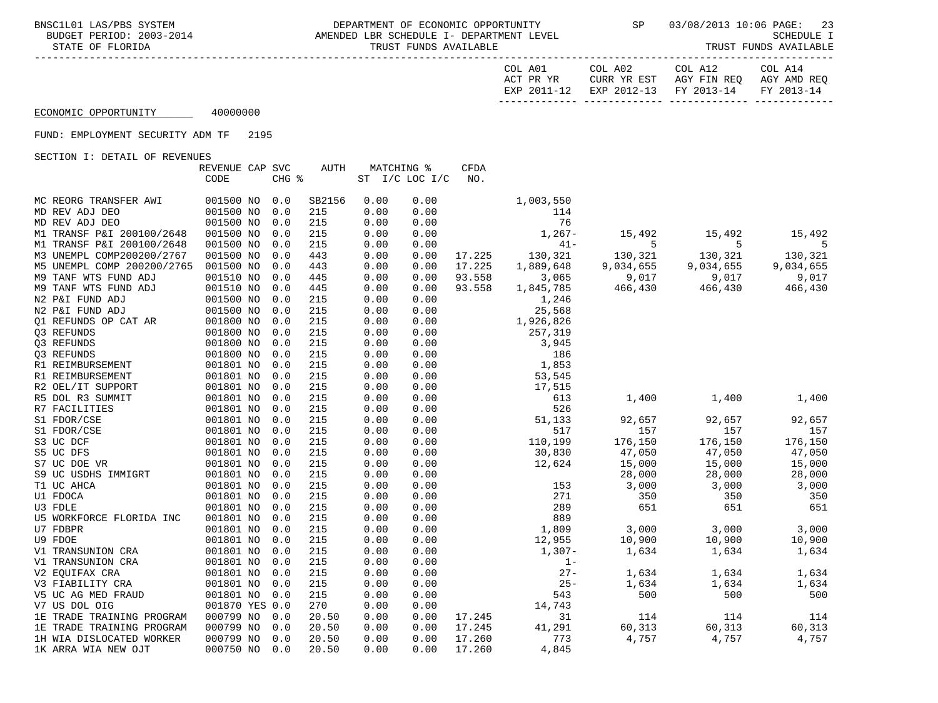| COL A01     | COL A02                           | COL A12     | COL A14     |
|-------------|-----------------------------------|-------------|-------------|
| ACT PR YR   | CURR YR EST                       | AGY FIN REO | AGY AMD REO |
| EXP 2011-12 | EXP 2012-13 FY 2013-14 FY 2013-14 |             |             |
|             |                                   |             |             |

## ECONOMIC OPPORTUNITY 40000000

### FUND: EMPLOYMENT SECURITY ADM TF 2195

|                            | REVENUE CAP SVC |       | <b>AUTH</b> |      | MATCHING %     | CFDA   |           |           |           |           |
|----------------------------|-----------------|-------|-------------|------|----------------|--------|-----------|-----------|-----------|-----------|
|                            | CODE            | CHG % |             |      | ST I/C LOC I/C | NO.    |           |           |           |           |
|                            |                 |       |             |      |                |        |           |           |           |           |
| MC REORG TRANSFER AWI      | 001500 NO       | 0.0   | SB2156      | 0.00 | 0.00           |        | 1,003,550 |           |           |           |
| MD REV ADJ DEO             | 001500 NO       | 0.0   | 215         | 0.00 | 0.00           |        | 114       |           |           |           |
| MD REV ADJ DEO             | 001500 NO       | 0.0   | 215         | 0.00 | 0.00           |        | 76        |           |           |           |
| M1 TRANSF P&I 200100/2648  | 001500 NO       | 0.0   | 215         | 0.00 | 0.00           |        | $1,267-$  | 15,492    | 15,492    | 15,492    |
| M1 TRANSF P&I 200100/2648  | 001500 NO       | 0.0   | 215         | 0.00 | 0.00           |        | $41 -$    | 5         | 5         | 5         |
| M3 UNEMPL COMP200200/2767  | 001500 NO       | 0.0   | 443         | 0.00 | 0.00           | 17.225 | 130,321   | 130,321   | 130,321   | 130,321   |
| M5 UNEMPL COMP 200200/2765 | 001500 NO       | 0.0   | 443         | 0.00 | 0.00           | 17.225 | 1,889,648 | 9,034,655 | 9,034,655 | 9,034,655 |
| M9 TANF WTS FUND ADJ       | 001510 NO       | 0.0   | 445         | 0.00 | 0.00           | 93.558 | 3,065     | 9,017     | 9,017     | 9,017     |
| M9 TANF WTS FUND ADJ       | 001510 NO       | 0.0   | 445         | 0.00 | 0.00           | 93.558 | 1,845,785 | 466,430   | 466,430   | 466,430   |
| N2 P&I FUND ADJ            | 001500 NO       | 0.0   | 215         | 0.00 | 0.00           |        | 1,246     |           |           |           |
| N2 P&I FUND ADJ            | 001500 NO       | 0.0   | 215         | 0.00 | 0.00           |        | 25,568    |           |           |           |
| O1 REFUNDS OP CAT AR       | 001800 NO       | 0.0   | 215         | 0.00 | 0.00           |        | 1,926,826 |           |           |           |
| Q3 REFUNDS                 | 001800 NO       | 0.0   | 215         | 0.00 | 0.00           |        | 257,319   |           |           |           |
| Q3 REFUNDS                 | 001800 NO       | 0.0   | 215         | 0.00 | 0.00           |        | 3,945     |           |           |           |
| Q3 REFUNDS                 | 001800 NO       | 0.0   | 215         | 0.00 | 0.00           |        | 186       |           |           |           |
| R1 REIMBURSEMENT           | 001801 NO       | 0.0   | 215         | 0.00 | 0.00           |        | 1,853     |           |           |           |
| R1 REIMBURSEMENT           | 001801 NO       | 0.0   | 215         | 0.00 | 0.00           |        | 53,545    |           |           |           |
| R2 OEL/IT SUPPORT          | 001801 NO       | 0.0   | 215         | 0.00 | 0.00           |        | 17,515    |           |           |           |
| R5 DOL R3 SUMMIT           | 001801 NO       | 0.0   | 215         | 0.00 | 0.00           |        | 613       | 1,400     | 1,400     | 1,400     |
| R7 FACILITIES              | 001801 NO       | 0.0   | 215         | 0.00 | 0.00           |        | 526       |           |           |           |
| S1 FDOR/CSE                | 001801 NO       | 0.0   | 215         | 0.00 | 0.00           |        | 51,133    | 92,657    | 92,657    | 92,657    |
| S1 FDOR/CSE                | 001801 NO       | 0.0   | 215         | 0.00 | 0.00           |        | 517       | 157       | 157       | 157       |
| S3 UC DCF                  | 001801 NO       | 0.0   | 215         | 0.00 | 0.00           |        | 110,199   | 176,150   | 176,150   | 176,150   |
| S5 UC DFS                  | 001801 NO       | 0.0   | 215         | 0.00 | 0.00           |        | 30,830    | 47,050    | 47,050    | 47,050    |
| S7 UC DOE VR               | 001801 NO       | 0.0   | 215         | 0.00 | 0.00           |        | 12,624    | 15,000    | 15,000    | 15,000    |
| S9 UC USDHS IMMIGRT        | 001801 NO       | 0.0   | 215         | 0.00 | 0.00           |        |           | 28,000    | 28,000    | 28,000    |
| T1 UC AHCA                 | 001801 NO       | 0.0   | 215         | 0.00 | 0.00           |        | 153       | 3,000     | 3,000     | 3,000     |
| U1 FDOCA                   | 001801 NO       | 0.0   | 215         | 0.00 | 0.00           |        | 271       | 350       | 350       | 350       |
| U3 FDLE                    | 001801 NO       | 0.0   | 215         | 0.00 | 0.00           |        | 289       | 651       | 651       | 651       |
| U5 WORKFORCE FLORIDA INC   | 001801 NO       | 0.0   | 215         | 0.00 | 0.00           |        | 889       |           |           |           |
| U7 FDBPR                   | 001801 NO       | 0.0   | 215         | 0.00 | 0.00           |        | 1,809     | 3,000     | 3,000     | 3,000     |
| <b>U9 FDOE</b>             | 001801 NO       | 0.0   | 215         | 0.00 | 0.00           |        | 12,955    | 10,900    | 10,900    | 10,900    |
| V1 TRANSUNION CRA          | 001801 NO       | 0.0   | 215         | 0.00 | 0.00           |        | $1,307-$  | 1,634     | 1,634     | 1,634     |
| V1 TRANSUNION CRA          | 001801 NO       | 0.0   | 215         | 0.00 | 0.00           |        | $1 -$     |           |           |           |
| V2 EQUIFAX CRA             | 001801 NO       | 0.0   | 215         | 0.00 | 0.00           |        | $27 -$    | 1,634     | 1,634     | 1,634     |
| V3 FIABILITY CRA           | 001801 NO       | 0.0   | 215         | 0.00 | 0.00           |        | $25 -$    | 1,634     | 1,634     | 1,634     |
| V5 UC AG MED FRAUD         | 001801 NO       | 0.0   | 215         | 0.00 | 0.00           |        | 543       | 500       | 500       | 500       |
| V7 US DOL OIG              | 001870 YES 0.0  |       | 270         | 0.00 | 0.00           |        | 14,743    |           |           |           |
| 1E TRADE TRAINING PROGRAM  | 000799 NO       | 0.0   | 20.50       | 0.00 | 0.00           | 17.245 | 31        | 114       | 114       | 114       |
| 1E TRADE TRAINING PROGRAM  | 000799 NO       | 0.0   | 20.50       | 0.00 | 0.00           | 17.245 | 41,291    | 60,313    | 60,313    | 60,313    |
| 1H WIA DISLOCATED WORKER   | 000799 NO       | 0.0   | 20.50       | 0.00 | 0.00           | 17.260 | 773       | 4,757     | 4,757     | 4,757     |
| 1K ARRA WIA NEW OJT        | 000750 NO       | 0.0   | 20.50       | 0.00 | 0.00           | 17.260 | 4,845     |           |           |           |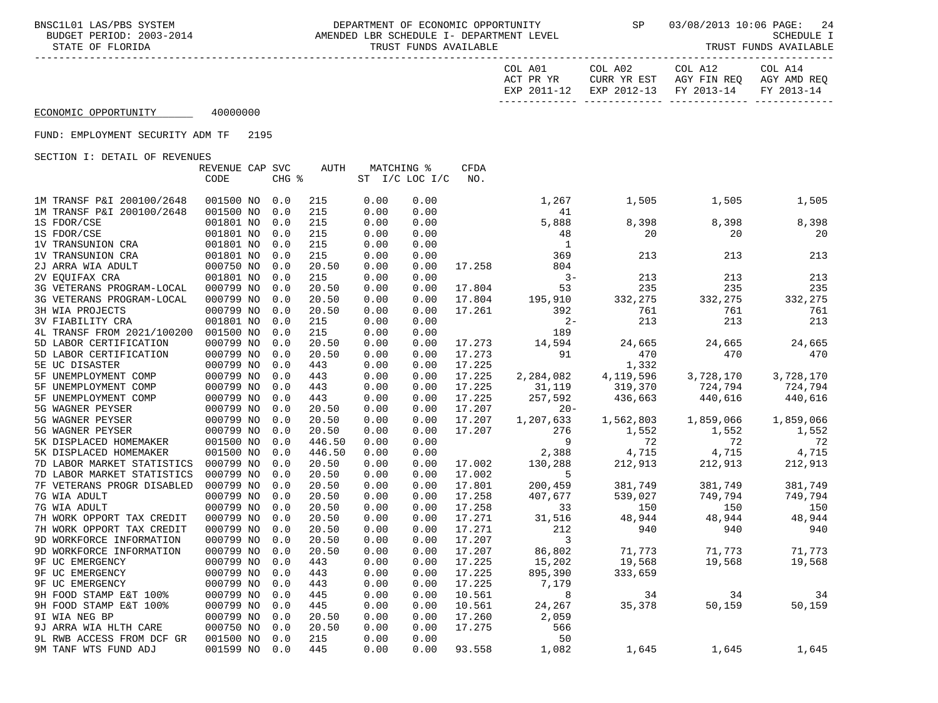| COL A01   |             | COL A02                | COL A12     | COL A14     |
|-----------|-------------|------------------------|-------------|-------------|
| ACT PR YR |             | CURR YR EST            | AGY FIN REO | AGY AMD REO |
|           | EXP 2011-12 | EXP 2012-13 FY 2013-14 |             | FY 2013-14  |
|           |             |                        |             |             |

## ECONOMIC OPPORTUNITY 40000000

### FUND: EMPLOYMENT SECURITY ADM TF 2195

|                            | REVENUE CAP SVC |       | <b>AUTH</b> |      | MATCHING %         | <b>CFDA</b> |              |           |           |           |
|----------------------------|-----------------|-------|-------------|------|--------------------|-------------|--------------|-----------|-----------|-----------|
|                            | CODE            | CHG % |             |      | ST $I/C$ LOC $I/C$ | NO.         |              |           |           |           |
|                            |                 |       |             |      |                    |             |              |           |           |           |
| 1M TRANSF P&I 200100/2648  | 001500 NO       | 0.0   | 215         | 0.00 | 0.00               |             | 1,267        | 1,505     | 1,505     | 1,505     |
| 1M TRANSF P&I 200100/2648  | 001500 NO       | 0.0   | 215         | 0.00 | 0.00               |             | 41           |           |           |           |
| 1S FDOR/CSE                | 001801 NO       | 0.0   | 215         | 0.00 | 0.00               |             | 5,888        | 8,398     | 8,398     | 8,398     |
| 1S FDOR/CSE                | 001801 NO       | 0.0   | 215         | 0.00 | 0.00               |             | 48           | 20        | 20        | 20        |
| 1V TRANSUNION CRA          | 001801 NO       | 0.0   | 215         | 0.00 | 0.00               |             | $\mathbf{1}$ |           |           |           |
| 1V TRANSUNION CRA          | 001801 NO       | 0.0   | 215         | 0.00 | 0.00               |             | 369          | 213       | 213       | 213       |
| 2J ARRA WIA ADULT          | 000750 NO       | 0.0   | 20.50       | 0.00 | 0.00               | 17.258      | 804          |           |           |           |
| 2V EOUIFAX CRA             | 001801 NO       | 0.0   | 215         | 0.00 | 0.00               |             | $3 -$        | 213       | 213       | 213       |
| 3G VETERANS PROGRAM-LOCAL  | 000799 NO       | 0.0   | 20.50       | 0.00 | 0.00               | 17.804      | 53           | 235       | 235       | 235       |
| 3G VETERANS PROGRAM-LOCAL  | 000799 NO       | 0.0   | 20.50       | 0.00 | 0.00               | 17.804      | 195,910      | 332,275   | 332,275   | 332,275   |
| 3H WIA PROJECTS            | 000799 NO       | 0.0   | 20.50       | 0.00 | 0.00               | 17.261      | 392          | 761       | 761       | 761       |
| <b>3V FIABILITY CRA</b>    | 001801 NO       | 0.0   | 215         | 0.00 | 0.00               |             | $2 -$        | 213       | 213       | 213       |
| 4L TRANSF FROM 2021/100200 | 001500 NO       | 0.0   | 215         | 0.00 | 0.00               |             | 189          |           |           |           |
| 5D LABOR CERTIFICATION     | 000799 NO       | 0.0   | 20.50       | 0.00 | 0.00               | 17.273      | 14,594       | 24,665    | 24,665    | 24,665    |
| 5D LABOR CERTIFICATION     | 000799 NO       | 0.0   | 20.50       | 0.00 | 0.00               | 17.273      | 91           | 470       | 470       | 470       |
| 5E UC DISASTER             | 000799 NO       | 0.0   | 443         | 0.00 | 0.00               | 17.225      |              | 1,332     |           |           |
| 5F UNEMPLOYMENT COMP       | 000799 NO       | 0.0   | 443         | 0.00 | 0.00               | 17.225      | 2,284,082    | 4,119,596 | 3,728,170 | 3,728,170 |
| 5F UNEMPLOYMENT COMP       | 000799 NO       | 0.0   | 443         | 0.00 | 0.00               | 17.225      | 31,119       | 319,370   | 724,794   | 724,794   |
| 5F UNEMPLOYMENT COMP       | 000799 NO       | 0.0   | 443         | 0.00 | 0.00               | 17.225      | 257,592      | 436,663   | 440,616   | 440,616   |
| 5G WAGNER PEYSER           | 000799 NO       | 0.0   | 20.50       | 0.00 | 0.00               | 17.207      | $20 -$       |           |           |           |
| 5G WAGNER PEYSER           | 000799 NO       | 0.0   | 20.50       | 0.00 | 0.00               | 17.207      | 1,207,633    | 1,562,803 | 1,859,066 | 1,859,066 |
| 5G WAGNER PEYSER           | 000799 NO       | 0.0   | 20.50       | 0.00 | 0.00               | 17.207      | 276          | 1,552     | 1,552     | 1,552     |
| 5K DISPLACED HOMEMAKER     | 001500 NO       | 0.0   | 446.50      | 0.00 | 0.00               |             | 9            | 72        | 72        | 72        |
| 5K DISPLACED HOMEMAKER     | 001500 NO       | 0.0   | 446.50      | 0.00 | 0.00               |             | 2,388        | 4,715     | 4,715     | 4,715     |
| 7D LABOR MARKET STATISTICS | 000799 NO       | 0.0   | 20.50       | 0.00 | 0.00               | 17.002      | 130,288      | 212,913   | 212,913   | 212,913   |
| 7D LABOR MARKET STATISTICS | 000799 NO       | 0.0   | 20.50       | 0.00 | 0.00               | 17.002      | 5            |           |           |           |
| 7F VETERANS PROGR DISABLED | 000799 NO       | 0.0   | 20.50       | 0.00 | 0.00               | 17.801      | 200,459      | 381,749   | 381,749   | 381,749   |
| 7G WIA ADULT               | 000799 NO       | 0.0   | 20.50       | 0.00 | 0.00               | 17.258      | 407,677      | 539,027   | 749,794   | 749,794   |
| 7G WIA ADULT               | 000799 NO       | 0.0   | 20.50       | 0.00 | 0.00               | 17.258      | 33           | 150       | 150       | 150       |
| 7H WORK OPPORT TAX CREDIT  | 000799 NO       | 0.0   | 20.50       | 0.00 | 0.00               | 17.271      | 31,516       | 48,944    | 48,944    | 48,944    |
| 7H WORK OPPORT TAX CREDIT  | 000799 NO       | 0.0   | 20.50       | 0.00 | 0.00               | 17.271      | 212          | 940       | 940       | 940       |
| 9D WORKFORCE INFORMATION   | 000799 NO       | 0.0   | 20.50       | 0.00 | 0.00               | 17.207      | 3            |           |           |           |
| 9D WORKFORCE INFORMATION   | 000799 NO       | 0.0   | 20.50       | 0.00 | 0.00               | 17.207      | 86,802       | 71,773    | 71,773    | 71,773    |
| <b>9F UC EMERGENCY</b>     | 000799 NO       | 0.0   | 443         | 0.00 | 0.00               | 17.225      | 15,202       | 19,568    | 19,568    | 19,568    |
| <b>9F UC EMERGENCY</b>     | 000799 NO       | 0.0   | 443         | 0.00 | 0.00               | 17.225      | 895,390      | 333,659   |           |           |
| <b>9F UC EMERGENCY</b>     | 000799 NO       | 0.0   | 443         | 0.00 | 0.00               | 17.225      | 7,179        |           |           |           |
| 9H FOOD STAMP E&T 100%     | 000799 NO       | 0.0   | 445         | 0.00 | 0.00               | 10.561      | 8            | 34        | 34        | 34        |
| 9H FOOD STAMP E&T 100%     | 000799 NO       | 0.0   | 445         | 0.00 | 0.00               | 10.561      | 24,267       | 35,378    | 50,159    | 50,159    |
| 9I WIA NEG BP              | 000799 NO       | 0.0   | 20.50       | 0.00 | 0.00               | 17.260      | 2,059        |           |           |           |
| 9J ARRA WIA HLTH CARE      | 000750 NO       | 0.0   | 20.50       | 0.00 | 0.00               | 17.275      | 566          |           |           |           |
| 9L RWB ACCESS FROM DCF GR  | 001500 NO       | 0.0   | 215         | 0.00 | 0.00               |             | 50           |           |           |           |
| 9M TANF WTS FUND ADJ       | 001599 NO       | 0.0   | 445         | 0.00 | 0.00               | 93.558      | 1,082        | 1,645     | 1,645     | 1,645     |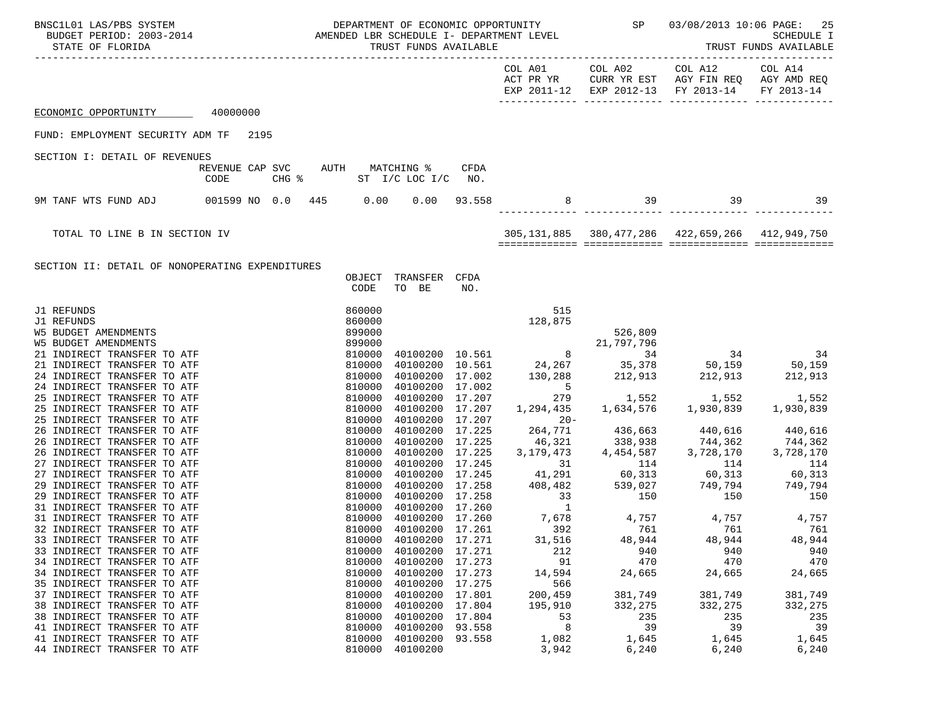| SCILO1 LAS/PBS SYSTEM DEPARTMENT OF ECONOMIC OPPORTUNITY<br>BUDGET PERIOD: 2003-2014 AMENDED LBR SCHEDULE I- DEPARTMENT LEVEL<br>BNSC1L01 LAS/PBS SYSTEM<br>STATE OF FLORIDA |      |  |                                                                                                                                                                                                                                                                                                        |                                                             |        |                      |                |                                                                                                                                             | DEPARTMENT OF ECONOMIC OPPORTUNITY<br>$\begin{array}{ccc}\n & \text{SP} & 03/08/2013 & 10:06 & \text{PAGE:} & 25 \\ \hline\n & \text{GUTDUT D} & \text{T} & \text{T} & \text{T} \\ \end{array}$<br>TRUST F<br>SCHEDULE I<br>TRUST FUNDS AVAILABLE |  |
|------------------------------------------------------------------------------------------------------------------------------------------------------------------------------|------|--|--------------------------------------------------------------------------------------------------------------------------------------------------------------------------------------------------------------------------------------------------------------------------------------------------------|-------------------------------------------------------------|--------|----------------------|----------------|---------------------------------------------------------------------------------------------------------------------------------------------|---------------------------------------------------------------------------------------------------------------------------------------------------------------------------------------------------------------------------------------------------|--|
|                                                                                                                                                                              |      |  |                                                                                                                                                                                                                                                                                                        |                                                             |        | COL A01<br>ACT PR YR | COL A02        | COL A12<br>CURR YR EST AGY FIN REQ AGY AMD REQ<br>EXP 2011-12 EXP 2012-13 FY 2013-14                                                        | COL A14<br>FY 2013-14                                                                                                                                                                                                                             |  |
| ECONOMIC OPPORTUNITY 40000000                                                                                                                                                |      |  |                                                                                                                                                                                                                                                                                                        |                                                             |        |                      |                |                                                                                                                                             |                                                                                                                                                                                                                                                   |  |
| FUND: EMPLOYMENT SECURITY ADM TF 2195                                                                                                                                        |      |  |                                                                                                                                                                                                                                                                                                        |                                                             |        |                      |                |                                                                                                                                             |                                                                                                                                                                                                                                                   |  |
| SECTION I: DETAIL OF REVENUES                                                                                                                                                |      |  |                                                                                                                                                                                                                                                                                                        |                                                             |        |                      |                |                                                                                                                                             |                                                                                                                                                                                                                                                   |  |
|                                                                                                                                                                              | CODE |  |                                                                                                                                                                                                                                                                                                        | REVENUE CAP SVC AUTH MATCHING %<br>CHG % ST I/C LOC I/C NO. | CFDA   |                      |                |                                                                                                                                             |                                                                                                                                                                                                                                                   |  |
| 9M TANF WTS FUND ADJ 001599 NO 0.0 445 0.00 0.00 93.558                                                                                                                      |      |  |                                                                                                                                                                                                                                                                                                        |                                                             |        |                      | 8 39 39 39     |                                                                                                                                             | $\sim$ 39                                                                                                                                                                                                                                         |  |
| TOTAL TO LINE B IN SECTION IV                                                                                                                                                |      |  |                                                                                                                                                                                                                                                                                                        |                                                             |        |                      |                | 305,131,885 380,477,286 422,659,266 412,949,750                                                                                             |                                                                                                                                                                                                                                                   |  |
|                                                                                                                                                                              |      |  |                                                                                                                                                                                                                                                                                                        |                                                             |        |                      |                |                                                                                                                                             |                                                                                                                                                                                                                                                   |  |
| SECTION II: DETAIL OF NONOPERATING EXPENDITURES                                                                                                                              |      |  | OBJECT<br>CODE                                                                                                                                                                                                                                                                                         | TRANSFER CFDA<br>TO BE                                      | NO.    |                      |                |                                                                                                                                             |                                                                                                                                                                                                                                                   |  |
| J1 REFUNDS                                                                                                                                                                   |      |  | 860000                                                                                                                                                                                                                                                                                                 |                                                             |        | 515                  |                |                                                                                                                                             |                                                                                                                                                                                                                                                   |  |
| J1 REFUNDS<br><b>W5 BUDGET AMENDMENTS</b>                                                                                                                                    |      |  | 860000<br>$860000$<br>$899000$<br>$899000$<br>$810000$<br>$810000$<br>$810000$<br>$810000$<br>$810000$<br>$810000$<br>$810000$<br>$810000$<br>$810000$<br>$810000$<br>$810000$<br>$810000$<br>$810000$<br>$810000$<br>$810000$<br>$810000$<br>$810000$<br>$810000$<br>$810000$<br>$810000$<br>$810000$ |                                                             |        | 128,875              |                |                                                                                                                                             |                                                                                                                                                                                                                                                   |  |
| <b>W5 BUDGET AMENDMENTS</b>                                                                                                                                                  |      |  |                                                                                                                                                                                                                                                                                                        |                                                             |        |                      |                |                                                                                                                                             |                                                                                                                                                                                                                                                   |  |
| 21 INDIRECT TRANSFER TO ATF                                                                                                                                                  |      |  |                                                                                                                                                                                                                                                                                                        |                                                             |        |                      |                |                                                                                                                                             |                                                                                                                                                                                                                                                   |  |
| 21 INDIRECT TRANSFER TO ATF                                                                                                                                                  |      |  |                                                                                                                                                                                                                                                                                                        |                                                             |        |                      |                |                                                                                                                                             |                                                                                                                                                                                                                                                   |  |
| 24 INDIRECT TRANSFER TO ATF                                                                                                                                                  |      |  |                                                                                                                                                                                                                                                                                                        |                                                             |        |                      |                |                                                                                                                                             |                                                                                                                                                                                                                                                   |  |
| 24 INDIRECT TRANSFER TO ATF<br>25 INDIRECT TRANSFER TO ATF                                                                                                                   |      |  |                                                                                                                                                                                                                                                                                                        | 40100200 17.002<br>40100200 17.207                          |        |                      |                | $\begin{array}{cccc} & & & & & 5 \\ & & & & 279 & & & 1,552 & & 1,552 \\ & & & & 279 & & 1,634,576 & & 1,930,839 & & 1,930,839 \end{array}$ |                                                                                                                                                                                                                                                   |  |
| 25 INDIRECT TRANSFER TO ATF                                                                                                                                                  |      |  |                                                                                                                                                                                                                                                                                                        | 40100200 17.207                                             |        |                      |                |                                                                                                                                             |                                                                                                                                                                                                                                                   |  |
| 25 INDIRECT TRANSFER TO ATF                                                                                                                                                  |      |  |                                                                                                                                                                                                                                                                                                        | 40100200 17.207                                             |        |                      |                |                                                                                                                                             |                                                                                                                                                                                                                                                   |  |
| 26 INDIRECT TRANSFER TO ATF                                                                                                                                                  |      |  |                                                                                                                                                                                                                                                                                                        | 40100200 17.225                                             |        |                      |                | $20-$<br>$264,771$<br>$436,663$<br>$440,616$<br>$440,616$<br>$744,362$<br>$744,362$<br>$744,362$                                            |                                                                                                                                                                                                                                                   |  |
| 26 INDIRECT TRANSFER TO ATF                                                                                                                                                  |      |  |                                                                                                                                                                                                                                                                                                        | 40100200 17.225                                             |        |                      |                |                                                                                                                                             |                                                                                                                                                                                                                                                   |  |
| 26 INDIRECT TRANSFER TO ATF<br>27 INDIRECT TRANSFER TO ATF                                                                                                                   |      |  |                                                                                                                                                                                                                                                                                                        | 40100200 17.225<br>40100200 17.245                          |        | 3, 179, 473          | 31 114         | $4,454,587$ $3,728,170$<br>114                                                                                                              | 3,728,170<br>114                                                                                                                                                                                                                                  |  |
| 27 INDIRECT TRANSFER TO ATF                                                                                                                                                  |      |  |                                                                                                                                                                                                                                                                                                        |                                                             |        |                      |                |                                                                                                                                             |                                                                                                                                                                                                                                                   |  |
| 29 INDIRECT TRANSFER TO ATF                                                                                                                                                  |      |  |                                                                                                                                                                                                                                                                                                        |                                                             |        |                      |                |                                                                                                                                             |                                                                                                                                                                                                                                                   |  |
| 29 INDIRECT TRANSFER TO ATF                                                                                                                                                  |      |  |                                                                                                                                                                                                                                                                                                        |                                                             |        |                      |                |                                                                                                                                             |                                                                                                                                                                                                                                                   |  |
| 31 INDIRECT TRANSFER TO ATF                                                                                                                                                  |      |  | 810000                                                                                                                                                                                                                                                                                                 |                                                             |        |                      |                |                                                                                                                                             |                                                                                                                                                                                                                                                   |  |
| 31 INDIRECT TRANSFER TO ATF                                                                                                                                                  |      |  |                                                                                                                                                                                                                                                                                                        | 810000 40100200 17.260                                      |        |                      |                |                                                                                                                                             |                                                                                                                                                                                                                                                   |  |
| 32 INDIRECT TRANSFER TO ATF<br>33 INDIRECT TRANSFER TO ATF                                                                                                                   |      |  | 810000                                                                                                                                                                                                                                                                                                 | 810000 40100200 17.261<br>40100200 17.271                   |        | 392<br>31,516        | 761<br>48,944  | 761<br>48,944                                                                                                                               | 761<br>48,944                                                                                                                                                                                                                                     |  |
| 33 INDIRECT TRANSFER TO ATF                                                                                                                                                  |      |  | 810000                                                                                                                                                                                                                                                                                                 | 40100200 17.271                                             |        | 212                  | 940            | 940                                                                                                                                         | 940                                                                                                                                                                                                                                               |  |
| 34 INDIRECT TRANSFER TO ATF                                                                                                                                                  |      |  | 810000                                                                                                                                                                                                                                                                                                 | 40100200 17.273                                             |        | 91                   | 470            | 470                                                                                                                                         | 470                                                                                                                                                                                                                                               |  |
| 34 INDIRECT TRANSFER TO ATF                                                                                                                                                  |      |  | 810000                                                                                                                                                                                                                                                                                                 | 40100200                                                    | 17.273 | 14,594               | 24,665         | 24,665                                                                                                                                      | 24,665                                                                                                                                                                                                                                            |  |
| 35 INDIRECT TRANSFER TO ATF                                                                                                                                                  |      |  | 810000                                                                                                                                                                                                                                                                                                 | 40100200                                                    | 17.275 | 566                  |                |                                                                                                                                             |                                                                                                                                                                                                                                                   |  |
| 37 INDIRECT TRANSFER TO ATF                                                                                                                                                  |      |  | 810000                                                                                                                                                                                                                                                                                                 | 40100200                                                    | 17.801 | 200,459              | 381,749        | 381,749                                                                                                                                     | 381,749                                                                                                                                                                                                                                           |  |
| 38 INDIRECT TRANSFER TO ATF<br>38 INDIRECT TRANSFER TO ATF                                                                                                                   |      |  | 810000<br>810000                                                                                                                                                                                                                                                                                       | 40100200<br>40100200 17.804                                 | 17.804 | 195,910<br>53        | 332,275<br>235 | 332,275<br>235                                                                                                                              | 332,275<br>235                                                                                                                                                                                                                                    |  |
| 41 INDIRECT TRANSFER TO ATF                                                                                                                                                  |      |  | 810000                                                                                                                                                                                                                                                                                                 | 40100200                                                    | 93.558 | 8                    | 39             | 39                                                                                                                                          | 39                                                                                                                                                                                                                                                |  |
| 41 INDIRECT TRANSFER TO ATF                                                                                                                                                  |      |  | 810000                                                                                                                                                                                                                                                                                                 | 40100200                                                    | 93.558 | 1,082                | 1,645          | 1,645                                                                                                                                       | 1,645                                                                                                                                                                                                                                             |  |
| 44 INDIRECT TRANSFER TO ATF                                                                                                                                                  |      |  | 810000                                                                                                                                                                                                                                                                                                 | 40100200                                                    |        | 3,942                | 6,240          | 6,240                                                                                                                                       | 6,240                                                                                                                                                                                                                                             |  |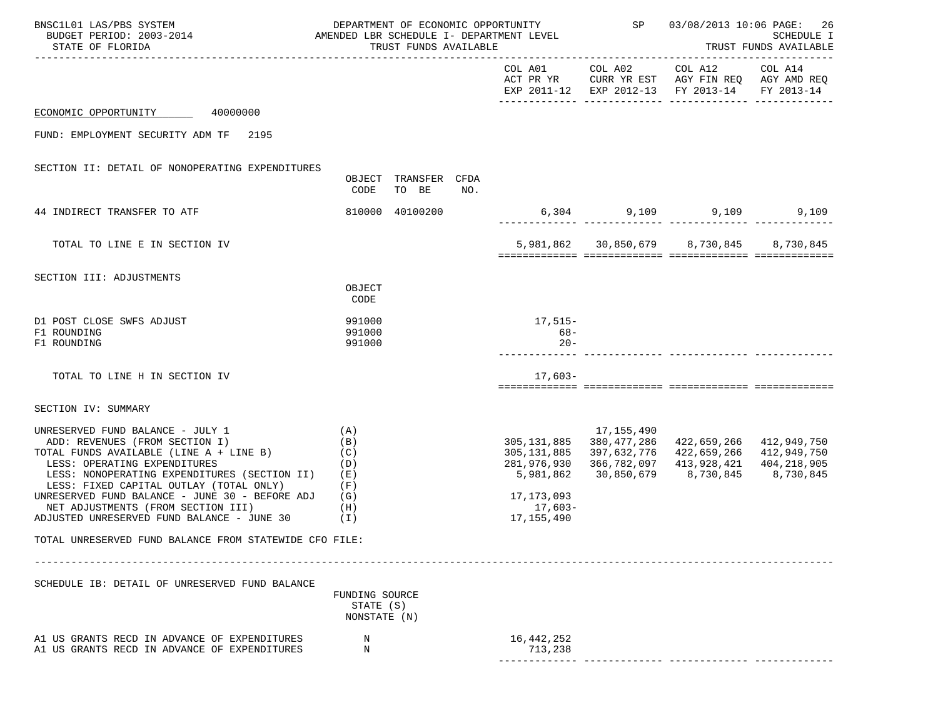| BNSC1L01 LAS/PBS SYSTEM<br>BUDGET PERIOD: 2003-2014<br>STATE OF FLORIDA                                                                                                                                                                                                                                                                                                               |                                                      | TRUST FUNDS AVAILABLE         |     | DEPARTMENT OF ECONOMIC OPPORTUNITY<br>AMENDED LBR SCHEDULE I- DEPARTMENT LEVEL |                                           | SP 03/08/2013 10:06 PAGE:                                                                                                                                                         | 26<br>SCHEDULE I<br>TRUST FUNDS AVAILABLE |
|---------------------------------------------------------------------------------------------------------------------------------------------------------------------------------------------------------------------------------------------------------------------------------------------------------------------------------------------------------------------------------------|------------------------------------------------------|-------------------------------|-----|--------------------------------------------------------------------------------|-------------------------------------------|-----------------------------------------------------------------------------------------------------------------------------------------------------------------------------------|-------------------------------------------|
|                                                                                                                                                                                                                                                                                                                                                                                       |                                                      |                               |     | COL A01                                                                        | COL A02                                   | COL A12 COL A14<br>ACT PR YR CURR YR EST AGY FIN REQ AGY AMD REQ<br>EXP 2011-12 EXP 2012-13 FY 2013-14 FY 2013-14                                                                 |                                           |
| ECONOMIC OPPORTUNITY<br>40000000                                                                                                                                                                                                                                                                                                                                                      |                                                      |                               |     |                                                                                |                                           |                                                                                                                                                                                   |                                           |
| FUND: EMPLOYMENT SECURITY ADM TF<br>2195                                                                                                                                                                                                                                                                                                                                              |                                                      |                               |     |                                                                                |                                           |                                                                                                                                                                                   |                                           |
| SECTION II: DETAIL OF NONOPERATING EXPENDITURES                                                                                                                                                                                                                                                                                                                                       | CODE                                                 | OBJECT TRANSFER CFDA<br>TO BE | NO. |                                                                                |                                           |                                                                                                                                                                                   |                                           |
| 44 INDIRECT TRANSFER TO ATF                                                                                                                                                                                                                                                                                                                                                           |                                                      | 810000 40100200               |     |                                                                                |                                           | 6,304 9,109 9,109 9,109                                                                                                                                                           |                                           |
| TOTAL TO LINE E IN SECTION IV                                                                                                                                                                                                                                                                                                                                                         |                                                      |                               |     |                                                                                |                                           | 5,981,862 30,850,679 8,730,845                                                                                                                                                    | 8,730,845                                 |
| SECTION III: ADJUSTMENTS                                                                                                                                                                                                                                                                                                                                                              | OBJECT<br>CODE                                       |                               |     |                                                                                |                                           |                                                                                                                                                                                   |                                           |
| D1 POST CLOSE SWFS ADJUST<br>F1 ROUNDING<br>F1 ROUNDING                                                                                                                                                                                                                                                                                                                               | 991000<br>991000<br>991000                           |                               |     | 17,515–<br>$68-$<br>$20 -$                                                     |                                           |                                                                                                                                                                                   |                                           |
| TOTAL TO LINE H IN SECTION IV                                                                                                                                                                                                                                                                                                                                                         |                                                      |                               |     | $17,603-$                                                                      |                                           |                                                                                                                                                                                   |                                           |
| SECTION IV: SUMMARY                                                                                                                                                                                                                                                                                                                                                                   |                                                      |                               |     |                                                                                |                                           |                                                                                                                                                                                   |                                           |
| UNRESERVED FUND BALANCE - JULY 1<br>ADD: REVENUES (FROM SECTION I)<br>TOTAL FUNDS AVAILABLE (LINE A + LINE B)<br>(C)<br>LESS: OPERATING EXPENDITURES<br>LESS: NONOPERATING EXPENDITURES (SECTION II)<br>LESS: FIXED CAPITAL OUTLAY (TOTAL ONLY)<br>UNRESERVED FUND BALANCE - JUNE 30 - BEFORE ADJ<br>NET ADJUSTMENTS (FROM SECTION III)<br>ADJUSTED UNRESERVED FUND BALANCE - JUNE 30 | (A)<br>(B)<br>(D)<br>(E)<br>(F)<br>(G)<br>(H)<br>(T) |                               |     | 17,173,093<br>17,603-<br>17,155,490                                            | 17,155,490<br>305, 131, 885 380, 477, 286 | 422,659,266 412,949,750<br>305, 131, 885 397, 632, 776 422, 659, 266 412, 949, 750<br>281,976,930 366,782,097 413,928,421 404,218,905<br>5,981,862 30,850,679 8,730,845 8,730,845 |                                           |
| TOTAL UNRESERVED FUND BALANCE FROM STATEWIDE CFO FILE:                                                                                                                                                                                                                                                                                                                                |                                                      |                               |     |                                                                                |                                           |                                                                                                                                                                                   |                                           |
|                                                                                                                                                                                                                                                                                                                                                                                       |                                                      |                               |     |                                                                                |                                           |                                                                                                                                                                                   |                                           |
| SCHEDULE IB: DETAIL OF UNRESERVED FUND BALANCE                                                                                                                                                                                                                                                                                                                                        | FUNDING SOURCE<br>STATE (S)<br>NONSTATE (N)          |                               |     |                                                                                |                                           |                                                                                                                                                                                   |                                           |
| A1 US GRANTS RECD IN ADVANCE OF EXPENDITURES<br>A1 US GRANTS RECD IN ADVANCE OF EXPENDITURES                                                                                                                                                                                                                                                                                          | N<br>N                                               |                               |     | 16,442,252<br>713,238                                                          |                                           |                                                                                                                                                                                   |                                           |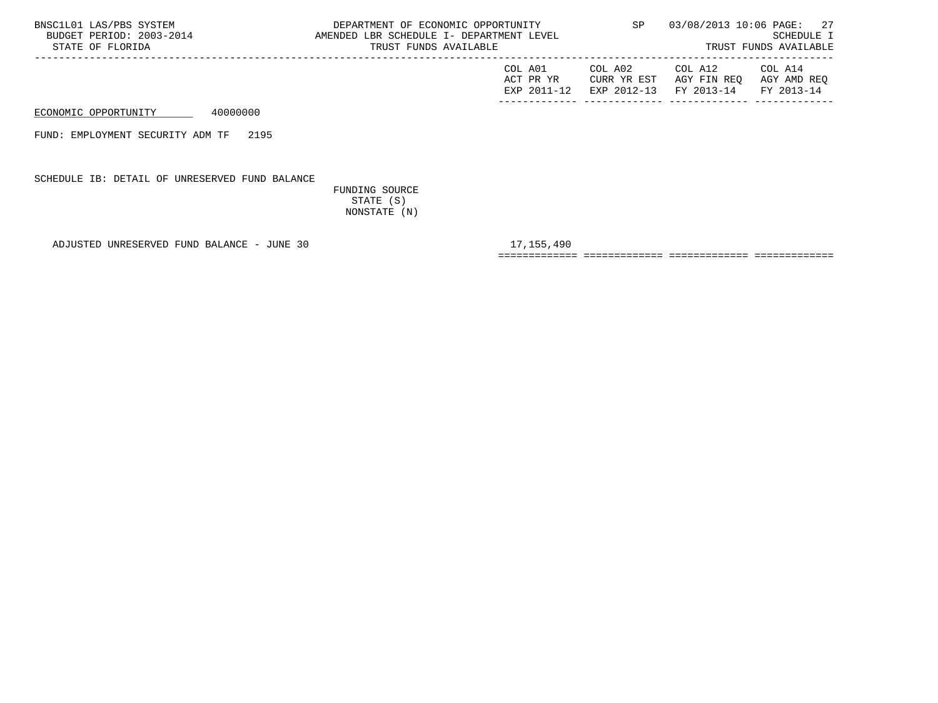| BNSC1L01 LAS/PBS SYSTEM<br>BUDGET PERIOD: 2003-2014<br>STATE OF FLORIDA | DEPARTMENT OF ECONOMIC OPPORTUNITY<br>AMENDED LBR SCHEDULE I- DEPARTMENT LEVEL<br>TRUST FUNDS AVAILABLE |                                     | SP                                    | 03/08/2013 10:06 PAGE: 27<br>SCHEDULE I<br>TRUST FUNDS AVAILABLE |                                      |  |
|-------------------------------------------------------------------------|---------------------------------------------------------------------------------------------------------|-------------------------------------|---------------------------------------|------------------------------------------------------------------|--------------------------------------|--|
|                                                                         |                                                                                                         | COL A01<br>ACT PR YR<br>EXP 2011-12 | COL A02<br>CURR YR EST<br>EXP 2012-13 | COL A12<br>AGY FIN REO<br>FY 2013-14                             | COL A14<br>AGY AMD REO<br>FY 2013-14 |  |
| ECONOMIC OPPORTUNITY                                                    | 40000000                                                                                                |                                     |                                       |                                                                  |                                      |  |

FUND: EMPLOYMENT SECURITY ADM TF 2195

SCHEDULE IB: DETAIL OF UNRESERVED FUND BALANCE

 FUNDING SOURCE STATE (S) NONSTATE (N)

ADJUSTED UNRESERVED FUND BALANCE - JUNE 30 17,155,490

============= ============= ============= =============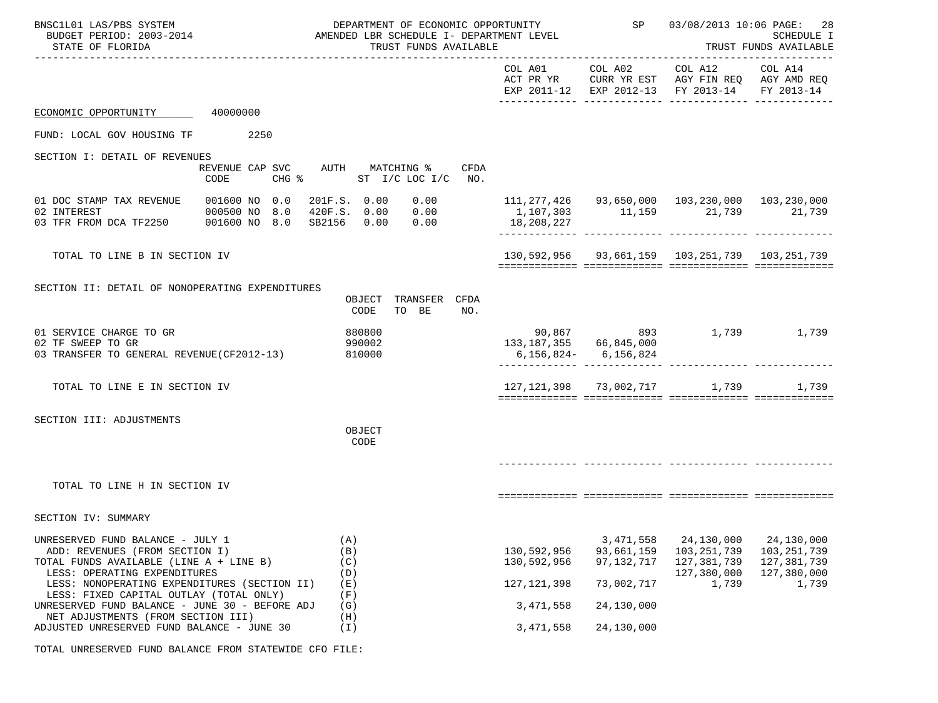| BNSC1L01 LAS/PBS SYSTEM<br>BUDGET PERIOD: 2003-2014<br>STATE OF FLORIDA                                                                                                                       |                                                            | DEPARTMENT OF ECONOMIC OPPORTUNITY<br>AMENDED LBR SCHEDULE I- DEPARTMENT LEVEL<br>TRUST FUNDS AVAILABLE |                                             |                                                           | SP 03/08/2013 10:06 PAGE: 28<br>SCHEDULE I<br>TRUST FUNDS AVAILABLE                                          |                                                                  |  |
|-----------------------------------------------------------------------------------------------------------------------------------------------------------------------------------------------|------------------------------------------------------------|---------------------------------------------------------------------------------------------------------|---------------------------------------------|-----------------------------------------------------------|--------------------------------------------------------------------------------------------------------------|------------------------------------------------------------------|--|
|                                                                                                                                                                                               |                                                            |                                                                                                         | COL A01                                     |                                                           | COL A02 COL A12<br>ACT PR YR CURR YR EST AGY FIN REQ AGY AMD REQ<br>EXP 2011-12 EXP 2012-13 FY 2013-14       | COL A14<br>FY 2013-14                                            |  |
| ECONOMIC OPPORTUNITY 40000000                                                                                                                                                                 |                                                            |                                                                                                         |                                             |                                                           |                                                                                                              |                                                                  |  |
| FUND: LOCAL GOV HOUSING TF                                                                                                                                                                    | 2250                                                       |                                                                                                         |                                             |                                                           |                                                                                                              |                                                                  |  |
| SECTION I: DETAIL OF REVENUES                                                                                                                                                                 | REVENUE CAP SVC AUTH MATCHING %<br>$CHG$ $\approx$<br>CODE | CFDA<br>ST I/C LOC I/C NO.                                                                              |                                             |                                                           |                                                                                                              |                                                                  |  |
| 01 DOC STAMP TAX REVENUE<br>02 INTEREST<br>03 TFR FROM DCA TF2250 001600 NO 8.0                                                                                                               | 001600 NO 0.0<br>000500 NO 8.0                             | 201F.S. 0.00 0.00<br>420F.S. 0.00 0.00<br>SB2156 0.00 0.00 18,208,227                                   |                                             |                                                           | 111,277,426  93,650,000  103,230,000  103,230,000<br>$1,107,303$ $11,159$ $21,739$ $21,739$<br>------------- |                                                                  |  |
| TOTAL TO LINE B IN SECTION IV                                                                                                                                                                 |                                                            |                                                                                                         |                                             |                                                           | 130,592,956 93,661,159 103,251,739 103,251,739                                                               |                                                                  |  |
| SECTION II: DETAIL OF NONOPERATING EXPENDITURES                                                                                                                                               |                                                            | OBJECT TRANSFER CFDA<br>TO BE<br>CODE<br>NO.                                                            |                                             |                                                           |                                                                                                              |                                                                  |  |
| 01 SERVICE CHARGE TO GR<br>02 TF SWEEP TO GR<br>03 TRANSFER TO GENERAL REVENUE (CF2012-13)                                                                                                    |                                                            | 880800<br>990002<br>810000                                                                              | 133, 187, 355 66, 845, 000                  | 6,156,824 - 6,156,824<br>________________________________ | 90,867 893 1,739 1,739                                                                                       |                                                                  |  |
| TOTAL TO LINE E IN SECTION IV                                                                                                                                                                 |                                                            |                                                                                                         |                                             |                                                           | 127,121,398 73,002,717 1,739                                                                                 | 1,739                                                            |  |
| SECTION III: ADJUSTMENTS                                                                                                                                                                      |                                                            | OBJECT<br>CODE                                                                                          |                                             |                                                           |                                                                                                              |                                                                  |  |
| TOTAL TO LINE H IN SECTION IV                                                                                                                                                                 |                                                            |                                                                                                         |                                             |                                                           |                                                                                                              |                                                                  |  |
| SECTION IV: SUMMARY                                                                                                                                                                           |                                                            |                                                                                                         |                                             |                                                           |                                                                                                              |                                                                  |  |
| UNRESERVED FUND BALANCE - JULY 1<br>ADD: REVENUES (FROM SECTION I)<br>TOTAL FUNDS AVAILABLE (LINE A + LINE B)<br>LESS: OPERATING EXPENDITURES<br>LESS: NONOPERATING EXPENDITURES (SECTION II) |                                                            | (A)<br>(B)<br>(C)<br>(D)<br>(E)                                                                         | 130,592,956<br>130,592,956<br>127, 121, 398 | 3, 471, 558<br>93,661,159<br>97, 132, 717<br>73,002,717   | 24,130,000<br>103, 251, 739<br>127,381,739<br>127,380,000<br>1,739                                           | 24,130,000<br>103,251,739<br>127,381,739<br>127,380,000<br>1,739 |  |
| LESS: FIXED CAPITAL OUTLAY (TOTAL ONLY)<br>UNRESERVED FUND BALANCE - JUNE 30 - BEFORE ADJ<br>NET ADJUSTMENTS (FROM SECTION III)                                                               |                                                            | (F)<br>(G)<br>(H)                                                                                       | 3, 471, 558                                 | 24,130,000                                                |                                                                                                              |                                                                  |  |
| ADJUSTED UNRESERVED FUND BALANCE - JUNE 30                                                                                                                                                    |                                                            | (T)                                                                                                     | 3, 471, 558                                 | 24,130,000                                                |                                                                                                              |                                                                  |  |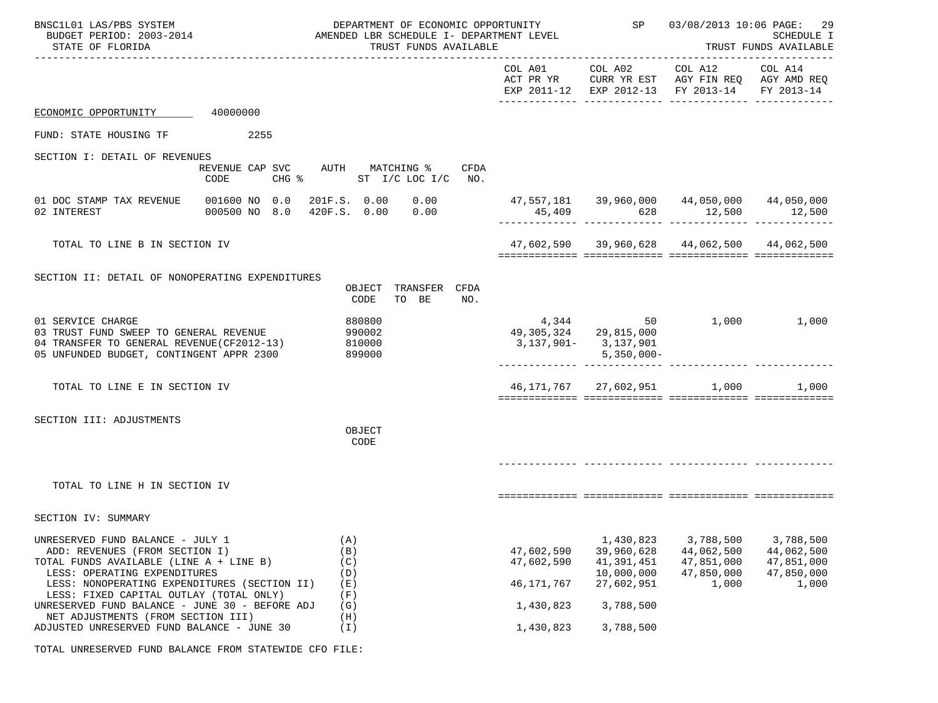| BNSC1L01 LAS/PBS SYSTEM<br>BUDGET PERIOD: 2003-2014<br>STATE OF FLORIDA                                                                                                                                                                                                                                                          |                                | DEPARTMENT OF ECONOMIC OPPORTUNITY<br>AMENDED LBR SCHEDULE I- DEPARTMENT LEVEL<br>TRUST FUNDS AVAILABLE |                                                       | SP                                                                             | 03/08/2013 10:06 PAGE:<br>29<br>SCHEDULE I<br>TRUST FUNDS AVAILABLE                                            |                                                              |
|----------------------------------------------------------------------------------------------------------------------------------------------------------------------------------------------------------------------------------------------------------------------------------------------------------------------------------|--------------------------------|---------------------------------------------------------------------------------------------------------|-------------------------------------------------------|--------------------------------------------------------------------------------|----------------------------------------------------------------------------------------------------------------|--------------------------------------------------------------|
|                                                                                                                                                                                                                                                                                                                                  |                                |                                                                                                         | COL A01                                               |                                                                                | COL A02 COL A12 COL A14<br>ACT PR YR CURR YR EST AGY FIN REQ AGY AMD REQ<br>EXP 2011-12 EXP 2012-13 FY 2013-14 | FY 2013-14                                                   |
| ECONOMIC OPPORTUNITY                                                                                                                                                                                                                                                                                                             | 40000000                       |                                                                                                         |                                                       |                                                                                |                                                                                                                |                                                              |
| FUND: STATE HOUSING TF                                                                                                                                                                                                                                                                                                           | 2255                           |                                                                                                         |                                                       |                                                                                |                                                                                                                |                                                              |
| SECTION I: DETAIL OF REVENUES                                                                                                                                                                                                                                                                                                    | CODE                           | REVENUE CAP SVC AUTH MATCHING %<br>CFDA<br>CHG $\texttt{\$}$ ST I/C LOC I/C NO.                         |                                                       |                                                                                |                                                                                                                |                                                              |
| 01 DOC STAMP TAX REVENUE<br>02 INTEREST                                                                                                                                                                                                                                                                                          | 001600 NO 0.0<br>000500 NO 8.0 | 201F.S. 0.00 0.00<br>420F.S. 0.00<br>0.00                                                               |                                                       | 45,409 628                                                                     | $47,557,181$ $39,960,000$ $44,050,000$ $44,050,000$<br>12,500                                                  | 12,500                                                       |
| TOTAL TO LINE B IN SECTION IV                                                                                                                                                                                                                                                                                                    |                                |                                                                                                         |                                                       |                                                                                | $47,602,590$ $39,960,628$ $44,062,500$ $44,062,500$                                                            |                                                              |
| SECTION II: DETAIL OF NONOPERATING EXPENDITURES                                                                                                                                                                                                                                                                                  |                                | OBJECT TRANSFER CFDA<br>TO BE<br>CODE<br>NO.                                                            |                                                       |                                                                                |                                                                                                                |                                                              |
| 01 SERVICE CHARGE<br>03 TRUST FUND SWEEP TO GENERAL REVENUE<br>04 TRANSFER TO GENERAL REVENUE (CF2012-13)<br>05 UNFUNDED BUDGET, CONTINGENT APPR 2300                                                                                                                                                                            |                                | 880800<br>990002<br>810000<br>899000                                                                    |                                                       | 49,305,324 29,815,000<br>3,137,901-3,137,901<br>$5,350,000 -$                  | 4,344 50 1,000 1,000                                                                                           |                                                              |
| TOTAL TO LINE E IN SECTION IV                                                                                                                                                                                                                                                                                                    |                                |                                                                                                         |                                                       |                                                                                | 46,171,767 27,602,951 1,000                                                                                    | 1,000                                                        |
| SECTION III: ADJUSTMENTS                                                                                                                                                                                                                                                                                                         |                                | OBJECT<br>CODE                                                                                          |                                                       |                                                                                |                                                                                                                |                                                              |
| TOTAL TO LINE H IN SECTION IV                                                                                                                                                                                                                                                                                                    |                                |                                                                                                         |                                                       |                                                                                |                                                                                                                |                                                              |
| SECTION IV: SUMMARY                                                                                                                                                                                                                                                                                                              |                                |                                                                                                         |                                                       |                                                                                |                                                                                                                |                                                              |
| UNRESERVED FUND BALANCE - JULY 1<br>ADD: REVENUES (FROM SECTION I)<br>TOTAL FUNDS AVAILABLE (LINE A + LINE B)<br>LESS: OPERATING EXPENDITURES<br>LESS: NONOPERATING EXPENDITURES (SECTION II)<br>LESS: FIXED CAPITAL OUTLAY (TOTAL ONLY)<br>UNRESERVED FUND BALANCE - JUNE 30 - BEFORE ADJ<br>NET ADJUSTMENTS (FROM SECTION III) |                                | (A)<br>(B)<br>(C)<br>(D)<br>(E)<br>(F)<br>(G)<br>(H)                                                    | 47,602,590<br>47,602,590<br>46, 171, 767<br>1,430,823 | 1,430,823<br>39,960,628<br>41,391,451<br>10,000,000<br>27,602,951<br>3,788,500 | 3,788,500<br>44,062,500<br>47,851,000<br>47,850,000<br>1,000                                                   | 3,788,500<br>44,062,500<br>47,851,000<br>47,850,000<br>1,000 |
| ADJUSTED UNRESERVED FUND BALANCE - JUNE 30                                                                                                                                                                                                                                                                                       |                                | (I)                                                                                                     | 1,430,823                                             | 3,788,500                                                                      |                                                                                                                |                                                              |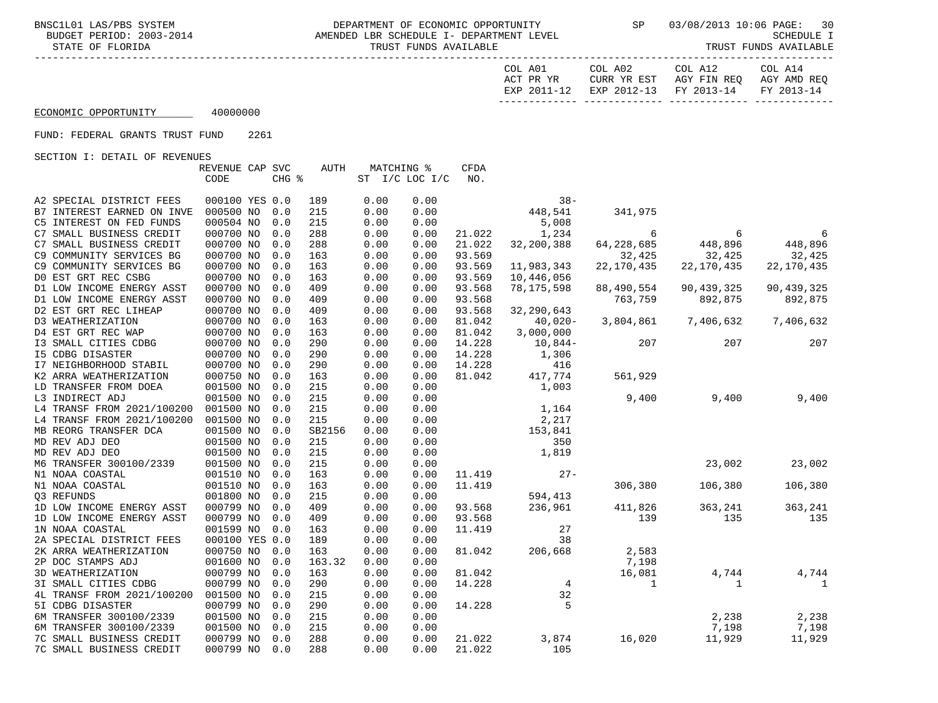BNSC1L01 LAS/PBS SYSTEM **DEPARTMENT OF ECONOMIC OPPORTUNITY** SP 03/08/2013 10:06 PAGE: 30<br>BUDGET PERIOD: 2003-2014 AMENDED LBR SCHEDULE I- DEPARTMENT LEVEL AMENDED LBR SCHEDULE I- DEPARTMENT LEVEL STATE OF FLORIDA STATE OF FUNDS AVAILABLE STATE OF FUNDS AVAILABLE STATE OF FUNDS AVAILABLE STATE OF TRUST FUNDS AVAILABLE

| COL A14                                       | COL A12 | COL A02 | COL A01   |
|-----------------------------------------------|---------|---------|-----------|
| CURR YR EST AGY FIN REQ AGY AMD REQ           |         |         | ACT PR YR |
| EXP 2011-12 EXP 2012-13 FY 2013-14 FY 2013-14 |         |         |           |
|                                               |         |         |           |

## ECONOMIC OPPORTUNITY 40000000

### FUND: FEDERAL GRANTS TRUST FUND 2261

|                            | REVENUE CAP SVC |       | AUTH   | MATCHING % |                | <b>CFDA</b> |              |              |              |              |
|----------------------------|-----------------|-------|--------|------------|----------------|-------------|--------------|--------------|--------------|--------------|
|                            | CODE            | CHG % |        |            | ST I/C LOC I/C | NO.         |              |              |              |              |
|                            |                 |       |        |            |                |             |              |              |              |              |
| A2 SPECIAL DISTRICT FEES   | 000100 YES 0.0  |       | 189    | 0.00       | 0.00           |             | $38 -$       |              |              |              |
| B7 INTEREST EARNED ON INVE | 000500 NO       | 0.0   | 215    | 0.00       | 0.00           |             | 448,541      | 341,975      |              |              |
| C5 INTEREST ON FED FUNDS   | 000504 NO       | 0.0   | 215    | 0.00       | 0.00           |             | 5,008        |              |              |              |
| C7 SMALL BUSINESS CREDIT   | 000700 NO       | 0.0   | 288    | 0.00       | 0.00           | 21.022      | 1,234        | 6            | 6            | 6            |
| C7 SMALL BUSINESS CREDIT   | 000700 NO       | 0.0   | 288    | 0.00       | 0.00           | 21.022      | 32,200,388   | 64,228,685   | 448,896      | 448,896      |
| C9 COMMUNITY SERVICES BG   | 000700 NO       | 0.0   | 163    | 0.00       | 0.00           | 93.569      |              | 32,425       | 32,425       | 32,425       |
| C9 COMMUNITY SERVICES BG   | 000700 NO       | 0.0   | 163    | 0.00       | 0.00           | 93.569      | 11,983,343   | 22,170,435   | 22, 170, 435 | 22, 170, 435 |
| DO EST GRT REC CSBG        | 000700 NO       | 0.0   | 163    | 0.00       | 0.00           | 93.569      | 10,446,056   |              |              |              |
| D1 LOW INCOME ENERGY ASST  | 000700 NO       | 0.0   | 409    | 0.00       | 0.00           | 93.568      | 78,175,598   | 88,490,554   | 90,439,325   | 90,439,325   |
| D1 LOW INCOME ENERGY ASST  | 000700 NO       | 0.0   | 409    | 0.00       | 0.00           | 93.568      |              | 763,759      | 892,875      | 892,875      |
| D2 EST GRT REC LIHEAP      | 000700 NO       | 0.0   | 409    | 0.00       | 0.00           | 93.568      | 32, 290, 643 |              |              |              |
| D3 WEATHERIZATION          | 000700 NO       | 0.0   | 163    | 0.00       | 0.00           | 81.042      | 40,020-      | 3,804,861    | 7,406,632    | 7,406,632    |
| D4 EST GRT REC WAP         | 000700 NO       | 0.0   | 163    | 0.00       | 0.00           | 81.042      | 3,000,000    |              |              |              |
| I3 SMALL CITIES CDBG       | 000700 NO       | 0.0   | 290    | 0.00       | 0.00           | 14.228      | $10,844-$    | 207          | 207          | 207          |
| I5 CDBG DISASTER           | 000700 NO       | 0.0   | 290    | 0.00       | 0.00           | 14.228      | 1,306        |              |              |              |
| I7 NEIGHBORHOOD STABIL     | 000700 NO       | 0.0   | 290    | 0.00       | 0.00           | 14.228      | 416          |              |              |              |
| K2 ARRA WEATHERIZATION     | 000750 NO       | 0.0   | 163    | 0.00       | 0.00           | 81.042      | 417,774      | 561,929      |              |              |
| LD TRANSFER FROM DOEA      | 001500 NO       | 0.0   | 215    | 0.00       | 0.00           |             | 1,003        |              |              |              |
| L3 INDIRECT ADJ            | 001500 NO       | 0.0   | 215    | 0.00       | 0.00           |             |              | 9,400        | 9,400        | 9,400        |
| L4 TRANSF FROM 2021/100200 | 001500 NO       | 0.0   | 215    | 0.00       | 0.00           |             | 1,164        |              |              |              |
| L4 TRANSF FROM 2021/100200 | 001500 NO       | 0.0   | 215    | 0.00       | 0.00           |             | 2,217        |              |              |              |
| MB REORG TRANSFER DCA      | 001500 NO       | 0.0   | SB2156 | 0.00       | 0.00           |             | 153,841      |              |              |              |
| MD REV ADJ DEO             | 001500 NO       | 0.0   | 215    | 0.00       | 0.00           |             | 350          |              |              |              |
| MD REV ADJ DEO             | 001500 NO       | 0.0   | 215    | 0.00       | 0.00           |             | 1,819        |              |              |              |
| M6 TRANSFER 300100/2339    | 001500 NO       | 0.0   | 215    | 0.00       | 0.00           |             |              |              | 23,002       | 23,002       |
| N1 NOAA COASTAL            | 001510 NO       | 0.0   | 163    | 0.00       | 0.00           | 11.419      | $27 -$       |              |              |              |
| N1 NOAA COASTAL            | 001510 NO       | 0.0   | 163    | 0.00       | 0.00           | 11.419      |              | 306,380      | 106,380      | 106,380      |
| 03 REFUNDS                 | 001800 NO       | 0.0   | 215    | 0.00       | 0.00           |             | 594,413      |              |              |              |
| 1D LOW INCOME ENERGY ASST  | 000799 NO       | 0.0   | 409    | 0.00       | 0.00           | 93.568      | 236,961      | 411,826      | 363,241      | 363,241      |
| 1D LOW INCOME ENERGY ASST  | 000799 NO       | 0.0   | 409    | 0.00       | 0.00           | 93.568      |              | 139          | 135          | 135          |
| 1N NOAA COASTAL            | 001599 NO       | 0.0   | 163    | 0.00       | 0.00           | 11.419      | 27           |              |              |              |
| 2A SPECIAL DISTRICT FEES   | 000100 YES 0.0  |       | 189    | 0.00       | 0.00           |             | 38           |              |              |              |
| 2K ARRA WEATHERIZATION     | 000750 NO       | 0.0   | 163    | 0.00       | 0.00           | 81.042      | 206,668      | 2,583        |              |              |
| 2P DOC STAMPS ADJ          | 001600 NO       | 0.0   | 163.32 | 0.00       | 0.00           |             |              | 7,198        |              |              |
| 3D WEATHERIZATION          | 000799 NO       | 0.0   | 163    | 0.00       | 0.00           | 81.042      |              | 16,081       | 4,744        | 4,744        |
| 3I SMALL CITIES CDBG       | 000799 NO       | 0.0   | 290    | 0.00       | 0.00           | 14.228      | 4            | $\mathbf{1}$ | 1            | 1            |
| 4L TRANSF FROM 2021/100200 | 001500 NO       | 0.0   | 215    | 0.00       | 0.00           |             | 32           |              |              |              |
| 5I CDBG DISASTER           | 000799 NO       | 0.0   | 290    | 0.00       | 0.00           | 14.228      | 5            |              |              |              |
| 6M TRANSFER 300100/2339    | 001500 NO       | 0.0   | 215    | 0.00       | 0.00           |             |              |              | 2,238        | 2,238        |
| 6M TRANSFER 300100/2339    | 001500 NO       | 0.0   | 215    | 0.00       | 0.00           |             |              |              | 7,198        | 7,198        |
| 7C SMALL BUSINESS CREDIT   | 000799 NO       | 0.0   | 288    | 0.00       | 0.00           | 21.022      | 3,874        | 16,020       | 11,929       | 11,929       |
| 7C SMALL BUSINESS CREDIT   | 000799 NO       | 0.0   | 288    | 0.00       | 0.00           | 21.022      | 105          |              |              |              |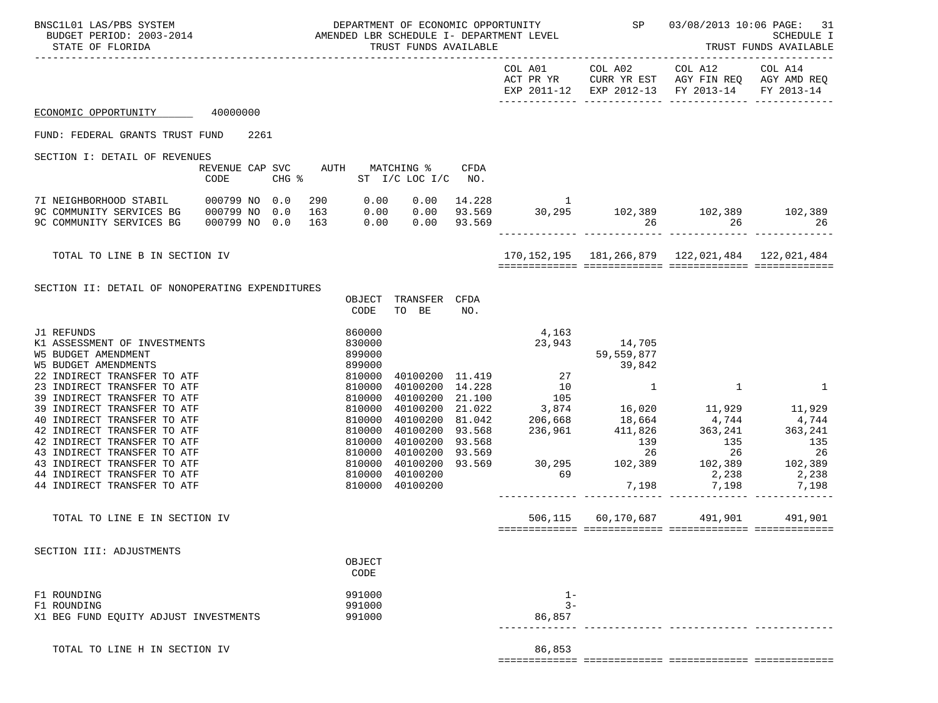| BNSC1L01 LAS/PBS SYSTEM<br>BUDGET PERIOD: 2003-2014<br>STATE OF FLORIDA                                                  |                                         |                                                                                                                                                                                  |                            | TRUST FUNDS AVAILABLE    |      | AMENDED LBR SCHEDULE I- DEPARTMENT LEVEL |               | DEPARTMENT OF ECONOMIC OPPORTUNITY SP 03/08/2013 10:06 PAGE: 31                                                                   | SCHEDULE I<br>TRUST FUNDS AVAILABLE |
|--------------------------------------------------------------------------------------------------------------------------|-----------------------------------------|----------------------------------------------------------------------------------------------------------------------------------------------------------------------------------|----------------------------|--------------------------|------|------------------------------------------|---------------|-----------------------------------------------------------------------------------------------------------------------------------|-------------------------------------|
|                                                                                                                          |                                         |                                                                                                                                                                                  |                            |                          |      |                                          |               | COL A01 COL A02 COL A12 COL A14<br>ACT PR YR CURR YR EST AGY FIN REQ AGY AMD REQ<br>EXP 2011-12 EXP 2012-13 FY 2013-14 FY 2013-14 |                                     |
| ECONOMIC OPPORTUNITY 40000000                                                                                            |                                         |                                                                                                                                                                                  |                            |                          |      |                                          |               |                                                                                                                                   |                                     |
| FUND: FEDERAL GRANTS TRUST FUND 2261                                                                                     |                                         |                                                                                                                                                                                  |                            |                          |      |                                          |               |                                                                                                                                   |                                     |
| SECTION I: DETAIL OF REVENUES                                                                                            |                                         |                                                                                                                                                                                  |                            |                          |      |                                          |               |                                                                                                                                   |                                     |
|                                                                                                                          | REVENUE CAP SVC AUTH MATCHING %<br>CODE |                                                                                                                                                                                  |                            | CHG % ST I/C LOC I/C NO. | CFDA |                                          |               |                                                                                                                                   |                                     |
| 7I NEIGHBORHOOD STABIL 000799 NO 0.0<br>9C COMMUNITY SERVICES BG<br>9C COMMUNITY SERVICES BG                             | 000799 NO 0.0<br>000799 NO 0.0          | 163                                                                                                                                                                              |                            | $0.00$ $0.00$ $93.569$   |      |                                          |               | $290$ 0.00 0.00 14.228 1<br>163 0.00 0.00 93.569 30,295 102,389 102,389 102,389<br>26 26                                          | 26                                  |
| TOTAL TO LINE B IN SECTION IV                                                                                            |                                         |                                                                                                                                                                                  |                            |                          |      |                                          |               | 170, 152, 195   181, 266, 879   122, 021, 484   122, 021, 484                                                                     |                                     |
| SECTION II: DETAIL OF NONOPERATING EXPENDITURES                                                                          |                                         |                                                                                                                                                                                  | OBJECT<br>CODE             | TRANSFER CFDA<br>TO BE   | NO.  |                                          |               |                                                                                                                                   |                                     |
| J1 REFUNDS<br>K1 ASSESSMENT OF INVESTMENTS<br><b>W5 BUDGET AMENDMENT</b><br><b>W5 BUDGET AMENDMENTS</b>                  |                                         |                                                                                                                                                                                  | 860000<br>830000<br>899000 |                          |      | 4,163                                    | 23,943 14,705 |                                                                                                                                   |                                     |
| 22 INDIRECT TRANSFER TO ATF<br>23 INDIRECT TRANSFER TO ATF<br>39 INDIRECT TRANSFER TO ATF<br>39 INDIRECT TRANSFER TO ATF |                                         |                                                                                                                                                                                  |                            |                          |      |                                          |               | $\sim$ 1                                                                                                                          | $\mathbf{1}$                        |
| 40 INDIRECT TRANSFER TO ATF<br>42 INDIRECT TRANSFER TO ATF<br>42 INDIRECT TRANSFER TO ATF<br>43 INDIRECT TRANSFER TO ATF |                                         | $899000$<br>$810000$<br>$810000$<br>$810000$<br>$810000$<br>$810000$<br>$810000$<br>$810000$<br>$810000$<br>$810000$<br>$810000$<br>$810000$<br>$810000$<br>$810000$<br>$810000$ |                            |                          |      |                                          |               |                                                                                                                                   |                                     |
| 43 INDIRECT TRANSFER TO ATF<br>44 INDIRECT TRANSFER TO ATF<br>44 INDIRECT TRANSFER TO ATF                                |                                         |                                                                                                                                                                                  |                            | 40100200                 |      |                                          |               |                                                                                                                                   | 7,198                               |
| TOTAL TO LINE E IN SECTION IV                                                                                            |                                         |                                                                                                                                                                                  |                            |                          |      |                                          |               | 506,115 60,170,687 491,901 491,901                                                                                                |                                     |
| SECTION III: ADJUSTMENTS                                                                                                 |                                         |                                                                                                                                                                                  | OBJECT<br>CODE             |                          |      |                                          |               |                                                                                                                                   |                                     |
| F1 ROUNDING<br>F1 ROUNDING<br>X1 BEG FUND EQUITY ADJUST INVESTMENTS                                                      |                                         |                                                                                                                                                                                  | 991000<br>991000<br>991000 |                          |      | $1-$<br>$3 -$<br>86,857                  |               |                                                                                                                                   |                                     |
| TOTAL TO LINE H IN SECTION IV                                                                                            |                                         |                                                                                                                                                                                  |                            |                          |      | 86,853                                   |               |                                                                                                                                   |                                     |

============= ============= ============= =============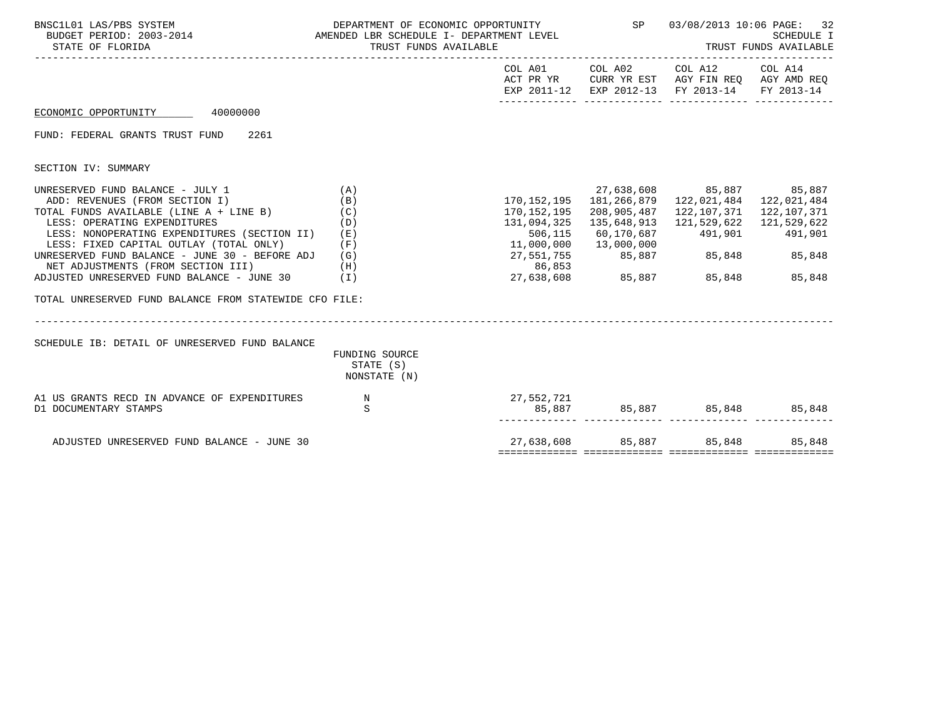| BNSC1L01 LAS/PBS SYSTEM<br>AMENDED LBR SCHEDULE I- DEPARTMENT LEVEL<br>BUDGET PERIOD: 2003-2014<br>PERIOD: 2003-2014<br>STATE OF FLORIDA                                                                                                                                                                                                                                                                                                         | DEPARTMENT OF ECONOMIC OPPORTUNITY<br>TRUST FUNDS AVAILABLE |                                                                                         | SP     |                                                                                                                                                                                                                                                                 | 03/08/2013 10:06 PAGE:<br>32<br><b>SCHEDULE I</b><br>TRUST FUNDS AVAILABLE<br>COL A01 COL A02 COL A12 COL A14<br>ACT PR YR CURR YR EST AGY FIN REQ AGY AMD REQ<br>FY 2013-14 |
|--------------------------------------------------------------------------------------------------------------------------------------------------------------------------------------------------------------------------------------------------------------------------------------------------------------------------------------------------------------------------------------------------------------------------------------------------|-------------------------------------------------------------|-----------------------------------------------------------------------------------------|--------|-----------------------------------------------------------------------------------------------------------------------------------------------------------------------------------------------------------------------------------------------------------------|------------------------------------------------------------------------------------------------------------------------------------------------------------------------------|
|                                                                                                                                                                                                                                                                                                                                                                                                                                                  |                                                             |                                                                                         |        | EXP 2011-12 EXP 2012-13 FY 2013-14                                                                                                                                                                                                                              |                                                                                                                                                                              |
| 40000000<br>ECONOMIC OPPORTUNITY                                                                                                                                                                                                                                                                                                                                                                                                                 |                                                             |                                                                                         |        |                                                                                                                                                                                                                                                                 |                                                                                                                                                                              |
| FUND: FEDERAL GRANTS TRUST FUND<br>2261                                                                                                                                                                                                                                                                                                                                                                                                          |                                                             |                                                                                         |        |                                                                                                                                                                                                                                                                 |                                                                                                                                                                              |
| SECTION IV: SUMMARY                                                                                                                                                                                                                                                                                                                                                                                                                              |                                                             |                                                                                         |        |                                                                                                                                                                                                                                                                 |                                                                                                                                                                              |
| UNRESERVED FUND BALANCE - JULY 1<br>ADD: REVENUES (FROM SECTION I)<br>TOTAL FUNDS AVAILABLE (LINE A + LINE B) (C)<br>LESS: OPERATING EXPENDITURES<br>LESS: NONOPERATING EXPENDITURES (SECTION II)<br>LESS: FIXED CAPITAL OUTLAY (TOTAL ONLY)<br>UNRESERVED FUND BALANCE - JUNE 30 - BEFORE ADJ<br>NET ADJUSTMENTS (FROM SECTION III)<br>ADJUSTED UNRESERVED FUND BALANCE - JUNE 30 (I)<br>TOTAL UNRESERVED FUND BALANCE FROM STATEWIDE CFO FILE: | (A)<br>(B)<br>(D)<br>( E )<br>(F)<br>(G)<br>(H)             | 170,152,195<br>131,094,325<br>506,115<br>11,000,000  13,000,000<br>27,551,755<br>86,853 | 85,887 | 27,638,608 85,887 85,887<br>170, 152, 195   181, 266, 879   122, 021, 484   122, 021, 484<br>208,905,487    122,107,371    122,107,371<br>135,648,913 121,529,622 121,529,622<br>60,170,687 491,901 491,901<br>85,848 85,848<br>27,638,608 85,887 85,848 85,848 |                                                                                                                                                                              |
| SCHEDULE IB: DETAIL OF UNRESERVED FUND BALANCE                                                                                                                                                                                                                                                                                                                                                                                                   | FUNDING SOURCE<br>STATE (S)<br>NONSTATE (N)                 |                                                                                         |        |                                                                                                                                                                                                                                                                 |                                                                                                                                                                              |
| A1 US GRANTS RECD IN ADVANCE OF EXPENDITURES<br>D1 DOCUMENTARY STAMPS                                                                                                                                                                                                                                                                                                                                                                            | $\mathbb N$<br>S                                            | 27,552,721                                                                              |        | 85,887 85,887 85,848 85,848                                                                                                                                                                                                                                     |                                                                                                                                                                              |
| ADJUSTED UNRESERVED FUND BALANCE - JUNE 30                                                                                                                                                                                                                                                                                                                                                                                                       |                                                             |                                                                                         |        | 27,638,608 85,887 85,848 85,848                                                                                                                                                                                                                                 |                                                                                                                                                                              |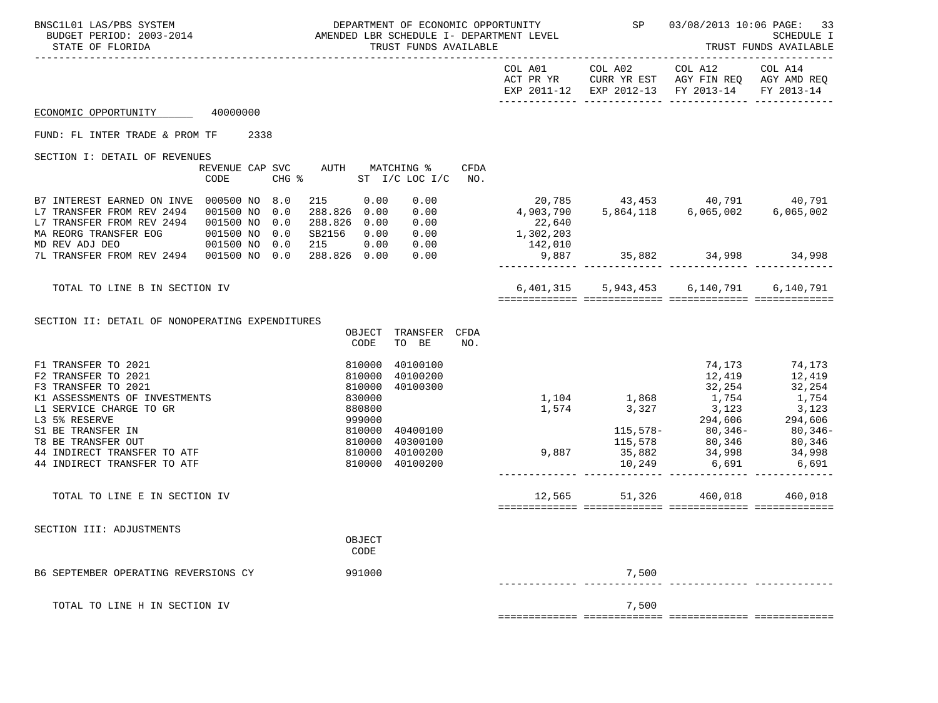| BNSC1L01 LAS/PBS SYSTEM<br>BUDGET PERIOD: 2003-2014<br>STATE OF FLORIDA                                                                                                                                                       |           |      |            |                                                                       |                | TRUST FUNDS AVAILABLE                                       |      | DEFARITENT OF ECONOMIC OFFORIONITY  |               | DEPARTMENT OF ECONOMIC OPPORTUNITY SP $03/08/2013$ 10:06 PAGE: 33                                                                                                                                                                                                                                                 | SCHEDULE I<br>TRUST FUNDS AVAILABLE |
|-------------------------------------------------------------------------------------------------------------------------------------------------------------------------------------------------------------------------------|-----------|------|------------|-----------------------------------------------------------------------|----------------|-------------------------------------------------------------|------|-------------------------------------|---------------|-------------------------------------------------------------------------------------------------------------------------------------------------------------------------------------------------------------------------------------------------------------------------------------------------------------------|-------------------------------------|
|                                                                                                                                                                                                                               |           |      |            |                                                                       |                |                                                             |      | COL A01                             |               | COL A02 COL A12 COL A14<br>ACT PR YR CURR YR EST AGY FIN REQ AGY AMD REQ<br>EXP 2011-12 EXP 2012-13 FY 2013-14                                                                                                                                                                                                    | FY 2013-14                          |
| ECONOMIC OPPORTUNITY 40000000                                                                                                                                                                                                 |           |      |            |                                                                       |                |                                                             |      |                                     |               |                                                                                                                                                                                                                                                                                                                   |                                     |
| FUND: FL INTER TRADE & PROM TF                                                                                                                                                                                                |           | 2338 |            |                                                                       |                |                                                             |      |                                     |               |                                                                                                                                                                                                                                                                                                                   |                                     |
| SECTION I: DETAIL OF REVENUES                                                                                                                                                                                                 |           |      |            |                                                                       |                |                                                             |      |                                     |               |                                                                                                                                                                                                                                                                                                                   |                                     |
|                                                                                                                                                                                                                               | CODE      |      |            |                                                                       |                | REVENUE CAP SVC AUTH MATCHING %<br>CHG % ST I/C LOC I/C NO. | CFDA |                                     |               |                                                                                                                                                                                                                                                                                                                   |                                     |
| B7 INTEREST EARNED ON INVE 000500 NO 8.0<br>L7 TRANSFER FROM REV 2494<br>L7 TRANSFER FROM REV 2494 001500 NO<br>MA REORG TRANSFER EOG 001500 NO 0.0                                                                           | 001500 NO |      | 0.0<br>0.0 | 215 0.00<br>288.826 0.00<br>SB2156 0.00                               |                | 288.826  0.00  0.00<br>0.00                                 |      | $22,640$<br>1,302,203               |               | $\begin{array}{cccccccc} 0.00 & & & & 20,785 & & & 43,453 & & & 40,791 & & & 40,791 \\ 0.00 & & & & & 4,903,790 & & 5,864,118 & & 6,065,002 & & 6,065,002 \end{array}$                                                                                                                                            |                                     |
| MD REV ADJ DEO<br>7L TRANSFER FROM REV 2494  001500 NO 0.0  288.826  0.00                                                                                                                                                     |           |      |            |                                                                       |                | 0.00                                                        |      | 001500 N0 0.0 215 0.00 0.00 142,010 |               | $9,887$ $35,882$ $34,998$ $34,998$ $34,998$                                                                                                                                                                                                                                                                       |                                     |
|                                                                                                                                                                                                                               |           |      |            |                                                                       |                |                                                             |      |                                     |               |                                                                                                                                                                                                                                                                                                                   |                                     |
| TOTAL TO LINE B IN SECTION IV                                                                                                                                                                                                 |           |      |            |                                                                       |                |                                                             |      |                                     |               | 6,401,315 5,943,453 6,140,791 6,140,791                                                                                                                                                                                                                                                                           |                                     |
| SECTION II: DETAIL OF NONOPERATING EXPENDITURES                                                                                                                                                                               |           |      |            |                                                                       | CODE           | OBJECT TRANSFER CFDA<br>TO BE                               | NO.  |                                     |               |                                                                                                                                                                                                                                                                                                                   |                                     |
| F1 TRANSFER TO 2021<br>F2 TRANSFER TO 2021<br>F3 TRANSFER TO 2021                                                                                                                                                             |           |      |            | $\begin{array}{c} 810000\ 810000\ 810000\ 830000\ 880800 \end{array}$ |                | 40100100<br>40100200<br>40100300                            |      |                                     |               | 12,419                                                                                                                                                                                                                                                                                                            | 74,173 74,173<br>12,419 12,419      |
| K1 ASSESSMENTS OF INVESTMENTS<br>L1 SERVICE CHARGE TO GR                                                                                                                                                                      |           |      |            |                                                                       |                |                                                             |      |                                     |               |                                                                                                                                                                                                                                                                                                                   |                                     |
| 13 5% RESERVE<br>13 5% RESERVE<br>13 5% RESERVE<br>14 INDIRECT TRANSFER TO ATF<br>14 INDIRECT TRANSFER TO ATF<br>14 INDIRECT TRANSFER TO ATF<br>14 INDIRECT TRANSFER TO ATF<br>14 INDIRECT TRANSFER TO ATF<br>210000 40100200 |           |      |            |                                                                       |                |                                                             |      |                                     |               | $\begin{array}{ccccccccc} & & & & & & 12,419 & & & 12,419 \\ & & & & & 32,254 & & 32,254 \\ 1,104 & & & 1,868 & & 1,754 & & 1,754 \\ 1,574 & & 3,327 & & 3,123 & & 3,123 \\ & & & & 294,606 & & 294,606 \\ & & & & 115,578- & & 80,346- & & 80,346- & \\ & & & 15,578 & & 80,346 & & 80,346- & \\ 9,887 & & 35,8$ |                                     |
| TOTAL TO LINE E IN SECTION IV                                                                                                                                                                                                 |           |      |            |                                                                       |                |                                                             |      |                                     | 12,565 51,326 | 460,018                                                                                                                                                                                                                                                                                                           | 460,018                             |
| SECTION III: ADJUSTMENTS                                                                                                                                                                                                      |           |      |            |                                                                       | OBJECT<br>CODE |                                                             |      |                                     |               |                                                                                                                                                                                                                                                                                                                   |                                     |
| B6 SEPTEMBER OPERATING REVERSIONS CY                                                                                                                                                                                          |           |      |            |                                                                       | 991000         |                                                             |      |                                     | 7,500         |                                                                                                                                                                                                                                                                                                                   |                                     |
| TOTAL TO LINE H IN SECTION IV                                                                                                                                                                                                 |           |      |            |                                                                       |                |                                                             |      |                                     | 7,500         |                                                                                                                                                                                                                                                                                                                   |                                     |

============= ============= ============= =============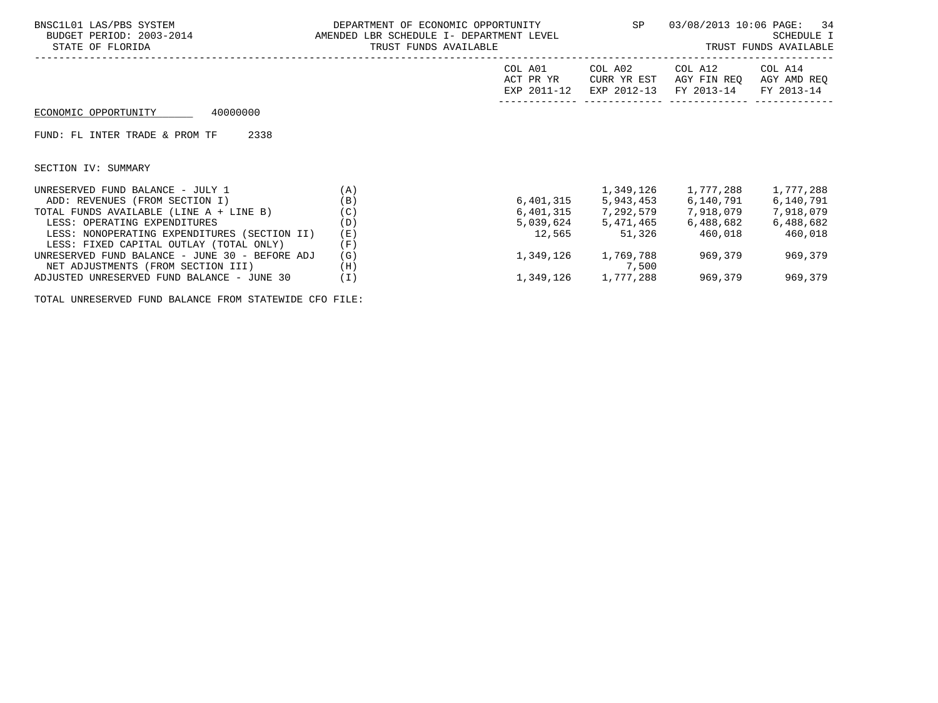| BNSC1L01 LAS/PBS SYSTEM<br>BUDGET PERIOD: 2003-2014<br>STATE OF FLORIDA                 | DEPARTMENT OF ECONOMIC OPPORTUNITY<br>AMENDED LBR SCHEDULE I- DEPARTMENT LEVEL<br>TRUST FUNDS AVAILABLE |                                     | SP                                    | 03/08/2013 10:06 PAGE: 34            | SCHEDULE I<br>TRUST FUNDS AVAILABLE  |
|-----------------------------------------------------------------------------------------|---------------------------------------------------------------------------------------------------------|-------------------------------------|---------------------------------------|--------------------------------------|--------------------------------------|
|                                                                                         |                                                                                                         | COL A01<br>ACT PR YR<br>EXP 2011-12 | COL A02<br>CURR YR EST<br>EXP 2012-13 | COL A12<br>AGY FIN REO<br>FY 2013-14 | COL A14<br>AGY AMD REQ<br>FY 2013-14 |
| 40000000<br>ECONOMIC OPPORTUNITY                                                        |                                                                                                         |                                     |                                       |                                      |                                      |
| FUND: FL INTER TRADE & PROM TF<br>2338                                                  |                                                                                                         |                                     |                                       |                                      |                                      |
| SECTION IV: SUMMARY                                                                     |                                                                                                         |                                     |                                       |                                      |                                      |
| UNRESERVED FUND BALANCE - JULY 1                                                        | (A)                                                                                                     |                                     | 1,349,126                             | 1,777,288                            | 1,777,288                            |
| ADD: REVENUES (FROM SECTION I)                                                          | (B)                                                                                                     |                                     |                                       | 6,401,315 5,943,453 6,140,791        | 6,140,791                            |
| TOTAL FUNDS AVAILABLE (LINE A + LINE B)                                                 | (C)                                                                                                     |                                     | 6,401,315 7,292,579                   | 7,918,079                            | 7,918,079                            |
| LESS: OPERATING EXPENDITURES                                                            | (D)                                                                                                     |                                     | 5,039,624 5,471,465                   | 6,488,682                            | 6,488,682                            |
| LESS: NONOPERATING EXPENDITURES (SECTION II)<br>LESS: FIXED CAPITAL OUTLAY (TOTAL ONLY) | (E)<br>(F)                                                                                              | 12,565                              | 51,326                                | 460,018                              | 460,018                              |
| UNRESERVED FUND BALANCE - JUNE 30 - BEFORE ADJ<br>NET ADJUSTMENTS (FROM SECTION III)    | (G)<br>(H)                                                                                              | 1,349,126                           | 1,769,788<br>7,500                    | 969,379                              | 969,379                              |
| ADJUSTED UNRESERVED FUND BALANCE - JUNE 30                                              | (I)                                                                                                     |                                     | 1,349,126 1,777,288                   | 969,379                              | 969,379                              |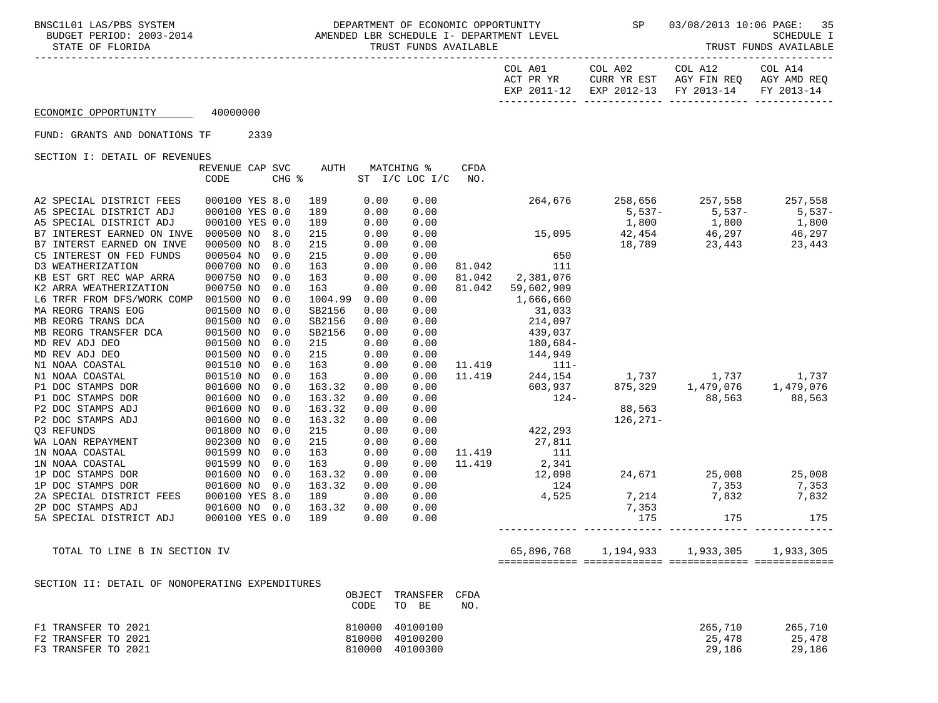BNSC1L01 LAS/PBS SYSTEM DEPARTMENT OF ECONOMIC OPPORTUNITY SP 03/08/2013 10:06 PAGE: 35<br>BUDGET PERIOD: 2003-2014 AMENDED LBR SCHEDULE I- DEPARTMEN AMENDED LBR SCHEDULE I- DEPARTMENT LEVEL STATE OF FLORIDA STATE OF FUNDS AVAILABLE STATE OF FUNDS AVAILABLE STATE OF FUNDS AVAILABLE STATE OF TRUST FUNDS AVAILABLE

| ---------------------- |  |  |  |  |  |  |  |  |  |  |
|------------------------|--|--|--|--|--|--|--|--|--|--|

| COL A01   | COL A02                                       | COL A12                 | COL A14     |
|-----------|-----------------------------------------------|-------------------------|-------------|
| ACT PR YR |                                               | CURR YR EST AGY FIN REO | AGY AMD REO |
|           | EXP 2011-12 EXP 2012-13 FY 2013-14 FY 2013-14 |                         |             |
|           |                                               |                         |             |

## ECONOMIC OPPORTUNITY 40000000

FUND: GRANTS AND DONATIONS TF 2339

SECTION I: DETAIL OF REVENUES

|                            | REVENUE CAP SVC |       | <b>AUTH</b> |      | MATCHING %     | <b>CFDA</b> |            |              |           |           |
|----------------------------|-----------------|-------|-------------|------|----------------|-------------|------------|--------------|-----------|-----------|
|                            | CODE            | CHG % |             |      | ST I/C LOC I/C | NO.         |            |              |           |           |
|                            |                 |       |             |      |                |             |            |              |           |           |
| A2 SPECIAL DISTRICT FEES   | 000100 YES 8.0  |       | 189         | 0.00 | 0.00           |             | 264,676    | 258,656      | 257,558   | 257,558   |
| A5 SPECIAL DISTRICT ADJ    | 000100 YES 0.0  |       | 189         | 0.00 | 0.00           |             |            | $5,537-$     | $5,537-$  | $5,537-$  |
| A5 SPECIAL DISTRICT ADJ    | 000100 YES 0.0  |       | 189         | 0.00 | 0.00           |             |            | 1,800        | 1,800     | 1,800     |
| B7 INTEREST EARNED ON INVE | 000500 NO       | 8.0   | 215         | 0.00 | 0.00           |             | 15,095     | 42,454       | 46,297    | 46,297    |
| B7 INTERST EARNED ON INVE  | 000500 NO       | 8.0   | 215         | 0.00 | 0.00           |             |            | 18,789       | 23,443    | 23,443    |
| C5 INTEREST ON FED FUNDS   | 000504 NO       | 0.0   | 215         | 0.00 | 0.00           |             | 650        |              |           |           |
| D3 WEATHERIZATION          | 000700 NO       | 0.0   | 163         | 0.00 | 0.00           | 81.042      | 111        |              |           |           |
| KB EST GRT REC WAP ARRA    | 000750 NO       | 0.0   | 163         | 0.00 | 0.00           | 81.042      | 2,381,076  |              |           |           |
| K2 ARRA WEATHERIZATION     | 000750 NO       | 0.0   | 163         | 0.00 | 0.00           | 81.042      | 59,602,909 |              |           |           |
| L6 TRFR FROM DFS/WORK COMP | 001500 NO       | 0.0   | 1004.99     | 0.00 | 0.00           |             | 1,666,660  |              |           |           |
| MA REORG TRANS EOG         | 001500 NO       | 0.0   | SB2156      | 0.00 | 0.00           |             | 31,033     |              |           |           |
| MB REORG TRANS DCA         | 001500 NO       | 0.0   | SB2156      | 0.00 | 0.00           |             | 214,097    |              |           |           |
| MB REORG TRANSFER DCA      | 001500 NO       | 0.0   | SB2156      | 0.00 | 0.00           |             | 439,037    |              |           |           |
| MD REV ADJ DEO             | 001500 NO       | 0.0   | 215         | 0.00 | 0.00           |             | $180,684-$ |              |           |           |
| MD REV ADJ DEO             | 001500 NO       | 0.0   | 215         | 0.00 | 0.00           |             | 144,949    |              |           |           |
| N1 NOAA COASTAL            | 001510 NO       | 0.0   | 163         | 0.00 | 0.00           | 11.419      | $111 -$    |              |           |           |
| N1 NOAA COASTAL            | 001510 NO       | 0.0   | 163         | 0.00 | 0.00           | 11.419      | 244,154    | 1,737        | 1,737     | 1,737     |
| P1 DOC STAMPS DOR          | 001600 NO       | 0.0   | 163.32      | 0.00 | 0.00           |             | 603,937    | 875,329      | 1,479,076 | 1,479,076 |
| P1 DOC STAMPS DOR          | 001600 NO       | 0.0   | 163.32      | 0.00 | 0.00           |             | $124-$     |              | 88,563    | 88,563    |
| P2 DOC STAMPS ADJ          | 001600 NO       | 0.0   | 163.32      | 0.00 | 0.00           |             |            | 88,563       |           |           |
| P2 DOC STAMPS ADJ          | 001600 NO       | 0.0   | 163.32      | 0.00 | 0.00           |             |            | $126, 271 -$ |           |           |
| 03 REFUNDS                 | 001800 NO       | 0.0   | 215         | 0.00 | 0.00           |             | 422,293    |              |           |           |
| WA LOAN REPAYMENT          | 002300 NO       | 0.0   | 215         | 0.00 | 0.00           |             | 27,811     |              |           |           |
| 1N NOAA COASTAL            | 001599 NO       | 0.0   | 163         | 0.00 | 0.00           | 11.419      | 111        |              |           |           |
| 1N NOAA COASTAL            | 001599 NO       | 0.0   | 163         | 0.00 | 0.00           | 11.419      | 2,341      |              |           |           |
| 1P DOC STAMPS DOR          | 001600 NO       | 0.0   | 163.32      | 0.00 | 0.00           |             | 12,098     | 24,671       | 25,008    | 25,008    |
| 1P DOC STAMPS DOR          | 001600 NO       | 0.0   | 163.32      | 0.00 | 0.00           |             | 124        |              | 7,353     | 7,353     |
| 2A SPECIAL DISTRICT FEES   | 000100 YES 8.0  |       | 189         | 0.00 | 0.00           |             | 4,525      | 7,214        | 7,832     | 7,832     |
| 2P DOC STAMPS ADJ          | 001600 NO       | 0.0   | 163.32      | 0.00 | 0.00           |             |            | 7,353        |           |           |
| 5A SPECIAL DISTRICT ADJ    | 000100 YES 0.0  |       | 189         | 0.00 | 0.00           |             |            | 175          | 175       | 175       |
|                            |                 |       |             |      |                |             |            |              |           |           |

TOTAL TO LINE B IN SECTION IV **65,896,768** 1,194,933 1,933,305 1,933,305 1,933,305 ============= ============= ============= =============

SECTION II: DETAIL OF NONOPERATING EXPENDITURES

|                     |        | OBJECT TRANSFER CFDA |     |         |         |
|---------------------|--------|----------------------|-----|---------|---------|
|                     | CODE   | BE<br>TO             | NO. |         |         |
| F1 TRANSFER TO 2021 | 810000 | 40100100             |     | 265,710 | 265,710 |
| F2 TRANSFER TO 2021 |        | 810000 40100200      |     | 25,478  | 25,478  |
| F3 TRANSFER TO 2021 |        | 810000 40100300      |     | 29,186  | 29,186  |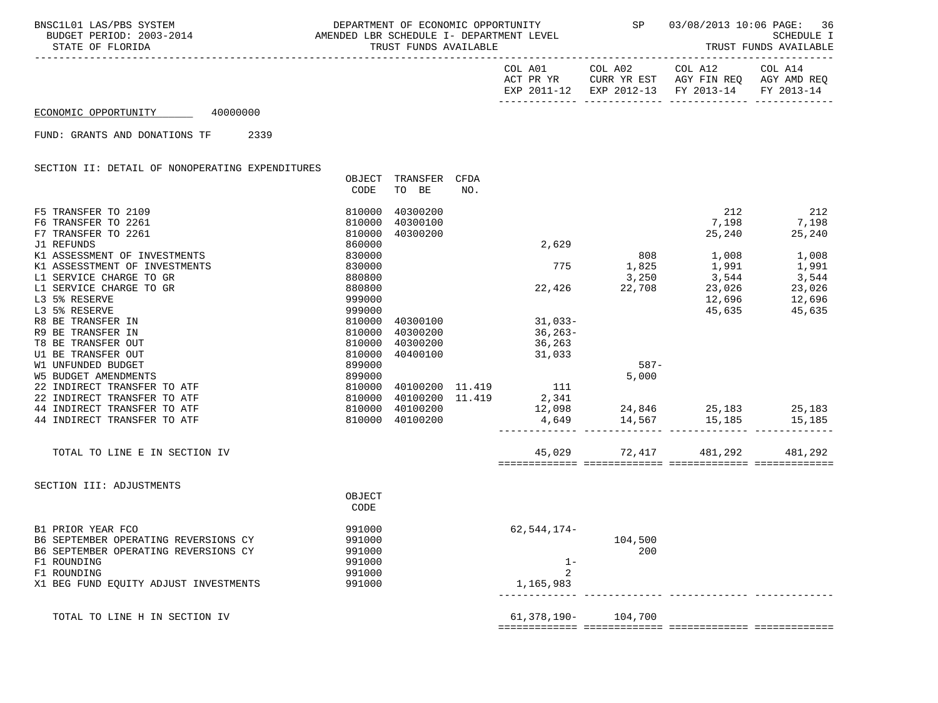| COL A01   |             | COL A02                | COL A12     | COL A14     |
|-----------|-------------|------------------------|-------------|-------------|
| ACT PR YR |             | CURR YR EST            | AGY FIN REO | AGY AMD REO |
|           | EXP 2011-12 | EXP 2012-13 FY 2013-14 |             | FY 2013-14  |
|           |             |                        |             |             |

ECONOMIC OPPORTUNITY 40000000

FUND: GRANTS AND DONATIONS TF 2339

SECTION II: DETAIL OF NONOPERATING EXPENDITURES

|                                       | OBJECT | TRANSFER        | CFDA |                             |                     |         |         |
|---------------------------------------|--------|-----------------|------|-----------------------------|---------------------|---------|---------|
|                                       | CODE   | TO BE           | NO.  |                             |                     |         |         |
| F5 TRANSFER TO 2109                   | 810000 | 40300200        |      |                             |                     | 212     | 212     |
| F6 TRANSFER TO 2261                   | 810000 | 40300100        |      |                             |                     | 7,198   | 7,198   |
| F7 TRANSFER TO 2261                   | 810000 | 40300200        |      |                             |                     | 25,240  | 25,240  |
| J1 REFUNDS                            | 860000 |                 |      | 2,629                       |                     |         |         |
| K1 ASSESSMENT OF INVESTMENTS          | 830000 |                 |      |                             | 808                 | 1,008   | 1,008   |
| K1 ASSESSTMENT OF INVESTMENTS         | 830000 |                 |      | 775                         | 1,825               | 1,991   | 1,991   |
| L1 SERVICE CHARGE TO GR               | 880800 |                 |      |                             | 3,250               | 3,544   | 3,544   |
| L1 SERVICE CHARGE TO GR               | 880800 |                 |      | 22,426                      | 22,708              | 23,026  | 23,026  |
| L3 5% RESERVE                         | 999000 |                 |      |                             |                     | 12,696  | 12,696  |
| L3 5% RESERVE                         | 999000 |                 |      |                             |                     | 45,635  | 45,635  |
| R8 BE TRANSFER IN                     | 810000 | 40300100        |      | $31,033-$                   |                     |         |         |
| R9 BE TRANSFER IN                     | 810000 | 40300200        |      | $36, 263-$                  |                     |         |         |
| T8 BE TRANSFER OUT                    | 810000 | 40300200        |      | 36,263                      |                     |         |         |
| U1 BE TRANSFER OUT                    | 810000 | 40400100        |      | 31,033                      |                     |         |         |
| W1 UNFUNDED BUDGET                    | 899000 |                 |      |                             | $587-$              |         |         |
| <b>W5 BUDGET AMENDMENTS</b>           | 899000 |                 |      |                             | 5,000               |         |         |
| 22 INDIRECT TRANSFER TO ATF           | 810000 |                 |      | 40100200 11.419 111         |                     |         |         |
| 22 INDIRECT TRANSFER TO ATF           | 810000 | 40100200 11.419 |      | 2,341                       |                     |         |         |
| 44 INDIRECT TRANSFER TO ATF           | 810000 | 40100200        |      | 12,098 24,846 25,183 25,183 |                     |         |         |
| 44 INDIRECT TRANSFER TO ATF           | 810000 | 40100200        |      |                             | 4,649 14,567 15,185 |         | 15,185  |
|                                       |        |                 |      |                             |                     |         |         |
| TOTAL TO LINE E IN SECTION IV         |        |                 |      |                             | 45,029 72,417       | 481,292 | 481,292 |
| SECTION III: ADJUSTMENTS              |        |                 |      |                             |                     |         |         |
|                                       | OBJECT |                 |      |                             |                     |         |         |
|                                       | CODE   |                 |      |                             |                     |         |         |
| B1 PRIOR YEAR FCO                     | 991000 |                 |      | 62,544,174-                 |                     |         |         |
| B6 SEPTEMBER OPERATING REVERSIONS CY  | 991000 |                 |      |                             | 104,500             |         |         |
| B6 SEPTEMBER OPERATING REVERSIONS CY  | 991000 |                 |      |                             | 200                 |         |         |
| F1 ROUNDING                           | 991000 |                 |      | $1 -$                       |                     |         |         |
| F1 ROUNDING                           | 991000 |                 |      | $\mathfrak{D}$              |                     |         |         |
| X1 BEG FUND EQUITY ADJUST INVESTMENTS | 991000 |                 |      | 1,165,983                   |                     |         |         |
| TOTAL TO LINE H IN SECTION IV         |        |                 |      | 61,378,190-104,700          |                     |         |         |
|                                       |        |                 |      |                             |                     |         |         |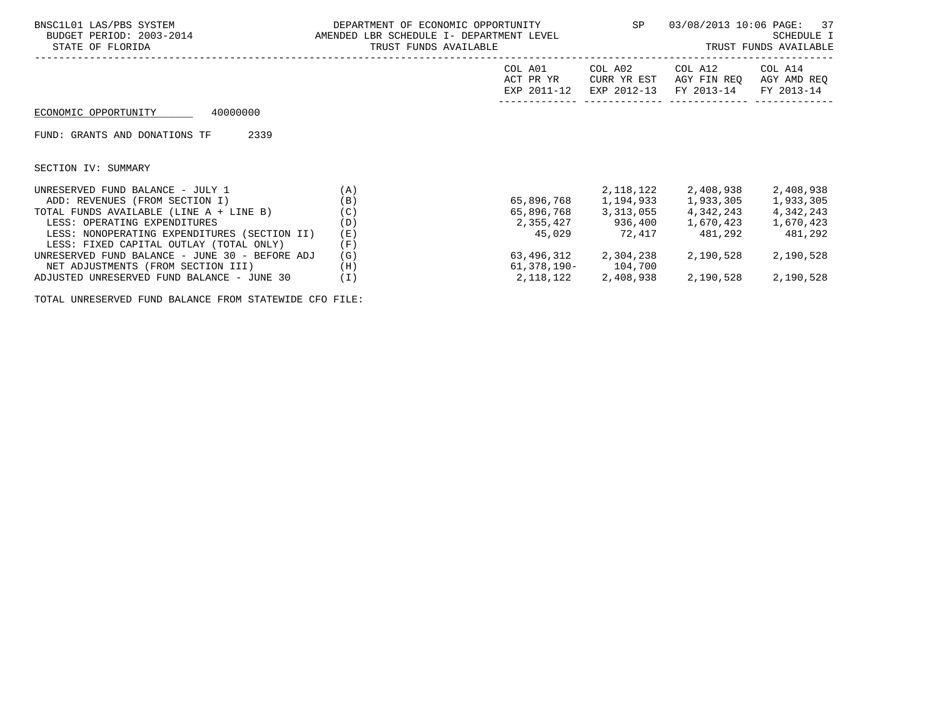| STATE OF FLORIDA                               | TRUST FUNDS AVAILABLE |                                     | SP                                    | 03/08/2013 10:06 PAGE: 37<br>SCHEDULE I<br>TRUST FUNDS AVAILABLE |                                      |  |
|------------------------------------------------|-----------------------|-------------------------------------|---------------------------------------|------------------------------------------------------------------|--------------------------------------|--|
|                                                |                       | COL A01<br>ACT PR YR<br>EXP 2011-12 | COL A02<br>CURR YR EST<br>EXP 2012-13 | COL A12<br>AGY FIN REO<br>FY 2013-14                             | COL A14<br>AGY AMD REQ<br>FY 2013-14 |  |
| 40000000<br>ECONOMIC OPPORTUNITY               |                       |                                     |                                       |                                                                  |                                      |  |
| 2339<br>FUND: GRANTS AND DONATIONS TF          |                       |                                     |                                       |                                                                  |                                      |  |
| SECTION IV: SUMMARY                            |                       |                                     |                                       |                                                                  |                                      |  |
| UNRESERVED FUND BALANCE - JULY 1               | (A)                   |                                     |                                       | 2, 118, 122 2, 408, 938                                          | 2,408,938                            |  |
| ADD: REVENUES (FROM SECTION I)                 | (B)                   |                                     |                                       | 65,896,768 1,194,933 1,933,305                                   | 1,933,305                            |  |
| TOTAL FUNDS AVAILABLE (LINE A + LINE B)        | (C)                   |                                     |                                       | 65,896,768 3,313,055 4,342,243                                   | 4,342,243                            |  |
| LESS: OPERATING EXPENDITURES                   | (D)                   |                                     |                                       | 2,355,427 936,400 1,670,423                                      | 1,670,423                            |  |
| LESS: NONOPERATING EXPENDITURES (SECTION II)   | (E)                   |                                     | 45,029 72,417                         | 481,292                                                          | 481,292                              |  |
| LESS: FIXED CAPITAL OUTLAY (TOTAL ONLY)        | (F)                   |                                     |                                       |                                                                  |                                      |  |
| UNRESERVED FUND BALANCE - JUNE 30 - BEFORE ADJ | (G)                   |                                     | 63,496,312 2,304,238                  | 2,190,528                                                        | 2,190,528                            |  |
| NET ADJUSTMENTS (FROM SECTION III)             | (H)                   |                                     | 61,378,190- 104,700                   |                                                                  |                                      |  |
| ADJUSTED UNRESERVED FUND BALANCE - JUNE 30     | (I)                   |                                     | 2,118,122 2,408,938                   | 2,190,528                                                        | 2,190,528                            |  |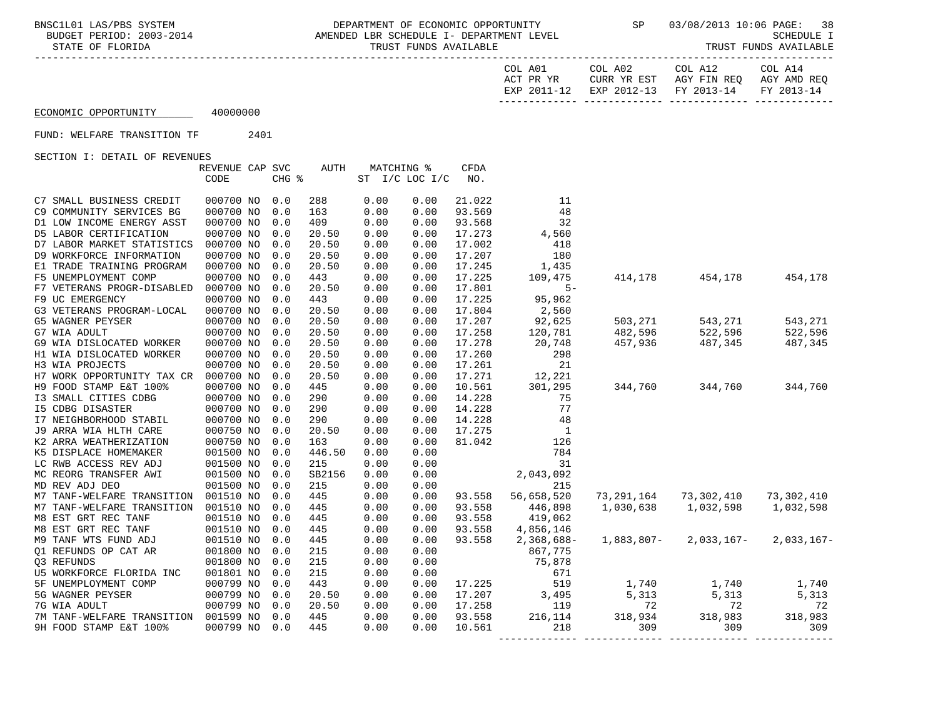-----------------------------------------------------------------------------------------------------------------------------------

| COL A01   |             | COL A02                | COL A12     | COL A14     |
|-----------|-------------|------------------------|-------------|-------------|
| ACT PR YR |             | CURR YR EST            | AGY FIN REO | AGY AMD REO |
|           | EXP 2011-12 | EXP 2012-13 FY 2013-14 |             | FY 2013-14  |
|           |             |                        |             |             |

ECONOMIC OPPORTUNITY 40000000

FUND: WELFARE TRANSITION TF 2401

|                                      | REVENUE CAP SVC |       | AUTH   | MATCHING % |                | <b>CFDA</b> |                                                                                                                             |                                                                                                                                            |                                       |           |
|--------------------------------------|-----------------|-------|--------|------------|----------------|-------------|-----------------------------------------------------------------------------------------------------------------------------|--------------------------------------------------------------------------------------------------------------------------------------------|---------------------------------------|-----------|
|                                      | CODE            | CHG % |        |            | ST I/C LOC I/C | NO.         |                                                                                                                             |                                                                                                                                            |                                       |           |
|                                      |                 |       |        |            |                |             |                                                                                                                             |                                                                                                                                            |                                       |           |
| C7 SMALL BUSINESS CREDIT             | 000700 NO       | 0.0   | 288    | 0.00       | 0.00           | 21.022      | -11                                                                                                                         |                                                                                                                                            |                                       |           |
| C9 COMMUNITY SERVICES BG             | 000700 NO       | 0.0   | 163    | 0.00       | 0.00           | 93.569      | 48                                                                                                                          |                                                                                                                                            |                                       |           |
| D1 LOW INCOME ENERGY ASST            | 000700 NO       | 0.0   | 409    | 0.00       | 0.00           | 93.568      | 32                                                                                                                          |                                                                                                                                            |                                       |           |
| D5 LABOR CERTIFICATION               | 000700 NO       | 0.0   | 20.50  | 0.00       | 0.00           | 17.273      | 4,560                                                                                                                       |                                                                                                                                            |                                       |           |
| D7 LABOR MARKET STATISTICS           | 000700 NO       | 0.0   | 20.50  | 0.00       | 0.00           | 17.002      | 418                                                                                                                         |                                                                                                                                            |                                       |           |
| D9 WORKFORCE INFORMATION             | 000700 NO       | 0.0   | 20.50  | 0.00       | 0.00           | 17.207      | 180                                                                                                                         |                                                                                                                                            |                                       |           |
| E1 TRADE TRAINING PROGRAM            | 000700 NO       | 0.0   | 20.50  | 0.00       | 0.00           | 17.245      | 1,435                                                                                                                       |                                                                                                                                            |                                       |           |
| F5 UNEMPLOYMENT COMP                 | 000700 NO       | 0.0   | 443    | 0.00       | 0.00           | 17.225      | 109,475                                                                                                                     |                                                                                                                                            | 414, 178 454, 178                     | 454,178   |
| F7 VETERANS PROGR-DISABLED           | 000700 NO       | 0.0   | 20.50  | 0.00       | 0.00           | 17.801      | $5-$                                                                                                                        |                                                                                                                                            |                                       |           |
| F9 UC EMERGENCY                      | 000700 NO       | 0.0   | 443    | 0.00       | 0.00           | 17.225      | 95,962                                                                                                                      |                                                                                                                                            |                                       |           |
| G3 VETERANS PROGRAM-LOCAL            | 000700 NO       | 0.0   | 20.50  | 0.00       | 0.00           | 17.804      |                                                                                                                             |                                                                                                                                            |                                       |           |
| G5 WAGNER PEYSER                     | 000700 NO       | 0.0   | 20.50  | 0.00       | 0.00           | 17.207      | 2,560<br>92,625                                                                                                             | 503,271                                                                                                                                    | 543,271                               | 543,271   |
| G7 WIA ADULT                         | 000700 NO       | 0.0   | 20.50  | 0.00       | 0.00           | 17.258      | 120,781                                                                                                                     | 482,596                                                                                                                                    | 522,596                               | 522,596   |
| G9 WIA DISLOCATED WORKER             | 000700 NO       | 0.0   | 20.50  | 0.00       | 0.00           | 17.278      | 20,748                                                                                                                      | 457,936                                                                                                                                    | 487,345                               | 487,345   |
| H1 WIA DISLOCATED WORKER             | 000700 NO       | 0.0   | 20.50  | 0.00       | 0.00           | 17.260      | 298                                                                                                                         |                                                                                                                                            |                                       |           |
| H3 WIA PROJECTS                      | 000700 NO       | 0.0   | 20.50  | 0.00       | 0.00           | 17.261      | 21                                                                                                                          |                                                                                                                                            |                                       |           |
| H7 WORK OPPORTUNITY TAX CR           | 000700 NO       | 0.0   | 20.50  | 0.00       | 0.00           | 17.271      | 12,221                                                                                                                      |                                                                                                                                            |                                       |           |
| H9 FOOD STAMP E&T 100%               | 000700 NO       | 0.0   | 445    | 0.00       | 0.00           | 10.561      | 301,295                                                                                                                     |                                                                                                                                            | 344,760 344,760                       | 344,760   |
| I3 SMALL CITIES CDBG                 | 000700 NO       | 0.0   | 290    | 0.00       | 0.00           | 14.228      | 75                                                                                                                          |                                                                                                                                            |                                       |           |
| <b>I5 CDBG DISASTER</b>              | 000700 NO       | 0.0   | 290    | 0.00       | 0.00           | 14.228      | 77                                                                                                                          |                                                                                                                                            |                                       |           |
| I7 NEIGHBORHOOD STABIL               | 000700 NO       | 0.0   | 290    | 0.00       | 0.00           | 14.228      | 48                                                                                                                          |                                                                                                                                            |                                       |           |
| J9 ARRA WIA HLTH CARE                | 000750 NO       | 0.0   | 20.50  | 0.00       | 0.00           | 17.275      | $\overline{\phantom{0}}$ 1                                                                                                  |                                                                                                                                            |                                       |           |
| K2 ARRA WEATHERIZATION               | 000750 NO       | 0.0   | 163    | 0.00       | 0.00           | 81.042      | 126                                                                                                                         |                                                                                                                                            |                                       |           |
| K5 DISPLACE HOMEMAKER                | 001500 NO       | 0.0   | 446.50 | 0.00       | 0.00           |             | 784                                                                                                                         |                                                                                                                                            |                                       |           |
| LC RWB ACCESS REV ADJ                | 001500 NO       | 0.0   | 215    | 0.00       | 0.00           |             | 784<br>31<br>2 , 043 , 092                                                                                                  |                                                                                                                                            |                                       |           |
| MC REORG TRANSFER AWI                | 001500 NO       | 0.0   | SB2156 | 0.00       | 0.00           |             |                                                                                                                             |                                                                                                                                            |                                       |           |
| MD REV ADJ DEO                       | 001500 NO       | 0.0   | 215    | 0.00       | 0.00           |             | 215                                                                                                                         |                                                                                                                                            |                                       |           |
| M7 TANF-WELFARE TRANSITION           | 001510 NO       | 0.0   | 445    | 0.00       | 0.00           |             | 93.558 56,658,520                                                                                                           |                                                                                                                                            | 73,291,164 73,302,410 73,302,410      |           |
| M7 TANF-WELFARE TRANSITION           | 001510 NO       | 0.0   | 445    | 0.00       | 0.00           | 93.558      | 446,898                                                                                                                     | 1,030,638 1,032,598                                                                                                                        |                                       | 1,032,598 |
| M8 EST GRT REC TANF                  | 001510 NO       | 0.0   | 445    | 0.00       | 0.00           | 93.558      | 419,062                                                                                                                     |                                                                                                                                            |                                       |           |
| M8 EST GRT REC TANF                  | 001510 NO       | 0.0   | 445    | 0.00       | 0.00           | 93.558      | 4,856,146                                                                                                                   |                                                                                                                                            |                                       |           |
| M9 TANF WTS FUND ADJ                 | 001510 NO       | 0.0   | 445    | 0.00       | 0.00           | 93.558      | 2,368,688-                                                                                                                  |                                                                                                                                            | $1,883,807 - 2,033,167 - 2,033,167 -$ |           |
| O1 REFUNDS OP CAT AR                 | 001800 NO       | 0.0   | 215    | 0.00       | 0.00           |             | 867,775                                                                                                                     |                                                                                                                                            |                                       |           |
| 03 REFUNDS                           | 001800 NO       | 0.0   | 215    | 0.00       | 0.00           |             |                                                                                                                             |                                                                                                                                            |                                       |           |
| U5 WORKFORCE FLORIDA INC             | 001801 NO       | 0.0   | 215    | 0.00       | 0.00           |             |                                                                                                                             |                                                                                                                                            |                                       |           |
| 5F UNEMPLOYMENT COMP                 | 000799 NO       | 0.0   | 443    | 0.00       | 0.00           |             | $\begin{array}{ccc} & & & & 75,878 \ 17.225 & & & 519 \ 17.207 & & 3,495 \ 17.258 & & 119 \ 93.558 & & 216,114 \end{array}$ |                                                                                                                                            | $1,740$ $1,740$ $1,740$               |           |
| 5G WAGNER PEYSER                     | 000799 NO       | 0.0   | 20.50  | 0.00       | 0.00           |             |                                                                                                                             |                                                                                                                                            |                                       | 5,313     |
| 7G WIA ADULT                         | 000799 NO       | 0.0   | 20.50  | 0.00       | 0.00           |             |                                                                                                                             | $\frac{1}{2}$ , 313<br>$\frac{1}{2}$<br>$\frac{1}{2}$<br>$\frac{1}{2}$<br>$\frac{1}{2}$<br>$\frac{1}{2}$<br>$\frac{1}{2}$<br>$\frac{1}{2}$ |                                       | 72        |
| 7M TANF-WELFARE TRANSITION 001599 NO |                 | 0.0   | 445    | 0.00       | 0.00           |             | 216, 114                                                                                                                    | 318,934                                                                                                                                    | 318,983                               | 318,983   |
| 9H FOOD STAMP E&T 100%               | 000799 NO       | 0.0   | 445    | 0.00       | 0.00           | 10.561      | 218                                                                                                                         | 309                                                                                                                                        | 309                                   | 309       |
|                                      |                 |       |        |            |                |             |                                                                                                                             |                                                                                                                                            |                                       |           |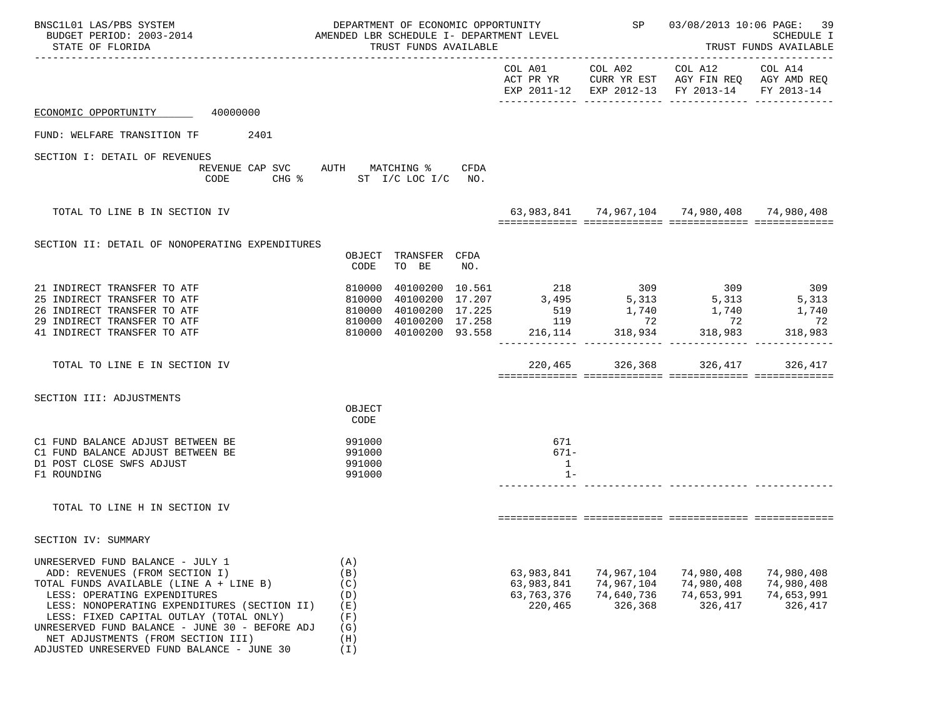| BNSC1L01 LAS/PBS SYSTEM<br>BUDGET PERIOD: 2003-2014<br>STATE OF FLORIDA                                                                                                                                                                                                                                                                                                        | DEPARTMENT OF ECONOMIC OPPORTUNITY<br>AMENDED LBR SCHEDULE I- DEPARTMENT LEVEL<br>TRUST FUNDS AVAILABLE                                  |      |                                                   |                                                   | SP 03/08/2013 10:06 PAGE:                                                                                                                                                                                                                                                                                                           | 39<br>SCHEDULE I<br>TRUST FUNDS AVAILABLE         |
|--------------------------------------------------------------------------------------------------------------------------------------------------------------------------------------------------------------------------------------------------------------------------------------------------------------------------------------------------------------------------------|------------------------------------------------------------------------------------------------------------------------------------------|------|---------------------------------------------------|---------------------------------------------------|-------------------------------------------------------------------------------------------------------------------------------------------------------------------------------------------------------------------------------------------------------------------------------------------------------------------------------------|---------------------------------------------------|
|                                                                                                                                                                                                                                                                                                                                                                                |                                                                                                                                          |      |                                                   |                                                   | COL A01 COL A02 COL A12 COL A14<br>ACT PR YR CURR YR EST AGY FIN REQ AGY AMD REQ<br>EXP 2011-12 EXP 2012-13 FY 2013-14                                                                                                                                                                                                              | FY 2013-14                                        |
| ECONOMIC OPPORTUNITY 40000000                                                                                                                                                                                                                                                                                                                                                  |                                                                                                                                          |      |                                                   |                                                   |                                                                                                                                                                                                                                                                                                                                     |                                                   |
| FUND: WELFARE TRANSITION TF 2401                                                                                                                                                                                                                                                                                                                                               |                                                                                                                                          |      |                                                   |                                                   |                                                                                                                                                                                                                                                                                                                                     |                                                   |
| SECTION I: DETAIL OF REVENUES<br>CODE                                                                                                                                                                                                                                                                                                                                          | REVENUE CAP SVC AUTH MATCHING %<br>CHG % ST I/C LOC I/C NO.                                                                              | CFDA |                                                   |                                                   |                                                                                                                                                                                                                                                                                                                                     |                                                   |
| TOTAL TO LINE B IN SECTION IV                                                                                                                                                                                                                                                                                                                                                  |                                                                                                                                          |      |                                                   |                                                   | 63, 983, 841 74, 967, 104 74, 980, 408 74, 980, 408                                                                                                                                                                                                                                                                                 |                                                   |
| SECTION II: DETAIL OF NONOPERATING EXPENDITURES                                                                                                                                                                                                                                                                                                                                | OBJECT<br>TRANSFER CFDA<br>TO BE<br>CODE                                                                                                 | NO.  |                                                   |                                                   |                                                                                                                                                                                                                                                                                                                                     |                                                   |
| 21 INDIRECT TRANSFER TO ATF<br>25 INDIRECT TRANSFER TO ATF<br>26 INDIRECT TRANSFER TO ATF<br>29 INDIRECT TRANSFER TO ATF<br>41 INDIRECT TRANSFER TO ATF                                                                                                                                                                                                                        | 810000<br>810000<br>810000 40100200 17.225<br>810000 40100200 17.258 119 72 72<br>810000 40100200 93.558 216,114 318,934 318,983 318,983 |      |                                                   |                                                   | $\begin{array}{cccccc} 4\,0\,1\,0\,0\,2\,0\,0\ & 1\,0\,.\,5\,6\,1 \qquad & 21\,8 \qquad & 30\,9 \qquad & 30\,9 \qquad & 30\,9 \qquad & 30\,9 \qquad & 30\,9 \qquad & 30\,9 \qquad & 30\,9 \qquad & 30\,9 \qquad & 30\,9 \qquad & 30\,9 \qquad & 30\,9 \qquad & 30\,9 \qquad & 30\,9 \qquad & 30\,9 \qquad & 30\,9 \qquad & 30\,9 \$ |                                                   |
| TOTAL TO LINE E IN SECTION IV                                                                                                                                                                                                                                                                                                                                                  |                                                                                                                                          |      |                                                   | 220,465 326,368                                   | 326,417                                                                                                                                                                                                                                                                                                                             | 326,417                                           |
| SECTION III: ADJUSTMENTS                                                                                                                                                                                                                                                                                                                                                       | OBJECT<br>CODE                                                                                                                           |      |                                                   |                                                   |                                                                                                                                                                                                                                                                                                                                     |                                                   |
| C1 FUND BALANCE ADJUST BETWEEN BE<br>C1 FUND BALANCE ADJUST BETWEEN BE<br>D1 POST CLOSE SWFS ADJUST<br>F1 ROUNDING                                                                                                                                                                                                                                                             | 991000<br>991000<br>991000<br>991000                                                                                                     |      | 671<br>671-<br>$\mathbf{1}$<br>$1 -$              |                                                   |                                                                                                                                                                                                                                                                                                                                     |                                                   |
| TOTAL TO LINE H IN SECTION IV                                                                                                                                                                                                                                                                                                                                                  |                                                                                                                                          |      |                                                   |                                                   |                                                                                                                                                                                                                                                                                                                                     |                                                   |
| SECTION IV: SUMMARY                                                                                                                                                                                                                                                                                                                                                            |                                                                                                                                          |      |                                                   |                                                   |                                                                                                                                                                                                                                                                                                                                     |                                                   |
| UNRESERVED FUND BALANCE - JULY 1<br>ADD: REVENUES (FROM SECTION I)<br>TOTAL FUNDS AVAILABLE (LINE A + LINE B)<br>LESS: OPERATING EXPENDITURES<br>LESS: NONOPERATING EXPENDITURES (SECTION II)<br>LESS: FIXED CAPITAL OUTLAY (TOTAL ONLY)<br>UNRESERVED FUND BALANCE - JUNE 30 - BEFORE ADJ<br>NET ADJUSTMENTS (FROM SECTION III)<br>ADJUSTED UNRESERVED FUND BALANCE - JUNE 30 | (A)<br>(B)<br>(C)<br>(D)<br>(E)<br>(F)<br>(G)<br>(H)<br>(I)                                                                              |      | 63,983,841<br>63,983,841<br>63,763,376<br>220,465 | 74,967,104<br>74,967,104<br>74,640,736<br>326,368 | 74,980,408<br>74,980,408<br>74,653,991<br>326,417                                                                                                                                                                                                                                                                                   | 74,980,408<br>74,980,408<br>74,653,991<br>326,417 |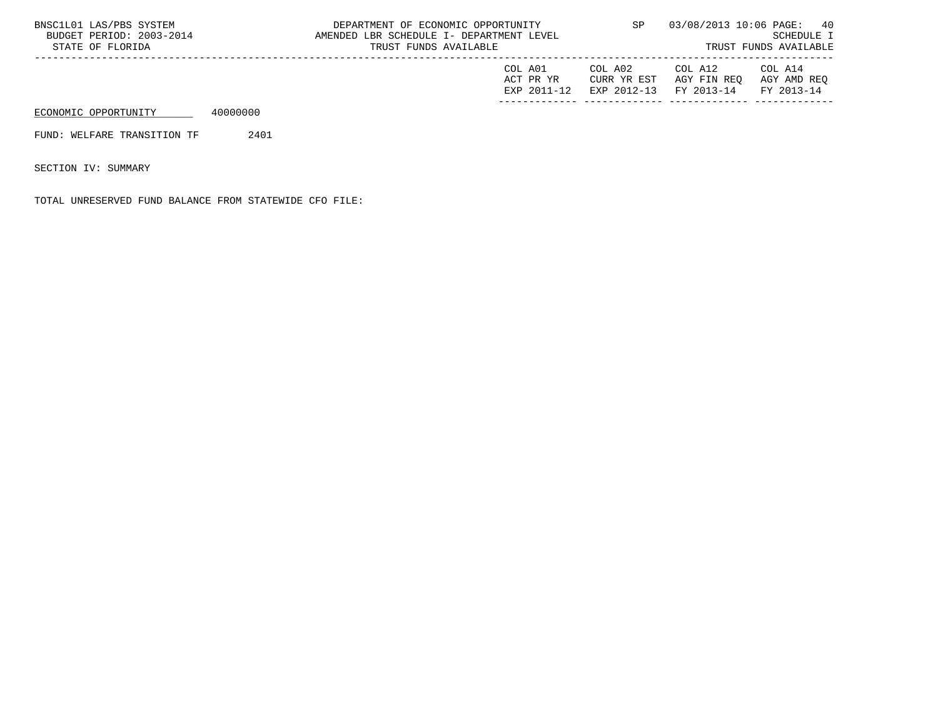| BNSC1L01 LAS/PBS SYSTEM<br>BUDGET PERIOD: 2003-2014<br>STATE OF FLORIDA |          | DEPARTMENT OF ECONOMIC OPPORTUNITY<br>AMENDED LBR SCHEDULE I- DEPARTMENT LEVEL<br>TRUST FUNDS AVAILABLE |                                     | SP                                    | 03/08/2013 10:06 PAGE:               | 40<br>SCHEDULE I<br>TRUST FUNDS AVAILABLE |
|-------------------------------------------------------------------------|----------|---------------------------------------------------------------------------------------------------------|-------------------------------------|---------------------------------------|--------------------------------------|-------------------------------------------|
|                                                                         |          |                                                                                                         | COL A01<br>ACT PR YR<br>EXP 2011-12 | COL A02<br>CURR YR EST<br>EXP 2012-13 | COL A12<br>AGY FIN REO<br>FY 2013-14 | COL A14<br>AGY AMD REO<br>FY 2013-14      |
| ECONOMIC OPPORTUNITY                                                    | 40000000 |                                                                                                         |                                     |                                       |                                      |                                           |
| FUND: WELFARE TRANSITION TF                                             | 2401     |                                                                                                         |                                     |                                       |                                      |                                           |

SECTION IV: SUMMARY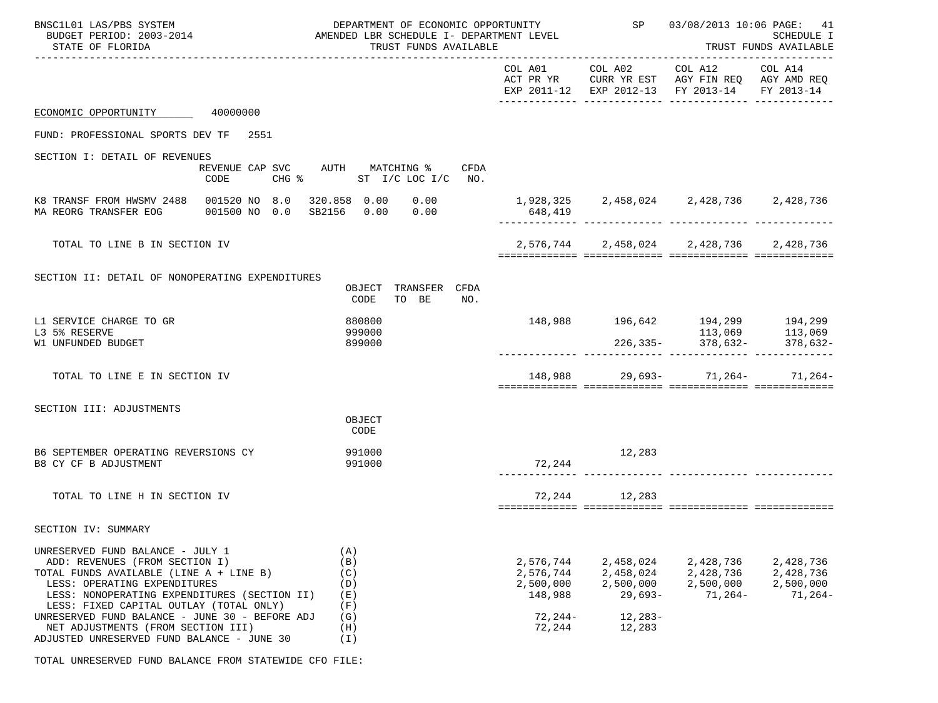| BNSC1L01 LAS/PBS SYSTEM<br>BUDGET PERIOD: 2003-2014<br>STATE OF FLORIDA<br>_________________________________                                                                                                                                                                               | DEPARTMENT OF ECONOMIC OPPORTUNITY<br>AMENDED LBR SCHEDULE I- DEPARTMENT LEVEL<br>TRUST FUNDS AVAILABLE |                                                              | SP 03/08/2013 10:06 PAGE:<br>41<br><b>SCHEDULE I</b><br>TRUST FUNDS AVAILABLE |                                                                                                                |                                                  |
|--------------------------------------------------------------------------------------------------------------------------------------------------------------------------------------------------------------------------------------------------------------------------------------------|---------------------------------------------------------------------------------------------------------|--------------------------------------------------------------|-------------------------------------------------------------------------------|----------------------------------------------------------------------------------------------------------------|--------------------------------------------------|
|                                                                                                                                                                                                                                                                                            |                                                                                                         | COL A01                                                      |                                                                               | COL A02 COL A12 COL A14<br>ACT PR YR CURR YR EST AGY FIN REQ AGY AMD REQ<br>EXP 2011-12 EXP 2012-13 FY 2013-14 | FY 2013-14                                       |
| 40000000<br>ECONOMIC OPPORTUNITY                                                                                                                                                                                                                                                           |                                                                                                         |                                                              |                                                                               |                                                                                                                |                                                  |
| FUND: PROFESSIONAL SPORTS DEV TF 2551                                                                                                                                                                                                                                                      |                                                                                                         |                                                              |                                                                               |                                                                                                                |                                                  |
| SECTION I: DETAIL OF REVENUES<br>REVENUE CAP SVC AUTH MATCHING %<br>CODE                                                                                                                                                                                                                   | CFDA<br>CHG % ST I/C LOC I/C NO.                                                                        |                                                              |                                                                               |                                                                                                                |                                                  |
| K8 TRANSF FROM HWSMV 2488 001520 NO 8.0<br>001500 NO 0.0 SB2156 0.00 0.00<br>MA REORG TRANSFER EOG                                                                                                                                                                                         | 320.858 0.00 0.00                                                                                       | 648,419                                                      |                                                                               | 1,928,325  2,458,024  2,428,736  2,428,736                                                                     |                                                  |
| TOTAL TO LINE B IN SECTION IV                                                                                                                                                                                                                                                              |                                                                                                         |                                                              |                                                                               | 2,576,744 2,458,024 2,428,736 2,428,736                                                                        |                                                  |
| SECTION II: DETAIL OF NONOPERATING EXPENDITURES                                                                                                                                                                                                                                            | OBJECT TRANSFER CFDA<br>TO BE<br>CODE<br>NO.                                                            |                                                              |                                                                               |                                                                                                                |                                                  |
| L1 SERVICE CHARGE TO GR<br>L3 5% RESERVE<br>W1 UNFUNDED BUDGET                                                                                                                                                                                                                             | 880800<br>999000<br>899000                                                                              |                                                              |                                                                               | 148,988 196,642 194,299 194,299<br>113,069 113,069 113,069<br>226,335- 378,632- 378,632-                       |                                                  |
| TOTAL TO LINE E IN SECTION IV                                                                                                                                                                                                                                                              |                                                                                                         |                                                              |                                                                               | 148,988 29,693- 71,264- 71,264-                                                                                |                                                  |
| SECTION III: ADJUSTMENTS                                                                                                                                                                                                                                                                   | OBJECT<br>CODE                                                                                          |                                                              |                                                                               |                                                                                                                |                                                  |
| B6 SEPTEMBER OPERATING REVERSIONS CY<br>B8 CY CF B ADJUSTMENT                                                                                                                                                                                                                              | 991000<br>991000                                                                                        | 72,244                                                       | 12,283                                                                        |                                                                                                                |                                                  |
| TOTAL TO LINE H IN SECTION IV                                                                                                                                                                                                                                                              |                                                                                                         |                                                              | 72, 244 12, 283                                                               |                                                                                                                |                                                  |
| SECTION IV: SUMMARY                                                                                                                                                                                                                                                                        |                                                                                                         |                                                              |                                                                               |                                                                                                                |                                                  |
| UNRESERVED FUND BALANCE - JULY 1<br>ADD: REVENUES (FROM SECTION I)<br>TOTAL FUNDS AVAILABLE (LINE A + LINE B)<br>LESS: OPERATING EXPENDITURES<br>LESS: NONOPERATING EXPENDITURES (SECTION II)<br>LESS: FIXED CAPITAL OUTLAY (TOTAL ONLY)<br>UNRESERVED FUND BALANCE - JUNE 30 - BEFORE ADJ | (A)<br>(B)<br>(C)<br>(D)<br>(E)<br>(F)<br>(G)                                                           | 2,576,744<br>2,576,744<br>2,500,000<br>148,988<br>$72, 244-$ | 2,458,024<br>2,458,024<br>2,500,000<br>$29,693-$<br>$12, 283 -$               | 2,428,736<br>2,428,736<br>2,500,000<br>71,264-                                                                 | 2,428,736<br>2,428,736<br>2,500,000<br>$71,264-$ |
| NET ADJUSTMENTS (FROM SECTION III)<br>ADJUSTED UNRESERVED FUND BALANCE - JUNE 30                                                                                                                                                                                                           | (H)<br>(I)                                                                                              | 72,244                                                       | 12,283                                                                        |                                                                                                                |                                                  |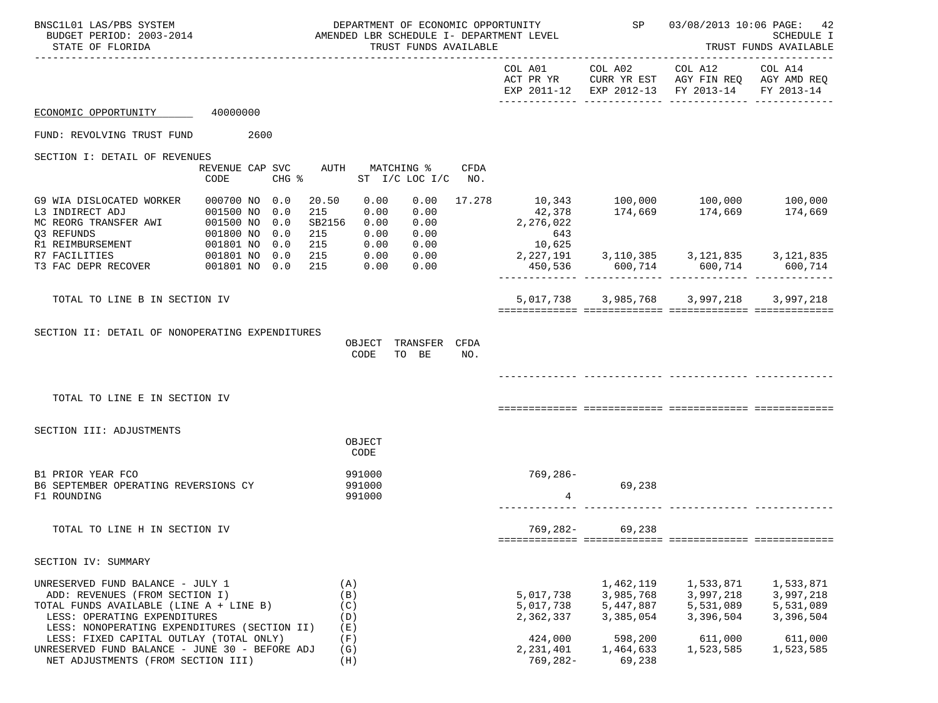| BNSC1L01 LAS/PBS SYSTEM<br>BUDGET PERIOD: 2003-2014<br>STATE OF FLORIDA                                                                                                                       | DEPARTMENT OF ECONOMIC OPPORTUNITY<br>AMENDED LBR SCHEDULE I- DEPARTMENT LEVEL<br>TRUST FUNDS AVAILABLE    |                                 |                                  |        | SP                                  | 03/08/2013 10:06 PAGE:                           | 42<br><b>SCHEDULE I</b><br>TRUST FUNDS AVAILABLE                                                       |                                                  |
|-----------------------------------------------------------------------------------------------------------------------------------------------------------------------------------------------|------------------------------------------------------------------------------------------------------------|---------------------------------|----------------------------------|--------|-------------------------------------|--------------------------------------------------|--------------------------------------------------------------------------------------------------------|--------------------------------------------------|
|                                                                                                                                                                                               |                                                                                                            |                                 |                                  |        | COL A01                             |                                                  | COL A02 COL A12<br>ACT PR YR CURR YR EST AGY FIN REQ AGY AMD REQ<br>EXP 2011-12 EXP 2012-13 FY 2013-14 | COL A14<br>FY 2013-14                            |
| ECONOMIC OPPORTUNITY                                                                                                                                                                          | 40000000                                                                                                   |                                 |                                  |        |                                     |                                                  |                                                                                                        |                                                  |
| FUND: REVOLVING TRUST FUND                                                                                                                                                                    | 2600                                                                                                       |                                 |                                  |        |                                     |                                                  |                                                                                                        |                                                  |
| SECTION I: DETAIL OF REVENUES                                                                                                                                                                 |                                                                                                            |                                 |                                  |        |                                     |                                                  |                                                                                                        |                                                  |
|                                                                                                                                                                                               | REVENUE CAP SVC<br>AUTH<br>$CHG$ $\frac{1}{6}$<br>CODE                                                     |                                 | MATCHING %<br>ST I/C LOC I/C NO. | CFDA   |                                     |                                                  |                                                                                                        |                                                  |
| G9 WIA DISLOCATED WORKER<br>L3 INDIRECT ADJ<br>MC REORG TRANSFER AWI 001500 NO<br>Q3 REFUNDS                                                                                                  | 000700 NO 0.0<br>20.50<br>215<br>001500 NO<br>0.0<br>SB2156<br>0.0<br>0.0<br>215<br>001800 NO<br>001801 NO | 0.00<br>0.00<br>0.00<br>0.00    | 0.00<br>0.00<br>0.00<br>0.00     | 17.278 | 2,276,022<br>643<br>10,625          |                                                  |                                                                                                        |                                                  |
| R1 REIMBURSEMENT<br>R7 FACILITIES<br>T3 FAC DEPR RECOVER                                                                                                                                      | 0.0<br>215<br>0.0<br>215<br>001801 NO<br>215<br>001801 NO 0.0                                              | 0.00<br>0.00<br>0.00            | 0.00<br>0.00<br>0.00             |        | 2,227,191<br>450,536                |                                                  |                                                                                                        |                                                  |
| TOTAL TO LINE B IN SECTION IV                                                                                                                                                                 |                                                                                                            |                                 |                                  |        |                                     |                                                  | 5,017,738 3,985,768 3,997,218                                                                          | 3,997,218                                        |
| SECTION II: DETAIL OF NONOPERATING EXPENDITURES<br>TOTAL TO LINE E IN SECTION IV                                                                                                              |                                                                                                            | OBJECT<br>CODE                  | TRANSFER CFDA<br>TO BE           | NO.    |                                     |                                                  |                                                                                                        |                                                  |
| SECTION III: ADJUSTMENTS                                                                                                                                                                      |                                                                                                            | OBJECT<br>CODE                  |                                  |        |                                     |                                                  |                                                                                                        |                                                  |
| B1 PRIOR YEAR FCO<br>B6 SEPTEMBER OPERATING REVERSIONS CY<br>F1 ROUNDING                                                                                                                      |                                                                                                            | 991000<br>991000<br>991000      |                                  |        | 769,286-<br>4                       | 69,238                                           |                                                                                                        |                                                  |
| TOTAL TO LINE H IN SECTION IV                                                                                                                                                                 |                                                                                                            |                                 |                                  |        | 769,282-                            | 69,238                                           |                                                                                                        |                                                  |
| SECTION IV: SUMMARY                                                                                                                                                                           |                                                                                                            |                                 |                                  |        |                                     |                                                  |                                                                                                        |                                                  |
| UNRESERVED FUND BALANCE - JULY 1<br>ADD: REVENUES (FROM SECTION I)<br>TOTAL FUNDS AVAILABLE (LINE A + LINE B)<br>LESS: OPERATING EXPENDITURES<br>LESS: NONOPERATING EXPENDITURES (SECTION II) |                                                                                                            | (A)<br>(B)<br>(C)<br>(D)<br>(E) |                                  |        | 5,017,738<br>5,017,738<br>2,362,337 | 1,462,119<br>3,985,768<br>5,447,887<br>3,385,054 | 1,533,871<br>3,997,218<br>5,531,089<br>3,396,504                                                       | 1,533,871<br>3,997,218<br>5,531,089<br>3,396,504 |
| LESS: FIXED CAPITAL OUTLAY (TOTAL ONLY)<br>UNRESERVED FUND BALANCE - JUNE 30 - BEFORE ADJ<br>NET ADJUSTMENTS (FROM SECTION III)                                                               |                                                                                                            | (F)<br>(G)<br>(H)               |                                  |        | 424,000<br>2,231,401<br>$769,282-$  | 598,200<br>1,464,633<br>69,238                   | 611,000<br>1,523,585                                                                                   | 611,000<br>1,523,585                             |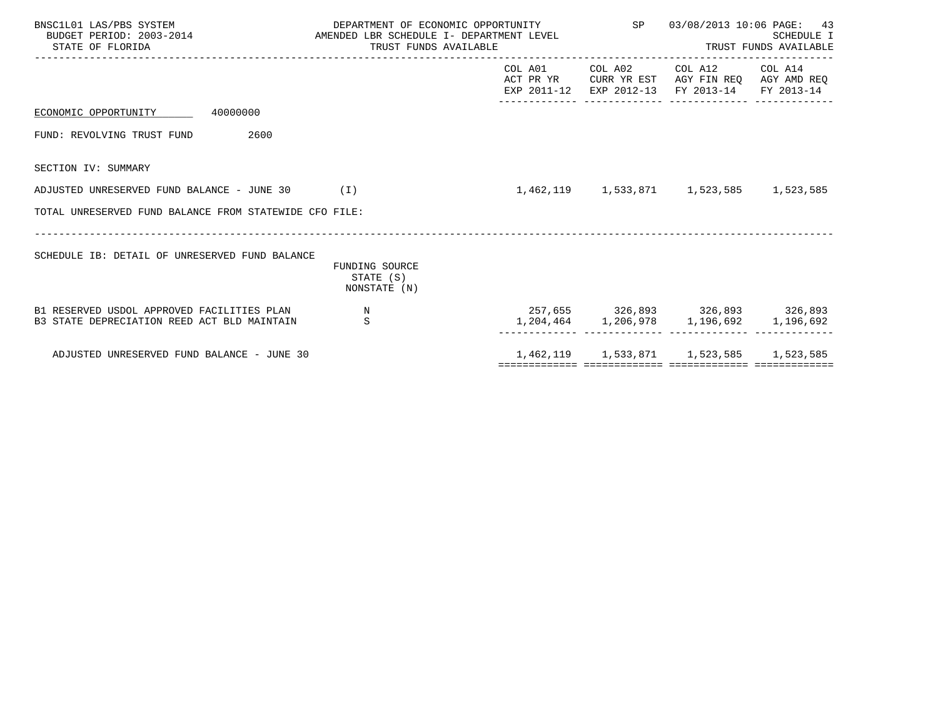| BNSC1L01 LAS/PBS SYSTEM<br>STATE OF FLORIDA                                               | DEPARTMENT OF ECONOMIC OPPORTUNITY 5P 03/08/2013 10:06 PAGE: 43<br>BUDGET PERIOD: 2003-2014 CHEROLE AMENDED LBR SCHEDULE I- DEPARTMENT LEVEL<br>TRUST FUNDS AVAILABLE |                      | <b>SCHEDULE I</b><br>TRUST FUNDS AVAILABLE                                                                                        |  |  |
|-------------------------------------------------------------------------------------------|-----------------------------------------------------------------------------------------------------------------------------------------------------------------------|----------------------|-----------------------------------------------------------------------------------------------------------------------------------|--|--|
|                                                                                           |                                                                                                                                                                       | -------------- ----- | COL A01 COL A02 COL A12 COL A14<br>ACT PR YR CURR YR EST AGY FIN REQ AGY AMD REQ<br>EXP 2011-12 EXP 2012-13 FY 2013-14 FY 2013-14 |  |  |
| ECONOMIC OPPORTUNITY 40000000                                                             |                                                                                                                                                                       |                      |                                                                                                                                   |  |  |
| 2600<br>FUND: REVOLVING TRUST FUND                                                        |                                                                                                                                                                       |                      |                                                                                                                                   |  |  |
| SECTION IV: SUMMARY                                                                       |                                                                                                                                                                       |                      |                                                                                                                                   |  |  |
| ADJUSTED UNRESERVED FUND BALANCE - JUNE 30 (I)                                            |                                                                                                                                                                       |                      | 1,462,119 1,533,871 1,523,585 1,523,585                                                                                           |  |  |
| TOTAL UNRESERVED FUND BALANCE FROM STATEWIDE CFO FILE:                                    |                                                                                                                                                                       |                      |                                                                                                                                   |  |  |
| SCHEDULE IB: DETAIL OF UNRESERVED FUND BALANCE                                            | FUNDING SOURCE<br>STATE (S)<br>NONSTATE (N)                                                                                                                           |                      |                                                                                                                                   |  |  |
| B1 RESERVED USDOL APPROVED FACILITIES PLAN<br>B3 STATE DEPRECIATION REED ACT BLD MAINTAIN | $\mathbb N$<br>S                                                                                                                                                      |                      | 257,655 326,893 326,893 326,893<br>1, 204, 464 1, 206, 978 1, 196, 692 1, 196, 692                                                |  |  |
| ADJUSTED UNRESERVED FUND BALANCE - JUNE 30                                                |                                                                                                                                                                       |                      | 1,462,119 1,533,871 1,523,585 1,523,585                                                                                           |  |  |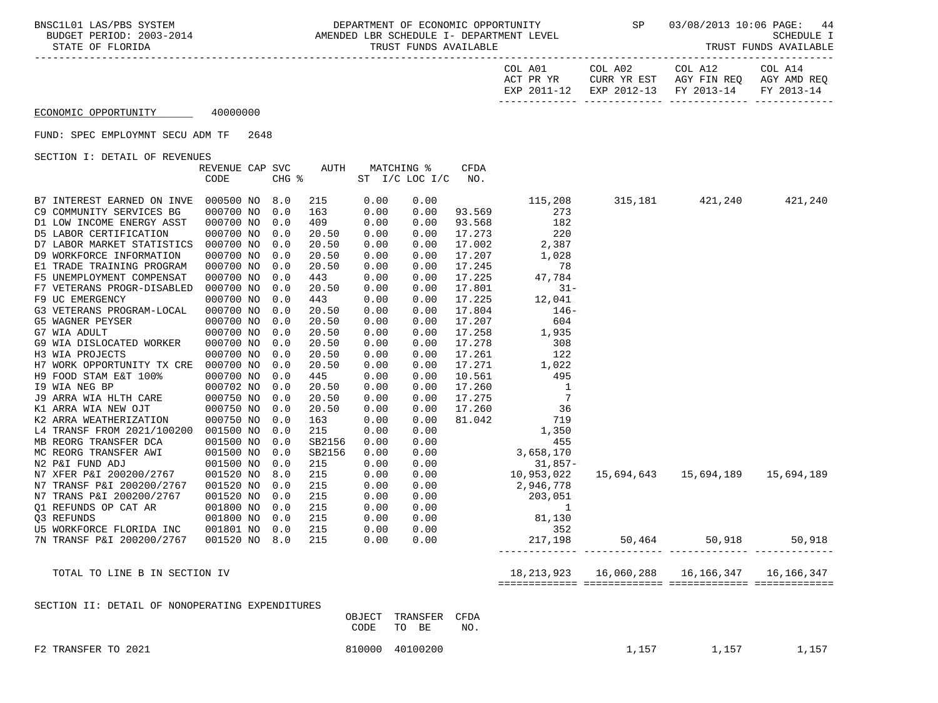| COL A14     | COL A12                           | COL A02     | COL A01     |
|-------------|-----------------------------------|-------------|-------------|
| AGY AMD REO | AGY FIN REO                       | CURR YR EST | ACT PR YR   |
|             | EXP 2012-13 FY 2013-14 FY 2013-14 |             | EXP 2011-12 |
|             |                                   |             |             |

## ECONOMIC OPPORTUNITY 40000000

FUND: SPEC EMPLOYMNT SECU ADM TF 2648

SECTION I: DETAIL OF REVENUES

|                                                 | REVENUE CAP SVC |       | AUTH   |        | MATCHING %     | <b>CFDA</b> |                                       |                                                     |         |
|-------------------------------------------------|-----------------|-------|--------|--------|----------------|-------------|---------------------------------------|-----------------------------------------------------|---------|
|                                                 | CODE            | CHG % |        |        | ST I/C LOC I/C | NO.         |                                       |                                                     |         |
|                                                 |                 |       |        |        |                |             |                                       |                                                     |         |
| B7 INTEREST EARNED ON INVE                      | 000500 NO       | 8.0   | 215    | 0.00   | 0.00           |             | 115,208                               | 315,181 421,240                                     | 421,240 |
| C9 COMMUNITY SERVICES BG                        | 000700 NO       | 0.0   | 163    | 0.00   | 0.00           | 93.569      | 273                                   |                                                     |         |
| D1 LOW INCOME ENERGY ASST                       | 000700 NO       | 0.0   | 409    | 0.00   | 0.00           | 93.568      | 182                                   |                                                     |         |
| D5 LABOR CERTIFICATION                          | 000700 NO       | 0.0   | 20.50  | 0.00   | 0.00           | 17.273      | 220                                   |                                                     |         |
| D7 LABOR MARKET STATISTICS                      | 000700 NO       | 0.0   | 20.50  | 0.00   | 0.00           | 17.002      | 2,387                                 |                                                     |         |
| D9 WORKFORCE INFORMATION                        | 000700 NO       | 0.0   | 20.50  | 0.00   | 0.00           | 17.207      | 1,028                                 |                                                     |         |
| E1 TRADE TRAINING PROGRAM                       | 000700 NO       | 0.0   | 20.50  | 0.00   | 0.00           | 17.245      | 78                                    |                                                     |         |
| F5 UNEMPLOYMENT COMPENSAT                       | 000700 NO       | 0.0   | 443    | 0.00   | 0.00           | 17.225      | 47,784                                |                                                     |         |
| F7 VETERANS PROGR-DISABLED                      | 000700 NO       | 0.0   | 20.50  | 0.00   | 0.00           | 17.801      | $31 -$                                |                                                     |         |
| F9 UC EMERGENCY                                 | 000700 NO       | 0.0   | 443    | 0.00   | 0.00           | 17.225      | 12,041                                |                                                     |         |
| G3 VETERANS PROGRAM-LOCAL                       | 000700 NO       | 0.0   | 20.50  | 0.00   | 0.00           | 17.804      | $146-$                                |                                                     |         |
| G5 WAGNER PEYSER                                | 000700 NO       | 0.0   | 20.50  | 0.00   | 0.00           | 17.207      | 604                                   |                                                     |         |
| G7 WIA ADULT                                    | 000700 NO       | 0.0   | 20.50  | 0.00   | 0.00           | 17.258      | 1,935                                 |                                                     |         |
| G9 WIA DISLOCATED WORKER                        | 000700 NO       | 0.0   | 20.50  | 0.00   | 0.00           | 17.278      | 308                                   |                                                     |         |
| H3 WIA PROJECTS                                 | 000700 NO       | 0.0   | 20.50  | 0.00   | 0.00           | 17.261      | 122                                   |                                                     |         |
| H7 WORK OPPORTUNITY TX CRE 000700 NO            |                 | 0.0   | 20.50  | 0.00   | 0.00           | 17.271      | 1,022                                 |                                                     |         |
| H9 FOOD STAM E&T 100%                           | 000700 NO       | 0.0   | 445    | 0.00   | 0.00           | 10.561      | 495                                   |                                                     |         |
|                                                 | 000702 NO       | 0.0   | 20.50  | 0.00   | 0.00           | 17.260      | $\overline{\phantom{0}}$              |                                                     |         |
| 19 WIA NEG BP<br>J9 ARRA WIA HLTH CARE          | 000750 NO       | 0.0   | 20.50  | 0.00   | 0.00           | 17.275      | $7\phantom{.0}$                       |                                                     |         |
| K1 ARRA WIA NEW OJT                             | 000750 NO       | 0.0   | 20.50  | 0.00   | 0.00           | 17.260      | 36                                    |                                                     |         |
| K2 ARRA WEATHERIZATION                          | 000750 NO       | 0.0   | 163    | 0.00   | 0.00           | 81.042      | 719                                   |                                                     |         |
| L4 TRANSF FROM 2021/100200 001500 NO            |                 | 0.0   | 215    | 0.00   | 0.00           |             | 1,350                                 |                                                     |         |
| MB REORG TRANSFER DCA                           | 001500 NO       | 0.0   | SB2156 | 0.00   | 0.00           |             | 455                                   |                                                     |         |
| MC REORG TRANSFER AWI                           | 001500 NO       | 0.0   | SB2156 | 0.00   | 0.00           |             | 3,658,170                             |                                                     |         |
| N2 P&I FUND ADJ                                 | 001500 NO       | 0.0   | 215    | 0.00   | 0.00           |             | $31,857-$                             |                                                     |         |
| N7 XFER P&I 200200/2767                         | 001520 NO       | 8.0   | 215    | 0.00   | 0.00           |             | 31,857<br>10,953,022                  | 15,694,643  15,694,189  15,694,189                  |         |
| N7 TRANSF P&I 200200/2767                       | 001520 NO       | 0.0   | 215    | 0.00   | 0.00           |             | 2,946,778                             |                                                     |         |
| N7 TRANS P&I 200200/2767                        | 001520 NO       | 0.0   | 215    | 0.00   | 0.00           |             |                                       |                                                     |         |
| Q1 REFUNDS OP CAT AR                            | 001800 NO       | 0.0   | 215    | 0.00   | 0.00           |             | 203,051<br>$\overline{1}$             |                                                     |         |
| 03 REFUNDS                                      | 001800 NO       | 0.0   | 215    | 0.00   |                |             | $0.00$ 81,130                         |                                                     |         |
| U5 WORKFORCE FLORIDA INC                        | 001801 NO       | 0.0   | 215    | 0.00   |                |             |                                       |                                                     |         |
| 7N TRANSF P&I 200200/2767                       | 001520 NO       | 8.0   | 215    | 0.00   | 0.00           |             | $0.00$ 352<br>0.00 217,198<br>217,198 | 50,464 50,918 50,918                                |         |
|                                                 |                 |       |        |        |                |             |                                       |                                                     |         |
|                                                 |                 |       |        |        |                |             |                                       |                                                     |         |
| TOTAL TO LINE B IN SECTION IV                   |                 |       |        |        |                |             |                                       | 18, 213, 923 16, 060, 288 16, 166, 347 16, 166, 347 |         |
|                                                 |                 |       |        |        |                |             |                                       |                                                     |         |
| SECTION II: DETAIL OF NONOPERATING EXPENDITURES |                 |       |        |        |                |             |                                       |                                                     |         |
|                                                 |                 |       |        | OBJECT | TRANSFER       | CFDA        |                                       |                                                     |         |
|                                                 |                 |       |        | CODE   | TO BE          | NO.         |                                       |                                                     |         |
|                                                 |                 |       |        |        |                |             |                                       |                                                     |         |

F2 TRANSFER TO 2021 1,157 1,157 1,157 1,157 1,157 1,157 1,157 1,157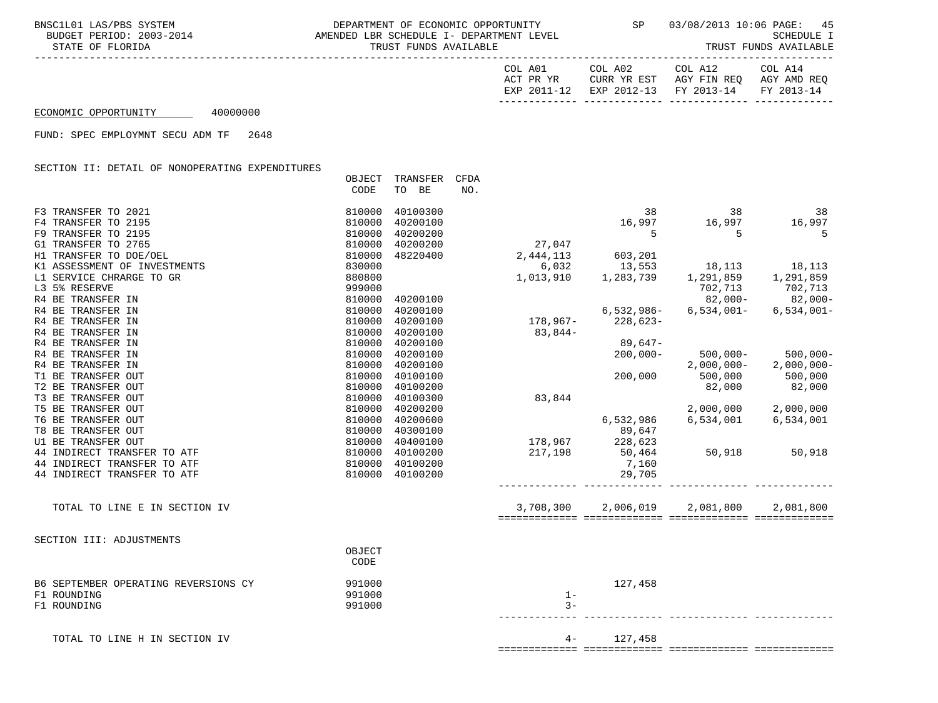| COL A14     | COL A12                           | COL A02     | COL A01     |
|-------------|-----------------------------------|-------------|-------------|
| AGY AMD REO | AGY FIN REO                       | CURR YR EST | ACT PR YR   |
|             | EXP 2012-13 FY 2013-14 FY 2013-14 |             | EXP 2011-12 |
|             |                                   |             |             |

## ECONOMIC OPPORTUNITY 40000000

FUND: SPEC EMPLOYMNT SECU ADM TF 2648

SECTION II: DETAIL OF NONOPERATING EXPENDITURES

|                                      | OBJECT<br>CODE | TRANSFER<br>TO BE | CFDA<br>NO. |              |              |               |
|--------------------------------------|----------------|-------------------|-------------|--------------|--------------|---------------|
| F3 TRANSFER TO 2021                  | 810000         | 40100300          |             | 38           | 38           | 38            |
| F4 TRANSFER TO 2195                  | 810000         | 40200100          |             | 16,997       | 16,997       | 16,997        |
| F9 TRANSFER TO 2195                  | 810000         | 40200200          |             | 5            | 5            | 5             |
| G1 TRANSFER TO 2765                  | 810000         | 40200200          | 27,047      |              |              |               |
| H1 TRANSFER TO DOE/OEL               | 810000         | 48220400          | 2,444,113   | 603,201      |              |               |
| K1 ASSESSMENT OF INVESTMENTS         | 830000         |                   | 6,032       | 13,553       | 18,113       | 18,113        |
| L1 SERVICE CHRARGE TO GR             | 880800         |                   | 1,013,910   | 1,283,739    | 1,291,859    | 1,291,859     |
| L3 5% RESERVE                        | 999000         |                   |             |              | 702,713      | 702,713       |
| R4 BE TRANSFER IN                    | 810000         | 40200100          |             |              | $82,000-$    | $82,000-$     |
| R4 BE TRANSFER IN                    | 810000         | 40200100          |             | $6,532,986-$ | $6,534,001-$ | $6,534,001 -$ |
| R4 BE TRANSFER IN                    | 810000         | 40200100          | 178,967-    | $228,623-$   |              |               |
| R4 BE TRANSFER IN                    | 810000         | 40200100          | 83,844-     |              |              |               |
| R4 BE TRANSFER IN                    | 810000         | 40200100          |             | 89,647-      |              |               |
| R4 BE TRANSFER IN                    | 810000         | 40200100          |             | $200,000 -$  | $500.000 -$  | $500,000 -$   |
| R4 BE TRANSFER IN                    | 810000         | 40200100          |             |              | $2,000,000-$ | $2,000,000-$  |
| T1 BE TRANSFER OUT                   | 810000         | 40100100          |             | 200,000      | 500,000      | 500,000       |
| T2 BE TRANSFER OUT                   | 810000         | 40100200          |             |              | 82,000       | 82,000        |
| T3 BE TRANSFER OUT                   | 810000         | 40100300          | 83,844      |              |              |               |
| T5 BE TRANSFER OUT                   | 810000         | 40200200          |             |              | 2,000,000    | 2,000,000     |
| T6 BE TRANSFER OUT                   | 810000         | 40200600          |             | 6,532,986    | 6,534,001    | 6,534,001     |
| T8 BE TRANSFER OUT                   | 810000         | 40300100          |             | 89,647       |              |               |
| U1 BE TRANSFER OUT                   | 810000         | 40400100          | 178,967     | 228,623      |              |               |
| 44 INDIRECT TRANSFER TO ATF          | 810000         | 40100200          | 217,198     | 50,464       | 50,918       | 50,918        |
| 44 INDIRECT TRANSFER TO ATF          | 810000         | 40100200          |             | 7,160        |              |               |
| 44 INDIRECT TRANSFER TO ATF          | 810000         | 40100200          |             | 29,705       |              |               |
| TOTAL TO LINE E IN SECTION IV        |                |                   | 3,708,300   | 2,006,019    | 2,081,800    | 2,081,800     |
|                                      |                |                   |             |              |              |               |
| SECTION III: ADJUSTMENTS             |                |                   |             |              |              |               |
|                                      | OBJECT<br>CODE |                   |             |              |              |               |
| B6 SEPTEMBER OPERATING REVERSIONS CY | 991000         |                   |             | 127,458      |              |               |
| F1 ROUNDING                          | 991000         |                   | $1 -$       |              |              |               |
| F1 ROUNDING                          | 991000         |                   | $3 -$       |              |              |               |
| TOTAL TO LINE H IN SECTION IV        |                |                   | $4-$        | 127,458      |              |               |

============= ============= ============= =============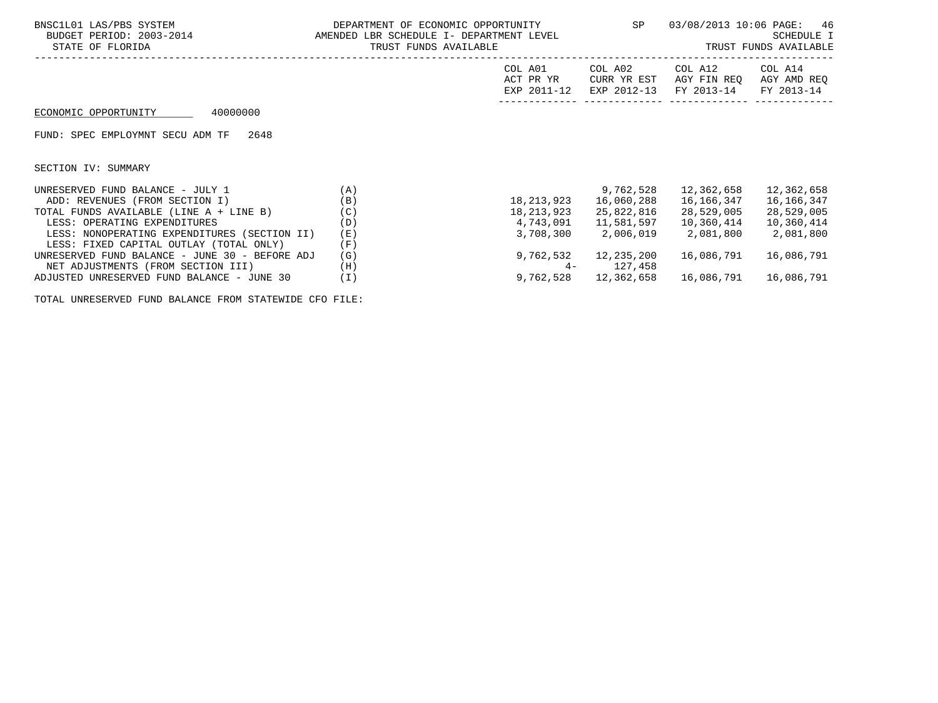| BNSC1L01 LAS/PBS SYSTEM<br>BUDGET PERIOD: 2003-2014<br>STATE OF FLORIDA | DEPARTMENT OF ECONOMIC OPPORTUNITY<br>AMENDED LBR SCHEDULE I- DEPARTMENT LEVEL<br>TRUST FUNDS AVAILABLE |                                     |                                       | 03/08/2013 10:06 PAGE:<br>46<br>SCHEDULE I<br>TRUST FUNDS AVAILABLE |                                      |  |
|-------------------------------------------------------------------------|---------------------------------------------------------------------------------------------------------|-------------------------------------|---------------------------------------|---------------------------------------------------------------------|--------------------------------------|--|
|                                                                         |                                                                                                         | COL A01<br>ACT PR YR<br>EXP 2011-12 | COL A02<br>CURR YR EST<br>EXP 2012-13 | COL A12<br>AGY FIN REO<br>FY 2013-14                                | COL A14<br>AGY AMD REQ<br>FY 2013-14 |  |
| 40000000<br>ECONOMIC OPPORTUNITY                                        |                                                                                                         |                                     |                                       |                                                                     |                                      |  |
| 2648<br>FUND: SPEC EMPLOYMNT SECU ADM TF                                |                                                                                                         |                                     |                                       |                                                                     |                                      |  |
| SECTION IV: SUMMARY                                                     |                                                                                                         |                                     |                                       |                                                                     |                                      |  |
| UNRESERVED FUND BALANCE - JULY 1                                        | (A)                                                                                                     |                                     | 9,762,528                             | 12,362,658                                                          | 12,362,658                           |  |
| ADD: REVENUES (FROM SECTION I)                                          | (B)                                                                                                     | 18,213,923                          | 16,060,288                            | 16,166,347                                                          | 16,166,347                           |  |
| TOTAL FUNDS AVAILABLE (LINE A + LINE B)                                 | (C)                                                                                                     | 18,213,923                          | 25,822,816                            | 28,529,005                                                          | 28,529,005                           |  |
| LESS: OPERATING EXPENDITURES                                            | (D)                                                                                                     | 4,743,091                           | 11,581,597                            | 10,360,414                                                          | 10,360,414                           |  |
| LESS: NONOPERATING EXPENDITURES (SECTION II)                            | (E)                                                                                                     | 3,708,300                           | 2,006,019                             | 2,081,800                                                           | 2,081,800                            |  |
| LESS: FIXED CAPITAL OUTLAY (TOTAL ONLY)                                 | (F)                                                                                                     |                                     |                                       |                                                                     |                                      |  |
| UNRESERVED FUND BALANCE - JUNE 30 - BEFORE ADJ                          | (G)                                                                                                     | 9,762,532                           | 12,235,200                            | 16,086,791                                                          | 16,086,791                           |  |
| NET ADJUSTMENTS (FROM SECTION III)                                      | (H)                                                                                                     |                                     | 127,458                               |                                                                     |                                      |  |
| ADJUSTED UNRESERVED FUND BALANCE - JUNE 30                              | (I)                                                                                                     | 9,762,528                           | 12,362,658                            | 16,086,791                                                          | 16,086,791                           |  |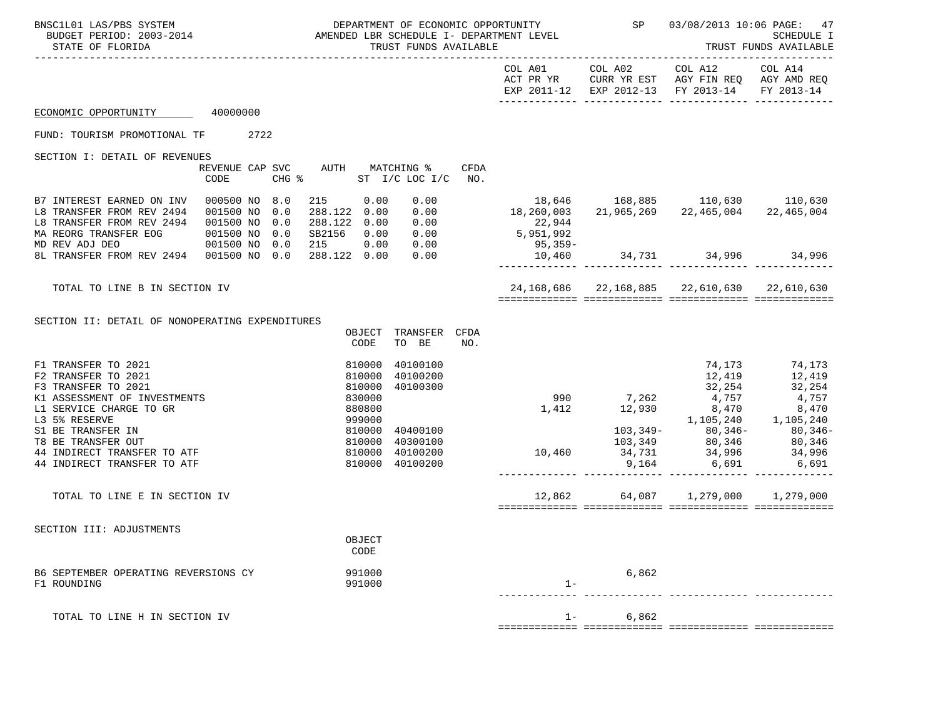| BNSC1L01 LAS/PBS SYSTEM<br>BUDGET PERIOD: 2003-2014<br>STATE OF FLORIDA                                                                                                                                                         | DEPARTMENT OF ECONOMIC OPPORTUNITY<br>AMENDED LBR SCHEDULE I- DEPARTMENT LEVEL<br>TRUST FUNDS AVAILABLE              |                                                                                       |       | SP 03/08/2013 10:06 PAGE:                                                                                      | 47<br><b>SCHEDULE I</b><br>TRUST FUNDS AVAILABLE |
|---------------------------------------------------------------------------------------------------------------------------------------------------------------------------------------------------------------------------------|----------------------------------------------------------------------------------------------------------------------|---------------------------------------------------------------------------------------|-------|----------------------------------------------------------------------------------------------------------------|--------------------------------------------------|
|                                                                                                                                                                                                                                 |                                                                                                                      | COL A01                                                                               |       | COL A02 COL A12 COL A14<br>ACT PR YR CURR YR EST AGY FIN REQ AGY AMD REQ<br>EXP 2011-12 EXP 2012-13 FY 2013-14 | FY 2013-14                                       |
| 40000000<br>ECONOMIC OPPORTUNITY                                                                                                                                                                                                |                                                                                                                      |                                                                                       |       |                                                                                                                |                                                  |
| FUND: TOURISM PROMOTIONAL TF 2722                                                                                                                                                                                               |                                                                                                                      |                                                                                       |       |                                                                                                                |                                                  |
| SECTION I: DETAIL OF REVENUES<br>REVENUE CAP SVC<br>CODE                                                                                                                                                                        | AUTH MATCHING %<br>CFDA<br>CHG % ST I/C LOC I/C NO.                                                                  |                                                                                       |       |                                                                                                                |                                                  |
| B7 INTEREST EARNED ON INV<br>000500 NO 8.0<br>L8 TRANSFER FROM REV 2494<br>001500 NO<br>0.0<br>L8 TRANSFER FROM REV 2494<br>001500 NO<br>0.0<br>MA REORG TRANSFER EOG<br>0.0<br>001500 NO<br>001500 NO<br>MD REV ADJ DEO<br>0.0 | 215 0.00<br>$0.00$<br>$0.00$<br>288.122 0.00<br>288.122 0.00<br>0.00<br>SB2156  0.00  0.00<br>215  0.00  0.00<br>215 | $\begin{array}{c} 22,28 \\  -25,951,992 \\  \hline\n 95,359\n \end{array}$<br>95,359- |       | 18,646 168,885 110,630 110,630<br>18,260,003 21,965,269 22,465,004 22,465,004                                  |                                                  |
| 8L TRANSFER FROM REV 2494 001500 NO 0.0                                                                                                                                                                                         | 288.122 0.00<br>0.00                                                                                                 |                                                                                       |       | $10,460$ $34,731$ $34,996$ $34,996$                                                                            |                                                  |
| TOTAL TO LINE B IN SECTION IV                                                                                                                                                                                                   |                                                                                                                      |                                                                                       |       | 24,168,686 22,168,885 22,610,630 22,610,630                                                                    |                                                  |
| SECTION II: DETAIL OF NONOPERATING EXPENDITURES                                                                                                                                                                                 | TRANSFER<br>CFDA<br>OBJECT<br>TO BE<br>CODE<br>NO.                                                                   |                                                                                       |       |                                                                                                                |                                                  |
| F1 TRANSFER TO 2021<br>F2 TRANSFER TO 2021<br>F3 TRANSFER TO 2021<br>830000<br>K1 ASSESSMENT OF INVESTMENTS<br>L1 SERVICE CHARGE TO GR<br>L3 5% RESERVE                                                                         | 40100100<br>810000<br>810000<br>810000<br>40100200<br>40100300<br>880800<br>999000                                   |                                                                                       |       |                                                                                                                | 74,173 74,173                                    |
| $\begin{array}{r} \n 234000 \\  810000 \\  810000 \\  810000\n \end{array}$<br>S1 BE TRANSFER IN<br>T8 BE TRANSFER OUT<br>44 INDIRECT TRANSFER TO ATF<br>44 INDIRECT TRANSFER TO ATF                                            | 40400100<br>40300100<br>40100200<br>810000 40100200                                                                  |                                                                                       |       |                                                                                                                |                                                  |
| TOTAL TO LINE E IN SECTION IV                                                                                                                                                                                                   |                                                                                                                      | 12,862                                                                                |       |                                                                                                                | 1,279,000                                        |
| SECTION III: ADJUSTMENTS                                                                                                                                                                                                        | OBJECT<br>CODE                                                                                                       |                                                                                       |       |                                                                                                                |                                                  |
| B6 SEPTEMBER OPERATING REVERSIONS CY<br>F1 ROUNDING                                                                                                                                                                             | 991000<br>991000                                                                                                     | $1 -$                                                                                 | 6,862 |                                                                                                                |                                                  |
| TOTAL TO LINE H IN SECTION IV                                                                                                                                                                                                   |                                                                                                                      | $1 -$                                                                                 | 6,862 |                                                                                                                |                                                  |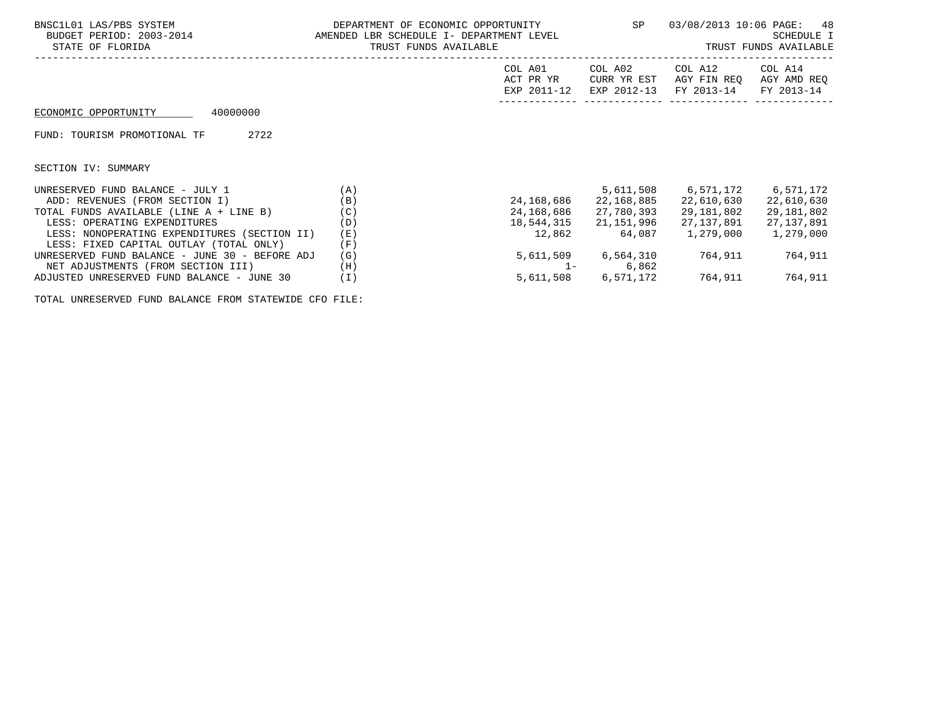| BNSC1L01 LAS/PBS SYSTEM<br>BUDGET PERIOD: 2003-2014<br>STATE OF FLORIDA | DEPARTMENT OF ECONOMIC OPPORTUNITY<br>AMENDED LBR SCHEDULE I- DEPARTMENT LEVEL<br>TRUST FUNDS AVAILABLE |                                     | SP                                    | 03/08/2013 10:06 PAGE: 48<br>SCHEDULE I<br>TRUST FUNDS AVAILABLE<br>------------------------------------- |                                      |  |
|-------------------------------------------------------------------------|---------------------------------------------------------------------------------------------------------|-------------------------------------|---------------------------------------|-----------------------------------------------------------------------------------------------------------|--------------------------------------|--|
|                                                                         |                                                                                                         | COL A01<br>ACT PR YR<br>EXP 2011-12 | COL A02<br>CURR YR EST<br>EXP 2012-13 | COL A12<br>AGY FIN REO<br>FY 2013-14                                                                      | COL A14<br>AGY AMD REQ<br>FY 2013-14 |  |
| 40000000<br>ECONOMIC OPPORTUNITY                                        |                                                                                                         |                                     |                                       |                                                                                                           |                                      |  |
| 2722<br>FUND: TOURISM PROMOTIONAL TF                                    |                                                                                                         |                                     |                                       |                                                                                                           |                                      |  |
| SECTION IV: SUMMARY                                                     |                                                                                                         |                                     |                                       |                                                                                                           |                                      |  |
| UNRESERVED FUND BALANCE - JULY 1                                        | (A)                                                                                                     |                                     | 5,611,508                             | 6,571,172 6,571,172                                                                                       |                                      |  |
| ADD: REVENUES (FROM SECTION I)                                          | (B)                                                                                                     | 24,168,686                          | 22,168,885                            | 22,610,630                                                                                                | 22,610,630                           |  |
| TOTAL FUNDS AVAILABLE (LINE A + LINE B)                                 | (C)                                                                                                     | 24,168,686                          | 27,780,393                            | 29,181,802                                                                                                | 29,181,802                           |  |
| LESS: OPERATING EXPENDITURES                                            | (D)                                                                                                     | 18,544,315                          | 21,151,996                            | 27,137,891                                                                                                | 27,137,891                           |  |
| LESS: NONOPERATING EXPENDITURES (SECTION II)                            | (E)                                                                                                     | 12,862                              | 64,087                                | 1,279,000                                                                                                 | 1,279,000                            |  |
| LESS: FIXED CAPITAL OUTLAY (TOTAL ONLY)                                 | (F)                                                                                                     |                                     |                                       |                                                                                                           |                                      |  |
| UNRESERVED FUND BALANCE - JUNE 30 - BEFORE ADJ                          | (G)                                                                                                     |                                     | 5,611,509 6,564,310                   | 764,911                                                                                                   | 764,911                              |  |
| NET ADJUSTMENTS (FROM SECTION III)                                      | (H)                                                                                                     | $1 -$                               | 6,862                                 |                                                                                                           |                                      |  |
| ADJUSTED UNRESERVED FUND BALANCE - JUNE 30                              | (I)                                                                                                     |                                     | 5,611,508 6,571,172                   | 764,911                                                                                                   | 764,911                              |  |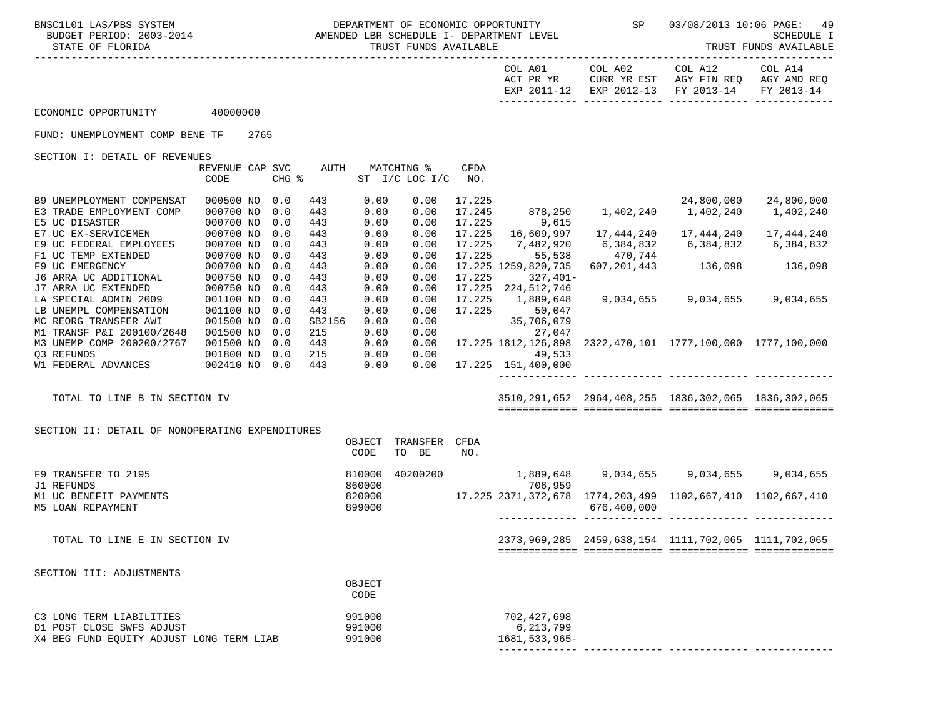| BNSC1L01 LAS/PBS SYSTEM<br>STATE OF FLORIDA     |                         |      |            |            | TRUST FUNDS AVAILABLE |                                  |                    |                               | 03/08/2013 10:06 PAGE: | 49<br>SCHEDULE I<br>TRUST FUNDS AVAILABLE                                                            |                       |
|-------------------------------------------------|-------------------------|------|------------|------------|-----------------------|----------------------------------|--------------------|-------------------------------|------------------------|------------------------------------------------------------------------------------------------------|-----------------------|
|                                                 |                         |      |            |            |                       |                                  |                    | ACT PR YR                     |                        | COL A01 COL A02 COL A12<br>CURR YR EST AGY FIN REQ AGY AMD REQ<br>EXP 2011-12 EXP 2012-13 FY 2013-14 | COL A14<br>FY 2013-14 |
| ECONOMIC OPPORTUNITY 40000000                   |                         |      |            |            |                       |                                  |                    |                               |                        |                                                                                                      |                       |
| FUND: UNEMPLOYMENT COMP BENE TF                 |                         | 2765 |            |            |                       |                                  |                    |                               |                        |                                                                                                      |                       |
| SECTION I: DETAIL OF REVENUES                   |                         |      |            |            |                       |                                  |                    |                               |                        |                                                                                                      |                       |
|                                                 | REVENUE CAP SVC<br>CODE |      | CHG %      | AUTH       |                       | MATCHING %<br>ST $I/C$ LOC $I/C$ | <b>CFDA</b><br>NO. |                               |                        |                                                                                                      |                       |
| B9 UNEMPLOYMENT COMPENSAT                       | 000500 NO 0.0           |      |            | 443        | 0.00                  | 0.00                             | 17.225             |                               |                        |                                                                                                      | 24,800,000            |
| E3 TRADE EMPLOYMENT COMP                        | 000700 NO               |      | 0.0        | 443        | 0.00                  | 0.00                             | 17.245             |                               |                        |                                                                                                      | 1,402,240             |
| E5 UC DISASTER                                  | 000700 NO               |      | 0.0        | 443        | 0.00                  | 0.00                             | 17.225             | 9,615                         |                        |                                                                                                      |                       |
| E7 UC EX-SERVICEMEN                             | 000700 NO               |      | 0.0        | 443        | 0.00                  | 0.00                             | 17.225             | 16,609,997                    | 17,444,240             | 17,444,240                                                                                           | 17,444,240            |
| E9 UC FEDERAL EMPLOYEES                         | 000700 NO               |      | 0.0        | 443        | 0.00                  | 0.00                             | 17.225             | 7,482,920                     | 6,384,832              | 6,384,832                                                                                            | 6,384,832             |
| F1 UC TEMP EXTENDED<br>F9 UC EMERGENCY          | 000700 NO<br>000700 NO  |      | 0.0<br>0.0 | 443<br>443 | 0.00<br>0.00          | 0.00<br>0.00                     | 17.225             | 55,538<br>17.225 1259,820,735 | 470,744                | 607, 201, 443 136, 098 136, 098                                                                      |                       |
| J6 ARRA UC ADDITIONAL                           | 000750 NO               |      | 0.0        | 443        | 0.00                  | 0.00                             | 17.225             | $327,401-$                    |                        |                                                                                                      |                       |
| J7 ARRA UC EXTENDED                             | 000750 NO               |      | 0.0        | 443        | 0.00                  | 0.00                             |                    | 17.225 224,512,746            |                        |                                                                                                      |                       |
| LA SPECIAL ADMIN 2009                           | 001100 NO               |      | 0.0        | 443        | 0.00                  | 0.00                             | 17.225             | 1,889,648                     |                        | 9,034,655 9,034,655                                                                                  | 9,034,655             |
| LB UNEMPL COMPENSATION                          | 001100 NO               |      | 0.0        | 443        | 0.00                  | 0.00                             | 17.225             | 50,047                        |                        |                                                                                                      |                       |
| MC REORG TRANSFER AWI                           | 001500 NO               |      | 0.0        | SB2156     | 0.00                  | 0.00                             |                    | 35,706,079                    |                        |                                                                                                      |                       |
| M1 TRANSF P&I 200100/2648                       | 001500 NO               |      | 0.0        | 215        | 0.00                  | 0.00                             |                    | 27,047                        |                        |                                                                                                      |                       |
| M3 UNEMP COMP 200200/2767                       | 001500 NO               |      | 0.0        | 443        | 0.00                  | 0.00                             |                    |                               |                        | 17.225 1812,126,898 2322,470,101 1777,100,000 1777,100,000                                           |                       |
| 03 REFUNDS                                      | 001800 NO               |      | 0.0        | 215        | 0.00                  | 0.00                             |                    | 49,533                        |                        |                                                                                                      |                       |
| W1 FEDERAL ADVANCES                             | 002410 NO 0.0           |      |            | 443        | 0.00                  | 0.00                             |                    | 17.225 151,400,000            |                        |                                                                                                      |                       |
| TOTAL TO LINE B IN SECTION IV                   |                         |      |            |            |                       |                                  |                    |                               |                        | 3510, 291, 652 2964, 408, 255 1836, 302, 065 1836, 302, 065                                          |                       |
|                                                 |                         |      |            |            |                       |                                  |                    |                               |                        |                                                                                                      |                       |
| SECTION II: DETAIL OF NONOPERATING EXPENDITURES |                         |      |            |            | OBJECT<br>CODE        | TRANSFER CFDA<br>TO BE           | NO.                |                               |                        |                                                                                                      |                       |
| F9 TRANSFER TO 2195<br>J1 REFUNDS               |                         |      |            |            | 810000<br>860000      |                                  |                    | 706,959                       |                        | 40200200 1,889,648 9,034,655 9,034,655 9,034,655                                                     |                       |
| M1 UC BENEFIT PAYMENTS<br>M5 LOAN REPAYMENT     |                         |      |            |            | 820000<br>899000      |                                  |                    |                               | 676,400,000            | 17.225 2371,372,678 1774,203,499 1102,667,410 1102,667,410                                           |                       |

------------- ------------- ------------- -------------

 TOTAL TO LINE E IN SECTION IV 2373,969,285 2459,638,154 1111,702,065 1111,702,065 ============= ============= ============= =============

 SECTION III: ADJUSTMENTS OBJECT **CODE**  C3 LONG TERM LIABILITIES 991000 702,427,698 D1 POST CLOSE SWFS ADJUST 6,213,7991000 X4 BEG FUND EQUITY ADJUST LONG TERM LIAB 991000 1681,533,965-------------- ------------- ------------- -------------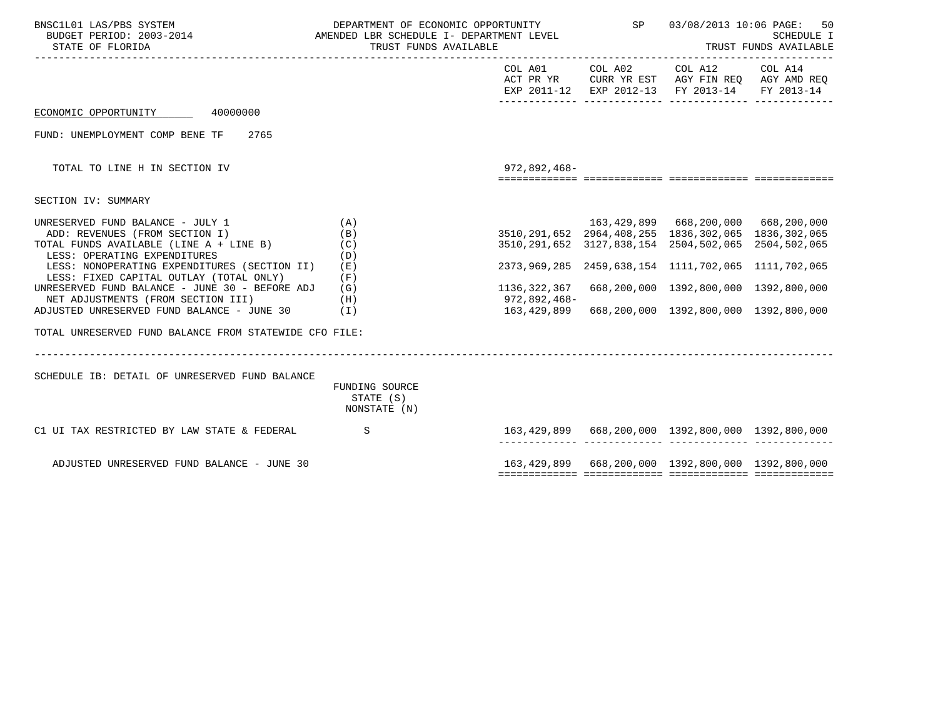| BNSC1L01 LAS/PBS SYSTEM<br>BUDGET PERIOD: 2003-2014 AMENDED LBR SCHEDULE I- DEPARTMENT LEVEL<br>STATE OF FLORIDA                                                                                                                                                                                                                                                                                                                         | TRUST FUNDS AVAILABLE                                              |                                                                                                                                                                                                        | DEPARTMENT OF ECONOMIC OPPORTUNITY SP 03/08/2013 10:06 PAGE:<br>50<br><b>SCHEDULE I</b><br>TRUST FUNDS AVAILABLE                              |  |
|------------------------------------------------------------------------------------------------------------------------------------------------------------------------------------------------------------------------------------------------------------------------------------------------------------------------------------------------------------------------------------------------------------------------------------------|--------------------------------------------------------------------|--------------------------------------------------------------------------------------------------------------------------------------------------------------------------------------------------------|-----------------------------------------------------------------------------------------------------------------------------------------------|--|
|                                                                                                                                                                                                                                                                                                                                                                                                                                          |                                                                    |                                                                                                                                                                                                        | COL A01 COL A02 COL A12 COL A14<br>ACT PR YR CURR YR EST AGY FIN REQ AGY AMD REQ<br>EXP 2011-12 EXP 2012-13 FY 2013-14 FY 2013-14             |  |
| ECONOMIC OPPORTUNITY 40000000                                                                                                                                                                                                                                                                                                                                                                                                            |                                                                    |                                                                                                                                                                                                        |                                                                                                                                               |  |
| FUND: UNEMPLOYMENT COMP BENE TF<br>2765                                                                                                                                                                                                                                                                                                                                                                                                  |                                                                    |                                                                                                                                                                                                        |                                                                                                                                               |  |
| TOTAL TO LINE H IN SECTION IV                                                                                                                                                                                                                                                                                                                                                                                                            |                                                                    | 972,892,468-                                                                                                                                                                                           |                                                                                                                                               |  |
| SECTION IV: SUMMARY                                                                                                                                                                                                                                                                                                                                                                                                                      |                                                                    |                                                                                                                                                                                                        |                                                                                                                                               |  |
| UNRESERVED FUND BALANCE - JULY 1<br>ADD: REVENUES (FROM SECTION I)<br>TOTAL FUNDS AVAILABLE (LINE A + LINE B)<br>LESS: OPERATING EXPENDITURES<br>LESS: NONOPERATING EXPENDITURES (SECTION II)<br>LESS: FIXED CAPITAL OUTLAY (TOTAL ONLY)<br>UNRESERVED FUND BALANCE - JUNE 30 - BEFORE ADJ<br>NET ADJUSTMENTS (FROM SECTION III)<br>ADJUSTED UNRESERVED FUND BALANCE - JUNE 30<br>TOTAL UNRESERVED FUND BALANCE FROM STATEWIDE CFO FILE: | (A)<br>(B)<br>(C)<br>(D)<br>( E )<br>(F)<br>(G)<br>(H)<br>$(\top)$ | 163, 429, 899 668, 200, 000 668, 200, 000<br>3510, 291, 652 2964, 408, 255 1836, 302, 065 1836, 302, 065<br>3510, 291, 652 3127 838 154 250, 250, 251 -<br>1136,322,367<br>972,892,468-<br>163,429,899 | 2373, 969, 285 2459, 638, 154 1111, 702, 065 1111, 702, 065<br>668,200,000 1392,800,000 1392,800,000<br>668,200,000 1392,800,000 1392,800,000 |  |
| SCHEDULE IB: DETAIL OF UNRESERVED FUND BALANCE                                                                                                                                                                                                                                                                                                                                                                                           | FUNDING SOURCE<br>STATE (S)<br>NONSTATE (N)                        |                                                                                                                                                                                                        |                                                                                                                                               |  |
| C1 UI TAX RESTRICTED BY LAW STATE & FEDERAL                                                                                                                                                                                                                                                                                                                                                                                              | $\mathbf S$                                                        |                                                                                                                                                                                                        |                                                                                                                                               |  |
| ADJUSTED UNRESERVED FUND BALANCE - JUNE 30                                                                                                                                                                                                                                                                                                                                                                                               |                                                                    |                                                                                                                                                                                                        | 163, 429, 899 668, 200, 000 1392, 800, 000 1392, 800, 000                                                                                     |  |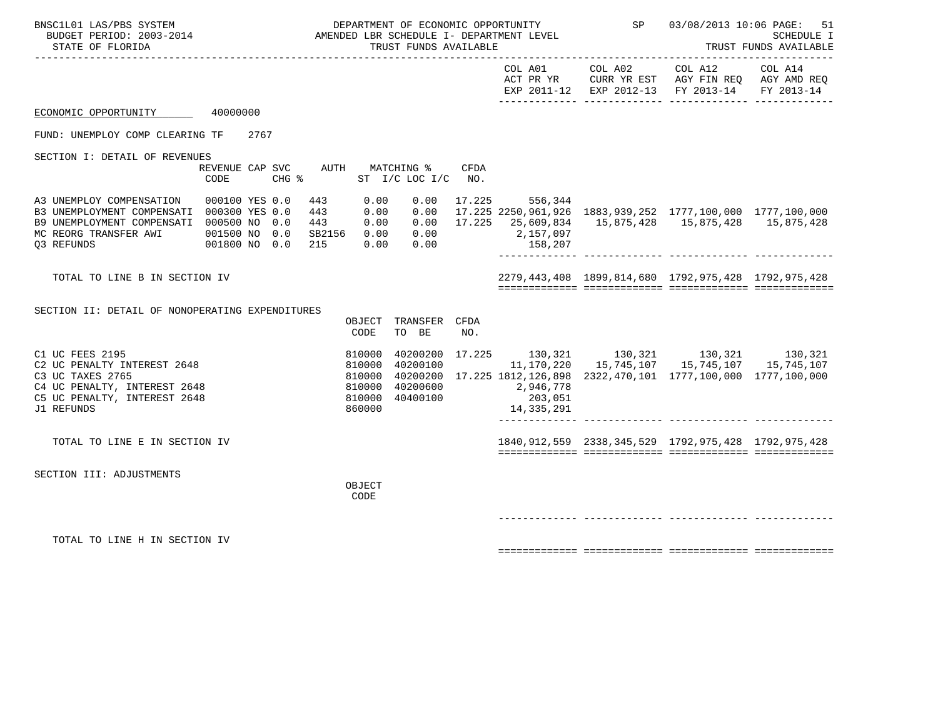| BNSC1L01 LAS/PBS SYSTEM<br>BUDGET PERIOD: 2003-2014<br>STATE OF FLORIDA                                                                              |                                                  |     |                                    | DEPARTMENT OF ECONOMIC OPPORTUNITY<br>AMENDED LBR SCHEDULE I- DEPARTMENT LEVEL<br>TRUST FUNDS AVAILABLE |                                                       |      | <b>SP</b>                                     | 03/08/2013 10:06 PAGE: | 51<br>SCHEDULE I<br>TRUST FUNDS AVAILABLE                                                                                                                                           |                       |
|------------------------------------------------------------------------------------------------------------------------------------------------------|--------------------------------------------------|-----|------------------------------------|---------------------------------------------------------------------------------------------------------|-------------------------------------------------------|------|-----------------------------------------------|------------------------|-------------------------------------------------------------------------------------------------------------------------------------------------------------------------------------|-----------------------|
|                                                                                                                                                      |                                                  |     |                                    |                                                                                                         |                                                       |      | COL A01<br>ACT PR YR                          |                        | COL A02 COL A12<br>CURR YR EST AGY FIN REQ AGY AMD REQ<br>EXP 2011-12 EXP 2012-13 FY 2013-14                                                                                        | COL A14<br>FY 2013-14 |
| ECONOMIC OPPORTUNITY 40000000                                                                                                                        |                                                  |     |                                    |                                                                                                         |                                                       |      |                                               |                        |                                                                                                                                                                                     |                       |
| FUND: UNEMPLOY COMP CLEARING TF 2767                                                                                                                 |                                                  |     |                                    |                                                                                                         |                                                       |      |                                               |                        |                                                                                                                                                                                     |                       |
| SECTION I: DETAIL OF REVENUES                                                                                                                        | CODE                                             |     | $CHG$ $\frac{1}{6}$                |                                                                                                         | REVENUE CAP SVC AUTH MATCHING %<br>ST I/C LOC I/C NO. | CFDA |                                               |                        |                                                                                                                                                                                     |                       |
| A3 UNEMPLOY COMPENSATION<br>B3 UNEMPLOYMENT COMPENSATI 000300 YES 0.0<br>B9 UNEMPLOYMENT COMPENSATI 000500 NO<br>MC REORG TRANSFER AWI<br>Q3 REFUNDS | 000100 YES 0.0<br>001500 NO 0.0<br>001800 NO 0.0 | 0.0 | 443<br>443<br>443<br>SB2156<br>215 | 0.00<br>0.00<br>0.00<br>0.00<br>0.00                                                                    | 0.00<br>0.00                                          | 0.00 | 17.225 556,344<br>$0.00$ 2,157,097<br>158,207 |                        | 17.225 2250,961,926 1883,939,252 1777,100,000 1777,100,000<br>$0.00$ 17.225 25,609,834 15,875,428 15,875,428 15,875,428                                                             |                       |
| TOTAL TO LINE B IN SECTION IV                                                                                                                        |                                                  |     |                                    |                                                                                                         |                                                       |      |                                               |                        | 2279, 443, 408  1899, 814, 680  1792, 975, 428  1792, 975, 428                                                                                                                      |                       |
| SECTION II: DETAIL OF NONOPERATING EXPENDITURES                                                                                                      |                                                  |     |                                    | OBJECT<br>CODE                                                                                          | TRANSFER CFDA<br>TO BE                                | NO.  |                                               |                        |                                                                                                                                                                                     |                       |
| C1 UC FEES 2195<br>C2 UC PENALTY INTEREST 2648<br>C3 UC TAXES 2765<br>C4 UC PENALTY, INTEREST 2648<br>C5 UC PENALTY, INTEREST 2648<br>J1 REFUNDS     |                                                  |     |                                    | 810000<br>810000<br>810000<br>810000<br>810000<br>860000                                                | 40200100<br>40200600<br>40400100                      |      | 2,946,778<br>203,051<br>14,335,291            |                        | 40200200 17.225 130,321 130,321 130,321 130,321<br>11, 170, 220   15, 745, 107   15, 745, 107   15, 745, 107<br>40200200 17.225 1812,126,898 2322,470,101 1777,100,000 1777,100,000 |                       |
| TOTAL TO LINE E IN SECTION IV                                                                                                                        |                                                  |     |                                    |                                                                                                         |                                                       |      |                                               |                        | 1840, 912, 559 2338, 345, 529 1792, 975, 428 1792, 975, 428                                                                                                                         |                       |
| SECTION III: ADJUSTMENTS                                                                                                                             |                                                  |     |                                    | OBJECT<br>CODE                                                                                          |                                                       |      |                                               |                        |                                                                                                                                                                                     |                       |
|                                                                                                                                                      |                                                  |     |                                    |                                                                                                         |                                                       |      |                                               |                        |                                                                                                                                                                                     |                       |
| TOTAL TO LINE H IN SECTION IV                                                                                                                        |                                                  |     |                                    |                                                                                                         |                                                       |      |                                               |                        |                                                                                                                                                                                     |                       |

============= ============= ============= =============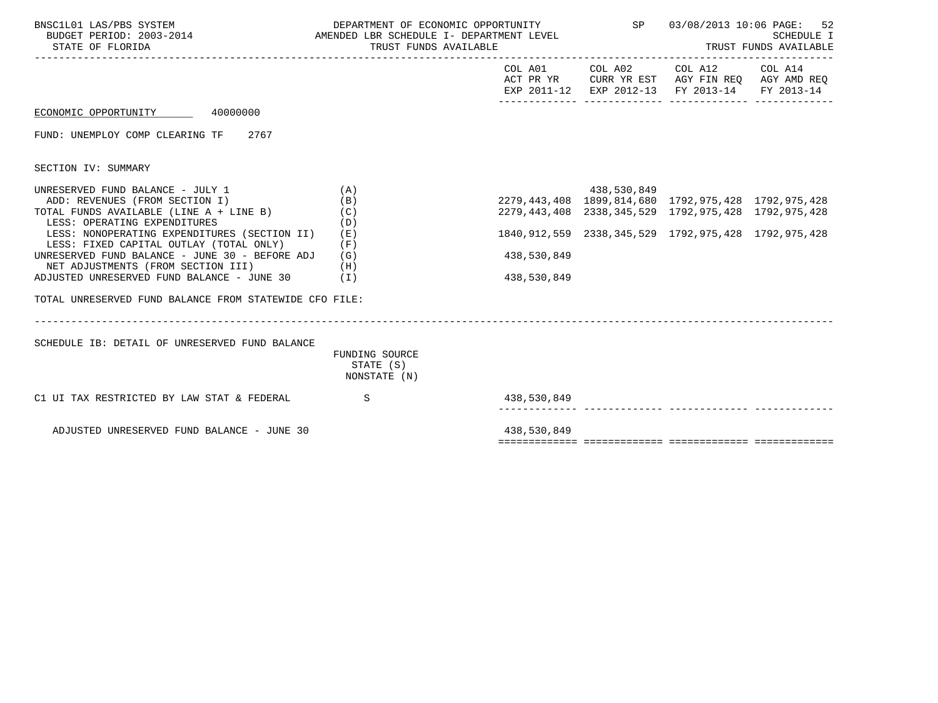| BNSC1L01 LAS/PBS SYSTEM<br>BUDGET PERIOD: 2003-2014 AMENDED LBR SCHEDULE I- DEPARTMENT LEVEL<br>STATE OF FLORIDA                              | DEPARTMENT OF ECONOMIC OPPORTUNITY<br>TRUST FUNDS AVAILABLE<br>----------------------------- | SP 03/08/2013 10:06 PAGE:<br>52<br><b>SCHEDULE I</b><br>TRUST FUNDS AVAILABLE                                                                                                               |                                                                                                                        |            |
|-----------------------------------------------------------------------------------------------------------------------------------------------|----------------------------------------------------------------------------------------------|---------------------------------------------------------------------------------------------------------------------------------------------------------------------------------------------|------------------------------------------------------------------------------------------------------------------------|------------|
|                                                                                                                                               |                                                                                              |                                                                                                                                                                                             | COL A01 COL A02 COL A12 COL A14<br>ACT PR YR CURR YR EST AGY FIN REQ AGY AMD REQ<br>EXP 2011-12 EXP 2012-13 FY 2013-14 | FY 2013-14 |
| ECONOMIC OPPORTUNITY 40000000                                                                                                                 |                                                                                              |                                                                                                                                                                                             |                                                                                                                        |            |
| FUND: UNEMPLOY COMP CLEARING TF<br>2767                                                                                                       |                                                                                              |                                                                                                                                                                                             |                                                                                                                        |            |
| SECTION IV: SUMMARY                                                                                                                           |                                                                                              |                                                                                                                                                                                             |                                                                                                                        |            |
| UNRESERVED FUND BALANCE - JULY 1<br>ADD: REVENUES (FROM SECTION I)<br>TOTAL FUNDS AVAILABLE (LINE A + LINE B)<br>LESS: OPERATING EXPENDITURES | (A)<br>(B)<br>(C)<br>(D)                                                                     | 138, 1792, 1792, 1792, 1792, 1792, 1792, 1792, 1792, 1792, 1792, 2279, 443<br>1792, 1792, 1792, 1792, 1792, 1792, 1792, 1792, 1792, 1792, 1792, 1792, 1792, 1792, 1792, 1792, 1792, 1792, 1 | 2279, 443, 408 2338, 345, 529 1792, 975, 428 1792, 975, 428                                                            |            |
| LESS: NONOPERATING EXPENDITURES (SECTION II)<br>LESS: FIXED CAPITAL OUTLAY (TOTAL ONLY)                                                       | (E)<br>(F)                                                                                   |                                                                                                                                                                                             | 1840, 912, 559 2338, 345, 529 1792, 975, 428 1792, 975, 428                                                            |            |
| UNRESERVED FUND BALANCE - JUNE 30 - BEFORE ADJ<br>NET ADJUSTMENTS (FROM SECTION III)                                                          | (G)<br>(H)                                                                                   | 438,530,849                                                                                                                                                                                 |                                                                                                                        |            |
| ADJUSTED UNRESERVED FUND BALANCE - JUNE 30                                                                                                    | (1)                                                                                          | 438,530,849                                                                                                                                                                                 |                                                                                                                        |            |
| TOTAL UNRESERVED FUND BALANCE FROM STATEWIDE CFO FILE:                                                                                        |                                                                                              |                                                                                                                                                                                             |                                                                                                                        |            |
|                                                                                                                                               |                                                                                              |                                                                                                                                                                                             |                                                                                                                        |            |
| SCHEDULE IB: DETAIL OF UNRESERVED FUND BALANCE                                                                                                | FUNDING SOURCE<br>STATE (S)<br>NONSTATE (N)                                                  |                                                                                                                                                                                             |                                                                                                                        |            |
| C1 UI TAX RESTRICTED BY LAW STAT & FEDERAL                                                                                                    | S                                                                                            | 438,530,849                                                                                                                                                                                 |                                                                                                                        |            |
| ADJUSTED UNRESERVED FUND BALANCE - JUNE 30                                                                                                    |                                                                                              | 438,530,849                                                                                                                                                                                 |                                                                                                                        |            |